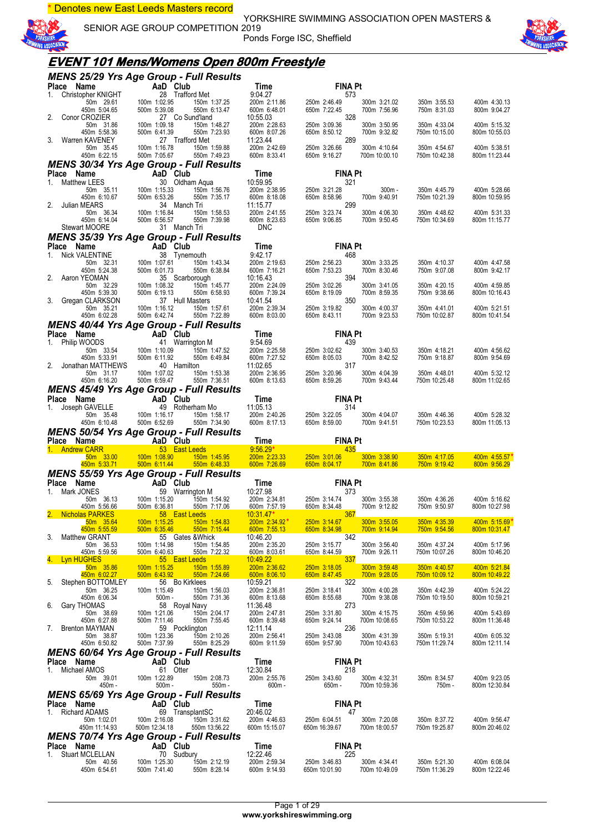\* Denotes new East Leeds Masters record

YORKSHIRE SWIMMING ASSOCIATION OPEN MASTERS &



SENIOR AGE GROUP COMPETITION 2019

Ponds Forge ISC, Sheffield



## **EVENT 101 Mens/Womens Open 800m Freestyle**

| <b>MENS 25/29 Yrs Age Group - Full Results</b>                                                                                                                                                                                                |                                                                                                                                           |                                                                                                                                         |                                                                                                                           |                               |                               |
|-----------------------------------------------------------------------------------------------------------------------------------------------------------------------------------------------------------------------------------------------|-------------------------------------------------------------------------------------------------------------------------------------------|-----------------------------------------------------------------------------------------------------------------------------------------|---------------------------------------------------------------------------------------------------------------------------|-------------------------------|-------------------------------|
| Place Name<br>1. Christopher KNIGHT                                                                                                                                                                                                           | 28 Trafford Met                                                                                                                           | Time<br>9:04.27                                                                                                                         | <b>FINA Pt</b><br>573                                                                                                     |                               |                               |
| 50m 29.61<br>450m 5:04.65                                                                                                                                                                                                                     | MIGHT<br>28 Traffor<br>29.61 100m 1:02.95<br>04.65 500m 5:39.08                                                                           | 200m 2:11.86<br>150m 1:37.25<br>550m 6:13.47<br>600m 6:48.01                                                                            | 250m 2:46.49<br>300m 3:21.02<br>650m 7:22.45<br>700m 7:56.96                                                              | 350m 3:55.53<br>750m 8:31.03  | 400m 4:30.13<br>800m 9:04.27  |
| 2. Conor CROZIER<br>50m 31.86<br>450m 5:58.36                                                                                                                                                                                                 | 27 Co Sund'land<br>100m 1:09.18                                                                                                           | 10:55.03<br>200m 2:28.63<br>150m 1:48.27<br>550m 7:23.93<br>600m 8:07.26                                                                | 328<br>250m 3:09.36<br>300m 3:50.95<br>650m 8:50.12<br>700m 9:32.82                                                       | 350m 4:33.04<br>750m 10:15.00 | 400m 5:15.32                  |
| 3. Warren KAVENEY<br>50m 35.45                                                                                                                                                                                                                | 500m 6:41.39<br>27 Trafford Met<br>100m 1:16.78                                                                                           | 11:23.44<br>200m 2:42.69<br>150m 1:59.88                                                                                                | 289<br>250m 3:26.66<br>300m 4:10.64                                                                                       | 350m 4:54.67                  | 800m 10:55.03<br>400m 5:38.51 |
| 450m 6:22.15<br><b>MENS 30/34 Yrs Age Group - Full Results</b>                                                                                                                                                                                | 500m 7:05.67                                                                                                                              | 550m 7:49.23<br>600m 8:33.41                                                                                                            | 650m 9:16.27<br>700m 10:00.10                                                                                             | 750m 10:42.38                 | 800m 11:23.44                 |
| Place Name                                                                                                                                                                                                                                    |                                                                                                                                           | Time<br>10.59.95                                                                                                                        | <b>FINA Pt</b>                                                                                                            |                               |                               |
| 1.                                                                                                                                                                                                                                            | 30 Oldham Aqua                                                                                                                            | 200m 2:38.95<br>600m 8:18.08<br>150m 1:56.76                                                                                            | 321<br>250m 3:21.28<br>$300m -$                                                                                           | 350m 4:45.79                  | 400m 5:28.66                  |
| 2.                                                                                                                                                                                                                                            | 34 Manch Tri                                                                                                                              | 550m 7:35.17<br>600m 8:18.08<br>11:15.77                                                                                                | 700m 9:40.91<br>650m 8:58.96<br>299                                                                                       | 750m 10:21.39                 | 800m 10:59.95                 |
| Contract Manner Contract Manner Contract Manner Manner Manner Manner Manner Manner Som 35.11 100m 1:15.33<br>450m 6:10.67 500m 6:53.26<br>Julian MEARS 34 Manch<br>50m 36.34 100m 1:16.84<br>450m 6:14.04 500m 6:56.57<br>Stewart MOORE 31 Ma | 150m 1:58.53<br>31 Manch Tri                                                                                                              | 200m 2:41.55<br>600m 8:23.63<br>550m 7:39.98<br>DNC                                                                                     | 250m 3:23.74<br>300m 4:06.30<br>650m 9:06.85<br>700m 9:50.45                                                              | 350m 4:48.62<br>750m 10:34.69 | 400m 5:31.33<br>800m 11:15.77 |
| MENS 35/39 Yrs Age Group - Full Results                                                                                                                                                                                                       |                                                                                                                                           |                                                                                                                                         |                                                                                                                           |                               |                               |
| Place Name<br>1.                                                                                                                                                                                                                              |                                                                                                                                           | Time                                                                                                                                    | <b>FINA Pt</b><br>468                                                                                                     |                               |                               |
|                                                                                                                                                                                                                                               | COMPUTE COMPANY CHENNINE And Club<br>Nick VALENTINE 38 Tynemouth<br>50m 32.31 100m 1:07.61 150m<br>450m 520m 6:01.73 550m<br>Aaron YEOMAN | $9.42.17$<br>200m 2:19.63<br>600m 7:16.21<br>150m 1:43.34<br>550m 6:38.84                                                               | 250m 2:56.23<br>300m 3:33.25<br>650m 7:53.23<br>700m 8:30.46                                                              | 350m 4:10.37<br>750m 9:07.08  | 400m 4:47.58<br>800m 9:42.17  |
| 2. Aaron YEOMAN<br>50m 32.29                                                                                                                                                                                                                  | 35 Scarborough<br>$\begin{array}{r}\n 35 \\  \times 35 \\  \hline\n 100 \text{m} 1:08.32 \\  \hline\n 500 \text{m} 6:19.12\n \end{array}$ | 10:16.43<br>150m 1:45.77<br>200m 2:24.09                                                                                                | 394<br>250m 3:02.26<br>300m 3:41.05                                                                                       | 350m 4:20.15                  | 400m 4:59.85                  |
| 450m 5:39.30<br>3. Gregan CLARKSON                                                                                                                                                                                                            | 37 Hull Masters                                                                                                                           | 550m 6:58.93<br>600m 7:39.24<br>10:41.54                                                                                                | 650m 8:19.09<br>700m 8:59.35<br>350                                                                                       | 750m 9:38.66                  | 800m 10:16.43                 |
| 50m 35.21<br>450m 6:02.28                                                                                                                                                                                                                     | 100m 1:16.12<br>150m 1:57.61<br>500m 6:42.74                                                                                              | 200m 2:39.34<br>600m 8:03.00<br>550m 7:22.89                                                                                            | 250m 3:19.82<br>300m 4:00.37<br>650m 8:43.11<br>700m 9:23.53                                                              | 350m 4:41.01<br>750m 10:02.87 | 400m 5:21.51<br>800m 10:41.54 |
| MENS 40/44 Yrs Age Group - Full Results<br>Place Name                                                                                                                                                                                         |                                                                                                                                           |                                                                                                                                         | <b>FINA Pt</b>                                                                                                            |                               |                               |
| 1. Philip WOODS                                                                                                                                                                                                                               |                                                                                                                                           | <b>Time</b><br>9:54.69<br>9:54.69                                                                                                       | 439                                                                                                                       |                               |                               |
| 450m 5:33.91<br>2. Jonathan MATTHEWS                                                                                                                                                                                                          | 500m 6:11.92<br>40 Hamilton                                                                                                               | 200m 2:25.58<br>150m 1:47.52<br>550m 6:49.84<br>600m 7:27.52<br>11:02.65                                                                | 250m 3:02.62<br>300m 3:40.53<br>650m 8:05.03<br>700m 8:42.52<br>317                                                       | 350m 4:18.21<br>750m 9:18.87  | 400m 4:56.62<br>800m 9:54.69  |
| 50m 31.17<br>450m 6:16.20                                                                                                                                                                                                                     | 100m 1:07.02<br>500m 6:59.47                                                                                                              | 200m 2:36.95<br>600m 8:13.63<br>150m 1:53.38<br>550m 7:36.51<br>600m 8:13.63                                                            | 250m 3:20.96<br>300m 4:04.39<br>650m 8:59.26<br>700m 9:43.44                                                              | 350m 4:48.01<br>750m 10:25.48 | 400m 5:32.12<br>800m 11:02.65 |
| <b>MENS 45/49 Yrs Age Group - Full Results</b>                                                                                                                                                                                                |                                                                                                                                           |                                                                                                                                         |                                                                                                                           |                               |                               |
| <b>Place Name</b><br>1. Joseph GAVELLE<br>50m 35.48 100m 1:16.17 150m 1:58.17                                                                                                                                                                 |                                                                                                                                           | Time<br>11:05.13                                                                                                                        | <b>FINA Pt</b><br>.26 250m<br>.13 650m<br>314                                                                             |                               |                               |
| 450m 6:10.48                                                                                                                                                                                                                                  |                                                                                                                                           | 200m 2:40.26                                                                                                                            | 300m 4:04.07<br>250m 3:22.05                                                                                              | 350m 4:46.36                  | 400m 5:28.32<br>800m 11:05.13 |
|                                                                                                                                                                                                                                               | 500m 6:52.69                                                                                                                              | 600m 8:17.13<br>550m 7:34.90                                                                                                            | 700m 9:41.51<br>650m 8:59.00                                                                                              | 750m 10:23.53                 |                               |
| MENS 50/54 Yrs Age Group - Full Results                                                                                                                                                                                                       |                                                                                                                                           |                                                                                                                                         |                                                                                                                           |                               |                               |
|                                                                                                                                                                                                                                               |                                                                                                                                           | Time                                                                                                                                    | <b>FINA Pt</b><br>$-435$                                                                                                  |                               |                               |
| Place Name AaD Club<br>1. Andrew CARR 53 East Leeds<br>50m 33.00 100m 1:08.90 150m 1:45.95<br>450m 5:33.71 500m 6:11.44 550m 6:48.33                                                                                                          |                                                                                                                                           | 9:56.29*<br>200m 2:23.33 250m 3:0<br>600m 7:26.69 650m 8:0                                                                              | 250m 3:01.06<br>300m 3:38.90<br>650m 8:04.17 700m 8:41.86                                                                 | 350m 4:17.05<br>750m 9:19.42  | 400m 4:55.57<br>800m 9:56.29  |
| <b>MENS 55/59 Yrs Age Group - Full Results</b>                                                                                                                                                                                                |                                                                                                                                           |                                                                                                                                         |                                                                                                                           |                               |                               |
| Place Name<br>1. Mark JONES                                                                                                                                                                                                                   |                                                                                                                                           |                                                                                                                                         | <b>FINA Pt</b><br>373                                                                                                     |                               |                               |
| 450m 5:56.66<br>2. Nicholas PARKES 58 East Leeds 10:31.47*                                                                                                                                                                                    |                                                                                                                                           | 19 19 19 10 27.98<br>Time<br>250 100 1:15.20 150m 1:54.92 200m 2:34.81 250m<br>260m 5:56.66 500m 6:36.81 550m 7:17.06 600m 7:57.19 650m | 300m 3:55.38<br>700m 9:12.82<br>250m 3:14.74<br>650m 8:34.48<br>650m 8:34.48<br><u>and the contract of the 1967 state</u> | 350m 4:36.26<br>750m 9:50.97  | 400m 5:16.62<br>800m 10:27.98 |
| 50m 35.64<br>450m 5:55.59                                                                                                                                                                                                                     | 100m 1:15.25<br>500m 6:35.46                                                                                                              | 150m 1:54.83<br>200m 2:34.92<br>550m 7:15.44<br>600m 7:55.13                                                                            | 250m 3:14.67<br>300m 3:55.05<br>650m 8:34.98<br>700m 9:14.94                                                              | 350m 4:35.39<br>750m 9:54.56  | 400m 5:15.69<br>800m 10:31.47 |
| <b>Matthew GRANT</b><br>3.<br>50m 36.53                                                                                                                                                                                                       | 55 Gates & Whick<br>100m 1:14.98                                                                                                          | 10:46.20<br>200m 2:35.20<br>150m 1:54.85                                                                                                | 342<br>250m 3:15.77<br>300m 3:56.40                                                                                       | 350m 4:37.24                  | 400m 5:17.96                  |
| 450m 5:59.56<br><b>Lyn HUGHES</b>                                                                                                                                                                                                             | 500m 6:40.63<br>55 East Leeds                                                                                                             | 550m 7:22.32<br>600m 8:03.61<br><u>10:49.22</u>                                                                                         | 650m 8:44.59<br>700m 9:26.11<br>337                                                                                       | 750m 10:07.26                 | 800m 10:46.20                 |
| 50m 35.86<br>450m 6:02.27                                                                                                                                                                                                                     | 100m 1:15.25<br>500m 6:43.92                                                                                                              | 200m 2:36.62<br>150m 1:55.89<br>550m 7:24.66<br>600m 8:06.10                                                                            | 250m 3:18.05<br>300m 3:59.48<br>650m 8:47.45<br>700m 9:28.05                                                              | 350m 4:40.57<br>750m 10:09.12 | 400m 5:21.84<br>800m 10:49.22 |
| Stephen BOTTOMLEY<br>5.<br>50m 36.25                                                                                                                                                                                                          | 56 Bo Kirklees<br>100m 1:15.49                                                                                                            | 10:59.21<br>200m 2:36.81<br>150m 1:56.03                                                                                                | 322<br>250m 3:18.41<br>300m 4:00.28                                                                                       | 350m 4:42.39                  | 400m 5:24.22                  |
| 450m 6:06.34<br>Gary THOMAS<br>6.                                                                                                                                                                                                             | $500m -$<br>58 Royal Navy                                                                                                                 | 600m 8:13.68<br>550m 7:31.36<br>11:36.48                                                                                                | 650m 8:55.68<br>700m 9:38.08<br>273                                                                                       | 750m 10:19.50                 | 800m 10:59.21                 |
| 50m 38.69<br>450m 6:27.88                                                                                                                                                                                                                     | 100m 1:21.06<br>500m 7:11.46                                                                                                              | 150m 2:04.17<br>200m 2:47.81<br>550m 7:55.45<br>600m 8:39.48                                                                            | 250m 3:31.80<br>300m 4:15.75<br>650m 9:24.14<br>700m 10:08.65                                                             | 350m 4:59.96<br>750m 10:53.22 | 400m 5:43.69<br>800m 11:36.48 |
| <b>Brenton MAYMAN</b><br>7.<br>50m 38.87                                                                                                                                                                                                      | 59 Pocklington<br>100m 1:23.36                                                                                                            | 12:11.14<br>150m 2:10.26<br>200m 2:56.41<br>600m 9:11.59                                                                                | 236<br>250m 3:43.08<br>300m 4:31.39<br>650m 9:57.90                                                                       | 350m 5:19.31                  | 400m 6:05.32                  |
| 450m 6:50.82<br><b>MENS 60/64 Yrs Age Group - Full Results</b>                                                                                                                                                                                | 500m 7:37.99                                                                                                                              | 550m 8:25.29                                                                                                                            | 700m 10:43.63                                                                                                             | 750m 11:29.74                 | 800m 12:11.14                 |
| Place Name<br>Michael AMOS<br>1.                                                                                                                                                                                                              | AaD Club<br>61 Otter                                                                                                                      | Time<br>12:30.84                                                                                                                        | <b>FINA Pt</b><br>218                                                                                                     |                               |                               |
| 50m 39.01<br>450m -                                                                                                                                                                                                                           | 100m 1:22.89<br>$500m -$                                                                                                                  | 150m 2:08.73<br>200m 2:55.76<br>$600m -$<br>550m -                                                                                      | 250m 3:43.60<br>300m 4:32.31<br>$650m -$<br>700m 10:59.36                                                                 | 350m 8:34.57<br>750m -        | 400m 9:23.05<br>800m 12:30.84 |
| <b>MENS 65/69 Yrs Age Group - Full Results</b>                                                                                                                                                                                                |                                                                                                                                           |                                                                                                                                         |                                                                                                                           |                               |                               |
| Place Name<br><b>Richard ADAMS</b><br>1.                                                                                                                                                                                                      | AaD Club<br>69 TransplantSC                                                                                                               | Time<br>20:46.02                                                                                                                        | <b>FINA Pt</b><br>47                                                                                                      |                               |                               |
| 50m 1:02.01<br>450m 11:14.93                                                                                                                                                                                                                  | 100m 2:16.08<br>500m 12:34.18                                                                                                             | 200m 4:46.63<br>150m 3:31.62<br>550m 13:56.22<br>600m 15:15.07                                                                          | 250m 6:04.51<br>300m 7:20.08<br>650m 16:39.67<br>700m 18:00.57                                                            | 350m 8:37.72<br>750m 19:25.87 | 400m 9:56.47<br>800m 20:46.02 |
| <b>MENS 70/74 Yrs Age Group - Full Results</b><br>Place Name                                                                                                                                                                                  | AaD Club                                                                                                                                  | Time                                                                                                                                    | <b>FINA Pt</b>                                                                                                            |                               |                               |
| Stuart MCLELLAN<br>1.<br>50m 40.56                                                                                                                                                                                                            | 70 Sudbury<br>100m 1:25.30                                                                                                                | 12:22.46<br>150m 2:12.19<br>200m 2:59.34                                                                                                | 225<br>250m 3:46.83<br>300m 4:34.41                                                                                       | 350m 5:21.30                  | 400m 6:08.04                  |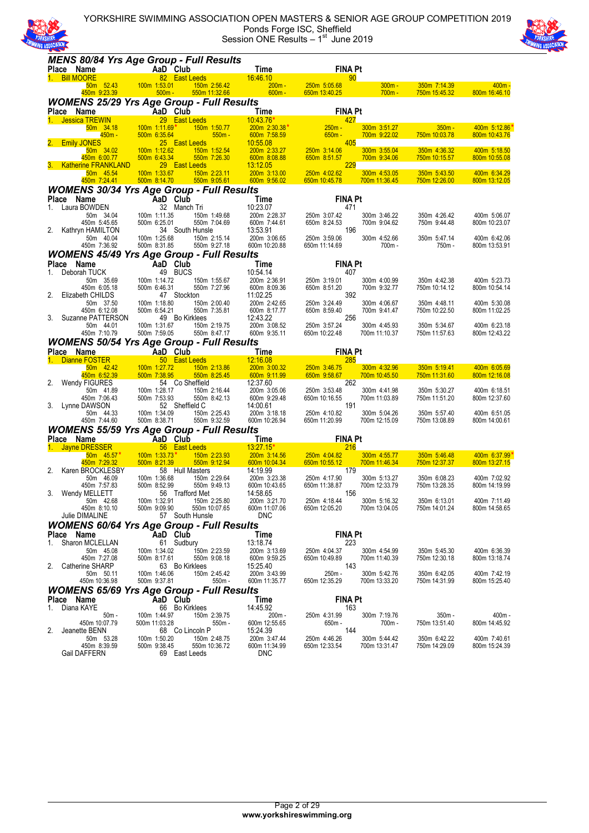

YORKSHIRE SWIMMING ASSOCIATION OPEN MASTERS & SENIOR AGE GROUP COMPETITION 2019 Ponds Forge ISC, Sheffield Session ONE Results  $-1<sup>st</sup>$  June 2019



|                                                                                                                                                          | <b>MENS 80/84 Yrs Age Group - Full Results</b>                                                                                        |                                                                       |                                                |                               |                                    |                                                                                                                |
|----------------------------------------------------------------------------------------------------------------------------------------------------------|---------------------------------------------------------------------------------------------------------------------------------------|-----------------------------------------------------------------------|------------------------------------------------|-------------------------------|------------------------------------|----------------------------------------------------------------------------------------------------------------|
| Place Name                                                                                                                                               | AaD Club<br><b>Time</b>                                                                                                               |                                                                       | <b>FINA Pt</b>                                 |                               |                                    |                                                                                                                |
| 1. Bill MOORE<br>$50m$ $52.43$                                                                                                                           | 82 East Leeds<br>100m 1:53.01                                                                                                         |                                                                       | 90                                             | $300m -$                      | 350m 7:14.39                       | and the state of the state of the state of the state of the state of the state of the state of the state of th |
| 450m 9:23.39                                                                                                                                             | 100m<br>$500m -$                                                                                                                      |                                                                       |                                                | $700m -$                      | 750m 15:45.32                      | $400m -$<br>800m 16:46.10                                                                                      |
|                                                                                                                                                          | <b>WOMENS 25/29 Yrs Age Group - Full Results</b>                                                                                      |                                                                       |                                                |                               |                                    |                                                                                                                |
| Place Name                                                                                                                                               | AaD Club                                                                                                                              | <b>Time</b>                                                           | <b>FINA Pt</b>                                 |                               |                                    |                                                                                                                |
| 1. Jessica TREWIN<br>50m 34.18 100m 1:11.69 * 150m<br>50m 34.18 100m 1:11.69 * 150m<br>450m - 500m 6:35.64                                               | 150m 1:50.77                                                                                                                          |                                                                       | 427                                            | 300m 3:51.27                  | <b>Service Service</b><br>$350m -$ | 400m 5:12.86                                                                                                   |
|                                                                                                                                                          | 500m 6:35.64<br>$550m -$                                                                                                              |                                                                       |                                                | 700m 9:22.02                  | 750m 10:03.78                      | 800m 10:43.76                                                                                                  |
| 2. Emily JONES                                                                                                                                           | 25 East Leeds                                                                                                                         |                                                                       | 405                                            |                               |                                    |                                                                                                                |
| 50m 34.02<br>450m 6:00.77                                                                                                                                | 100m 1:12.62<br>150m 1:52.54<br>500m 6:43.34<br>550m 7:26.30                                                                          |                                                                       |                                                | 300m 3:55.04<br>700m 9:34.06  | 350m 4:36.32<br>750m 10:15.57      | 400m 5:18.50<br>800m 10:55.08                                                                                  |
| 3. Katherine FRANKLAND                                                                                                                                   | 29 East Leeds<br><b>Service Service</b>                                                                                               |                                                                       | 229                                            |                               |                                    |                                                                                                                |
| 50m 45.54                                                                                                                                                | 100m 1:33.67<br>150m 2:23.11                                                                                                          | 200m 3:13.00                                                          | 250m 4:02.62                                   | 300m 4:53.05                  | 350m 5:43.50                       | 400m 6:34.29                                                                                                   |
| 450m 7:24.41                                                                                                                                             | 500m 8:14.70<br>550m 9:05.61                                                                                                          | 600m 9:56.02                                                          | 650m 10:45.78                                  | 700m 11:36.45                 | 750m 12:26.00                      | 800m 13:12.05                                                                                                  |
| Place Name                                                                                                                                               | <b>WOMENS 30/34 Yrs Age Group - Full Results</b><br>AaD Club                                                                          |                                                                       | <b>FINA Pt</b>                                 |                               |                                    |                                                                                                                |
| 1. Laura BOWDEN                                                                                                                                          | 32 Manch Tri                                                                                                                          | $Time$<br>10:23.07<br>10:23.07                                        | 471                                            |                               |                                    |                                                                                                                |
| 50m 34.04                                                                                                                                                | 100m 1:11.35<br>500m 6:25.01<br>150m 1:49.68                                                                                          | 200m 2:28.37<br>600m 7:44.61<br>13:53.91                              | 250m 3:07.42                                   | 300m 3:46.22                  | 350m 4:26.42                       | 400m 5:06.07                                                                                                   |
| 450m 5:45.65                                                                                                                                             | 550m 7:04.69                                                                                                                          |                                                                       | 650m 8:24.53                                   | 700m 9:04.62                  | 750m 9:44.48                       | 800m 10:23.07                                                                                                  |
| 2. Kathryn HAMILTON<br>50m 40.04                                                                                                                         | 34 South Hunsle<br>100m 1:25.68<br>150m 2:15.14                                                                                       | 200m 3:06.65                                                          | 196<br>250m 3:59.06                            | 300m 4:52.66                  | 350m 5:47.14                       | 400m 6:42.06                                                                                                   |
| 450m 7:36.92                                                                                                                                             | 500m 8:31.85 550m 9:27.18                                                                                                             | 600m 10:20.88                                                         | 650m 11:14.69                                  | 700m -                        | 750m -                             | 800m 13:53.91                                                                                                  |
|                                                                                                                                                          | <b>WOMENS 45/49 Yrs Age Group - Full Results</b>                                                                                      |                                                                       |                                                |                               |                                    |                                                                                                                |
| CONSERVED MAD Club<br>Deborah TUCK 49 BUCS<br>50m 35.69 100m 1:14.72<br>450m 6:05.18 500m 6:46.31 5<br>Firscheit Club Co.18 500m 6:46.31 5<br>Place Name |                                                                                                                                       | $Time$ <sub>10:54:14</sub>                                            | <b>FINA Pt</b>                                 |                               |                                    |                                                                                                                |
| 1.                                                                                                                                                       | 150m 1:55.67                                                                                                                          | 10:54.14                                                              | 407<br>250m 3:19.01                            |                               |                                    |                                                                                                                |
|                                                                                                                                                          | 550m 7:27.96                                                                                                                          | 200m 2:36.91<br>600m 8:09.36                                          | 650m 8:51.20                                   | 300m 4:00.99<br>700m 9:32.77  | 350m 4:42.38<br>750m 10:14.12      | 400m 5:23.73<br>800m 10:54.14                                                                                  |
| 2. Elizabeth CHILDS                                                                                                                                      | 47 Stockton                                                                                                                           | 11:02.25                                                              | 392                                            |                               |                                    |                                                                                                                |
| 50m 37.50                                                                                                                                                | 100m 1:18.80<br>150m 2:00.40                                                                                                          | 200m 2:42.65                                                          | 250m 3:24.49                                   | 300m 4:06.67                  | 350m 4:48.11                       | 400m 5:30.08                                                                                                   |
| 450m 6:12.08<br>3. Suzanne PATTERSON                                                                                                                     | 550m 7:35.81<br>500m 6:54.21<br>49 Bo Kirklees                                                                                        | 600m 8:17.77<br>12:43.22                                              | 650m 8:59.40<br>256                            | 700m 9:41.47                  | 750m 10:22.50                      | 800m 11:02.25                                                                                                  |
| 50m 44.01                                                                                                                                                | 100m 1:31.67<br>150m 2:19.75                                                                                                          | 200m 3:08.52                                                          | 250m 3:57.24                                   | 300m 4:45.93                  | 350m 5:34.67                       | 400m 6:23.18                                                                                                   |
| 450m 7:10.79                                                                                                                                             | 500m 7:59.05<br>550m 8:47.17                                                                                                          | 600m 9:35.11                                                          | 650m 10:22.48                                  | 700m 11:10.37                 | 750m 11:57.63                      | 800m 12:43.22                                                                                                  |
|                                                                                                                                                          | <b>WOMENS 50/54 Yrs Age Group - Full Results</b><br>AaD Club                                                                          | <b>Example 7</b> Time                                                 |                                                |                               |                                    |                                                                                                                |
| Place Name                                                                                                                                               |                                                                                                                                       | 12:16.08                                                              | <b>FINA Pt</b><br>285                          |                               |                                    |                                                                                                                |
| 1. Dianne FOSTER<br>50m 42.42 100m 1:27.72 150m<br>50m 42.42 100m 1:27.72 150m<br>450m 6:52.39 500m 7:38.95 550m                                         | 150m 2:13.86                                                                                                                          | 200m 3:00.32                                                          | 1.1<br>10.32 250m 3:46.75<br>1.99 650m 9:58.67 | 300m 4:32.96                  | 350m 5:19.41                       | 400m 6:05.69                                                                                                   |
|                                                                                                                                                          | 550m 8:25.45<br>$rac{5b}{10}$                                                                                                         | 600m 9:11.99                                                          |                                                | 700m 10:45.50                 | 750m 11:31.60                      | 800m 12:16.08                                                                                                  |
| 2. Wendy FIGURES<br>50m 41.89                                                                                                                            | 54 Co Sheffield<br>100m 1:28.17<br>150m 2:16.44                                                                                       | 12:37.60<br>200m 3:05.06                                              | 262<br>250m 3:53.48                            | 300m 4:41.98                  | 350m 5:30.27                       | 400m 6:18.51                                                                                                   |
| 450m 7:06.43                                                                                                                                             | 500m 7:53.93<br>550m 8:42.13                                                                                                          | 600m 9:29.48                                                          | 650m 10:16.55                                  | 700m 11:03.89                 | 750m 11:51.20                      | 800m 12:37.60                                                                                                  |
| 3. Lynne DAWSON                                                                                                                                          | 52 Sheffield C                                                                                                                        | 14:00.61                                                              | 191                                            |                               |                                    |                                                                                                                |
| 50m 44.33<br>450m 7:44.60                                                                                                                                | 100m 1:34.09<br>150m 2:25.43<br>500m 8:38.71<br>550m 9:32.59                                                                          | 200m 3:18.18<br>600m 10:26.94                                         | 250m 4:10.82<br>650m 11:20.99<br>650m 11:20.99 | 300m 5:04.26<br>700m 12:15.09 | 350m 5:57.40<br>750m 13:08.89      | 400m 6:51.05<br>800m 14:00.61                                                                                  |
|                                                                                                                                                          |                                                                                                                                       |                                                                       |                                                |                               |                                    |                                                                                                                |
|                                                                                                                                                          | WOMENS 55/59 Yrs Age Group - Full Results<br>Place Name AaD Club                                                                      | <u>Time</u>                                                           | <b>FINA Pt</b>                                 |                               |                                    |                                                                                                                |
| 1. Jayne DRESSER <b>Container the State Street Street Street</b>                                                                                         | 56 East Leeds<br><b>Contract Contract Contract Contract Contract Contract Contract Contract Contract Contract Contract Contract C</b> | 13:27.15*<br>200m 3:14.56 250m 4:04.82<br>600m 10:04.34 650m 10:55.12 | 216                                            |                               |                                    |                                                                                                                |
| $50m$ 45.57*<br>450m 7:29.32                                                                                                                             | $100m$ 1:33.73*<br>150m 2:23.93<br>500m 8:21.39<br>550m 9:12.94                                                                       | 600m 10:04.34                                                         | 250m 4:04.82<br>650m 10:55.12                  | 300m 4:55.77<br>700m 11:46.34 | 350m 5:46.48<br>750m 12:37.37      | 400m 6:37.99<br>800m 13:27.15                                                                                  |
| 2. Karen BROCKLESBY                                                                                                                                      | 58 Hull Masters                                                                                                                       | 14:19.99                                                              | 179                                            |                               |                                    |                                                                                                                |
| 50m 46.09                                                                                                                                                | 100m 1:36.68<br>150m 2:29.64                                                                                                          | 200m 3:23.38                                                          | 250m 4:17.90                                   | 300m 5:13.27                  | 350m 6:08.23                       | 400m 7:02.92                                                                                                   |
| 450m 7:57.83<br>3. Wendy MELLETT                                                                                                                         | 500m 8:52.99<br>550m 9:49.13<br>56 Trafford Met                                                                                       | 600m 10:43.65<br>14:58.65                                             | 650m 11:38.87<br>156                           | 700m 12:33.79                 | 750m 13:28.35                      | 800m 14:19.99                                                                                                  |
| 50m 42.68                                                                                                                                                | 100m 1:32.91<br>150m 2:25.80                                                                                                          | 200m 3:21.70                                                          | 250m 4:18.44                                   | 300m 5:16.32                  | 350m 6:13.01                       | 400m 7:11.49                                                                                                   |
| 450m 8:10.10                                                                                                                                             | 500m 9:09.90<br>550m 10:07.65                                                                                                         | 600m 11:07.06                                                         | 650m 12:05.20                                  | 700m 13:04.05                 | 750m 14:01.24                      | 800m 14:58.65                                                                                                  |
| Julie DIMALINE                                                                                                                                           | 57 South Hunsle<br><b>WOMENS 60/64 Yrs Age Group - Full Results</b>                                                                   | <b>DNC</b>                                                            |                                                |                               |                                    |                                                                                                                |
| Place Name                                                                                                                                               | AaD Club                                                                                                                              | Time                                                                  | <b>FINA Pt</b>                                 |                               |                                    |                                                                                                                |
| Sharon MCLELLAN<br>1.                                                                                                                                    | 61 Sudbury                                                                                                                            | 13:18.74                                                              | 223                                            |                               |                                    |                                                                                                                |
| 50m 45.08                                                                                                                                                | 100m 1:34.02<br>150m 2:23.59                                                                                                          | 200m 3:13.69                                                          | 250m 4:04.37                                   | 300m 4:54.99                  | 350m 5:45.30                       | 400m 6:36.39                                                                                                   |
| 450m 7:27.08<br>2. Catherine SHARP                                                                                                                       | 500m 8:17.61<br>550m 9:08.18<br>63 Bo Kirklees                                                                                        | 600m 9:59.25<br>15:25.40                                              | 650m 10:49.89<br>143                           | 700m 11:40.39                 | 750m 12:30.18                      | 800m 13:18.74                                                                                                  |
| 50m 50.11                                                                                                                                                | 150m 2:45.42<br>100m 1:46.06                                                                                                          | 200m 3:43.99                                                          | 250m -                                         | 300m 5:42.76                  | 350m 6:42.05                       | 400m 7:42.19                                                                                                   |
| 450m 10:36.98                                                                                                                                            | 500m 9:37.81<br>$550m -$                                                                                                              | 600m 11:35.77                                                         | 650m 12:35.29                                  | 700m 13:33.20                 | 750m 14:31.99                      | 800m 15:25.40                                                                                                  |
|                                                                                                                                                          | <b>WOMENS 65/69 Yrs Age Group - Full Results</b>                                                                                      |                                                                       |                                                |                               |                                    |                                                                                                                |
| Place Name                                                                                                                                               | AaD Club                                                                                                                              | Time                                                                  | <b>FINA Pt</b>                                 |                               |                                    |                                                                                                                |
| 1. Diana KAYE<br>$50m -$                                                                                                                                 | 66 Bo Kirklees<br>100m 1:44.97<br>150m 2:39.75                                                                                        | 14:45.92<br>200m -                                                    | 163<br>250m 4:31.99                            | 300m 7:19.76                  | $350m -$                           | $400m -$                                                                                                       |
| 450m 10:07.79                                                                                                                                            | 500m 11:03.28<br>$550m -$                                                                                                             | 600m 12:55.65                                                         | 650m -                                         | 700m -                        | 750m 13:51.40                      | 800m 14:45.92                                                                                                  |
| 2.<br>Jeanette BENN                                                                                                                                      | 68 Co Lincoln P                                                                                                                       | 15:24.39                                                              | 144                                            |                               |                                    |                                                                                                                |
| 50m 53.28<br>450m 8:39.59                                                                                                                                | 100m 1:50.20<br>150m 2:48.75<br>500m 9:38.45<br>550m 10:36.72                                                                         | 200m 3:47.44<br>600m 11:34.99                                         | 250m 4:46.26<br>650m 12:33.54                  | 300m 5:44.42<br>700m 13:31.47 | 350m 6:42.22<br>750m 14:29.09      | 400m 7:40.61<br>800m 15:24.39                                                                                  |
| Gail DAFFERN                                                                                                                                             | 69 East Leeds                                                                                                                         | <b>DNC</b>                                                            |                                                |                               |                                    |                                                                                                                |
|                                                                                                                                                          |                                                                                                                                       |                                                                       |                                                |                               |                                    |                                                                                                                |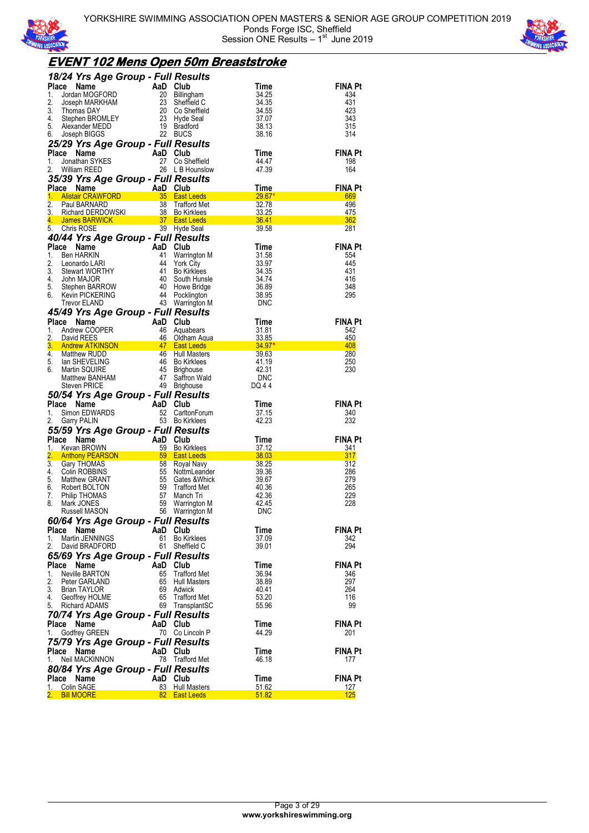



# **EVENT 102 Mens Open 50m Breaststroke**

| 18/24 Yrs Age Group - Full Results                  |                 |                                  |                     |                |
|-----------------------------------------------------|-----------------|----------------------------------|---------------------|----------------|
| Place<br>Name                                       | AaD Club        |                                  | Time                | FINA Pt        |
| Jordan MOGFORD<br>1.                                | 20              | Billingham                       | 34.25               | 434            |
| 2.<br>Joseph MARKHAM<br>3.<br>Thomas DAY            | 23<br>20        | Sheffield C<br>Co Sheffield      | 34.35<br>34.55      | 431<br>423     |
| 4.<br>Stephen BROMLEY                               | 23              | Hyde Seal                        | 37.07               | 343            |
| 5.<br>Alexander MEDD                                | 19              | <b>Bradford</b>                  | 38.13               | 315            |
| 6.<br>Joseph BIGGS                                  | 22              | <b>BUCS</b>                      | 38.16               | 314            |
| 25/29 Yrs Age Group - Full Results                  |                 |                                  |                     |                |
| Place Name                                          | AaD Club        |                                  | Time                | <b>FINA Pt</b> |
| 1.<br>Jonathan SYKES                                | 27              | Co Sheffield                     | 44.47               | 198            |
| 2.<br>William REED                                  | 26              | L B Hounslow                     | 47.39               | 164            |
| 35/39 Yrs Age Group - Full Results                  |                 |                                  |                     |                |
| Place Name<br>1.<br><b>Alistair CRAWFORD</b>        | AaD Club<br>35  | <b>East Leeds</b>                | Time<br>$29.67*$    | FINA Pt<br>669 |
| $\overline{2}$ .<br>Paul BARNARD                    | 38              | <b>Trafford Met</b>              | 32.78               | 496            |
| 3.<br>Richard DERDOWSKI                             | 38              | <b>Bo Kirklees</b>               | 33.25               | 475            |
| 4.<br>James BARWICK                                 | 37 <sup>2</sup> | <b>East Leeds</b>                | 36.41               | <u>362</u>     |
| 5.<br>Chris ROSE                                    | 39              | Hyde Seal                        | 39.58               | 281            |
| 40/44 Yrs Age Group - Full Results                  |                 |                                  |                     |                |
| Place<br>Name                                       | AaD Club        |                                  | Time                | <b>FINA Pt</b> |
| 1.<br><b>Ben HARKIN</b><br>2.<br>Leonardo LARI      | 41<br>44        | Warrington M<br><b>York City</b> | 31.58<br>33.97      | 554<br>445     |
| 3.<br><b>Stewart WORTHY</b>                         | 41              | <b>Bo Kirklees</b>               | 34.35               | 431            |
| 4.<br>John MAJOR                                    | 40              | South Hunsle                     | 34.74               | 416            |
| 5.<br>Stephen BARROW                                | 40              | Howe Bridge                      | 36.89               | 348            |
| 6.<br><b>Kevin PICKERING</b>                        | 44              | Pocklington                      | 38.95               | 295            |
| Trevor ELAND                                        |                 | 43 Warrington M                  | <b>DNC</b>          |                |
| 45/49 Yrs Age Group - Full Results<br>Place<br>Name | AaD Club        |                                  |                     |                |
| 1.<br>Andrew COOPER                                 | 46              | Aquabears                        | Time<br>31.81       | FINA Pt<br>542 |
| 2.<br>David REES                                    | 46              | Oldham Aqua                      | 33.85               | 450            |
| 3.<br><b>Andrew ATKINSON</b>                        | 47              | <b>East Leeds</b>                | $34.97*$            | 408            |
| 4.<br>Matthew RUDD                                  |                 | 46 Hull Masters                  | 39.63               | 280            |
| 5.<br>lan SHEVELING<br>6.<br>Martin SQUIRE          | 46<br>45        | <b>Bo Kirklees</b>               | 41.19<br>42.31      | 250<br>230     |
| Matthew BANHAM                                      | 47              | <b>Brighouse</b><br>Saffron Wald | <b>DNC</b>          |                |
| Steven PRICE                                        | 49              | <b>Brighouse</b>                 | DQ 44               |                |
|                                                     |                 |                                  |                     |                |
|                                                     |                 |                                  |                     |                |
| 50/54 Yrs Age Group - Full Results<br>Place<br>Name | AaD             | Club                             | Time                | FINA Pt        |
| 1.<br>Simon EDWARDS                                 | 52              | CarltonForum                     | 37.15               | 340            |
| 2.<br>Garry PALIN                                   |                 | 53 Bo Kirklees                   | 42.23               | 232            |
| 55/59 Yrs Age Group - Full Results                  |                 |                                  |                     |                |
| Place<br>Name                                       | AaD             | Club                             | Time                | <b>FINA Pt</b> |
| 1.<br>Kevan BROWN                                   |                 | 59 Bo Kirklees                   | 37.12               | 341            |
| 2.<br><b>Anthony PEARSON</b>                        | 59 <sup>°</sup> | <b>East Leeds</b>                | 38.03               | 317            |
| 3.<br>Gary THOMAS<br>4.<br>Colin ROBBINS            | 58<br>55        | Royal Navy<br>NottmLeander       | 38.25<br>39.36      | 312<br>286     |
| 5.<br><b>Matthew GRANT</b>                          | 55              | Gates & Whick                    | 39.67               | 279            |
| 6.<br>Robert BOLTON                                 | 59              | <b>Trafford Met</b>              | 40.36               | 265            |
| 7.<br>Philip THOMAS                                 | 57              | Manch Tri                        | 42.36               | 229            |
| 8.<br>Mark JONES<br>Russell MASON                   | 59<br>56        | Warrington M<br>Warrington M     | 42.45<br><b>DNC</b> | 228            |
|                                                     |                 |                                  |                     |                |
| 60/64 Yrs Age Group - Full Results<br>Place<br>Name | AaD             | Club                             | Time                | FINA Pt        |
| Martin JENNINGS<br>1.                               | 61              | <b>Bo Kirklees</b>               | 37.09               | 342            |
| 2.<br>David BRADFORD                                | 61              | Sheffield C                      | 39.01               | 294            |
| 65/69 Yrs Age Group - Full Results                  |                 |                                  |                     |                |
| Place<br>Name                                       | AaD             | Club                             | Time                | <b>FINA Pt</b> |
| 1.<br>Neville BARTON                                | 65              | <b>Trafford Met</b>              | 36.94               | 346            |
| 2.<br>Peter GARLAND<br>3.                           | 65<br>69        | <b>Hull Masters</b>              | 38.89               | 297<br>264     |
| <b>Brian TAYLOR</b><br>4.<br>Geoffrey HOLME         | 65              | Adwick<br><b>Trafford Met</b>    | 40.41<br>53.20      | 116            |
| 5.<br>Richard ADAMS                                 | 69              | TransplantSC                     | 55.96               | 99             |
| 70/74 Yrs Age Group - Full Results                  |                 |                                  |                     |                |
| Place<br>Name                                       | AaD             | Club                             | Time                | <b>FINA Pt</b> |
| <b>Godfrey GREEN</b><br>1.                          | 70              | Co Lincoln P                     | 44.29               | 201            |
| 75/79 Yrs Age Group - Full Results                  |                 |                                  |                     |                |
| Place<br>Name                                       | AaD             | Club                             | Time                | <b>FINA Pt</b> |
| Neil MACKINNON<br>1.                                | 78              | Trafford Met                     | 46.18               | 177            |
| 80/84 Yrs Age Group - Full Results                  |                 |                                  |                     |                |
| Place<br>Name<br>Colin SAGE<br>1.                   | AaD<br>83       | Club<br><b>Hull Masters</b>      | Time<br>51.62       | FINA Pt<br>127 |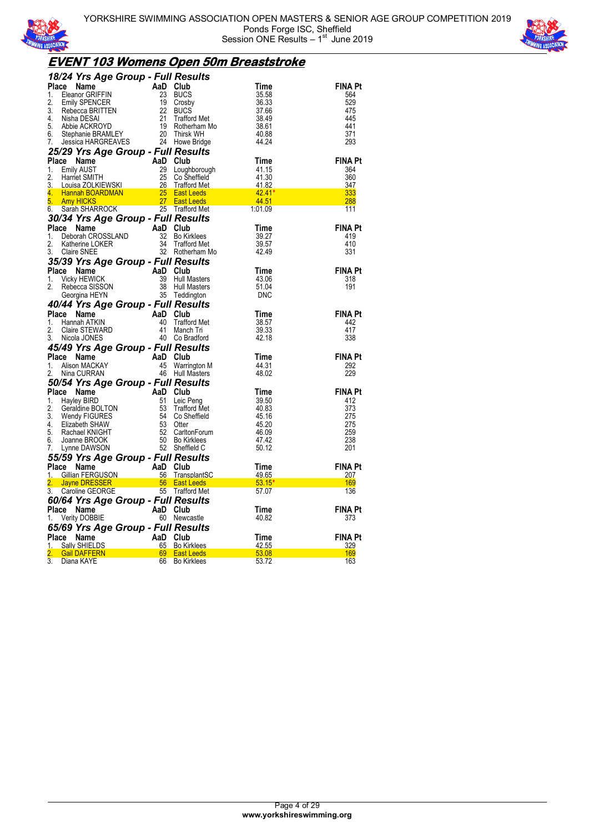



#### **EVENT 103 Womens Open 50m Breaststroke**

| 18/24 Yrs Age Group - Full Results                       |          |                                     |                              |                |
|----------------------------------------------------------|----------|-------------------------------------|------------------------------|----------------|
| Place<br>Name                                            | AaD      | Club                                | Time                         | <b>FINA Pt</b> |
| Eleanor GRIFFIN<br>1.                                    | 23       | <b>BUCS</b>                         | 35.58                        | 564            |
| 2.<br><b>Emily SPENCER</b>                               | 19       | Crosby                              | 36.33                        | 529            |
| 3.<br>Rebecca BRITTEN                                    | 22       | <b>BUCS</b>                         | 37.66                        | 475            |
| 4<br>Nisha DESAI                                         | 21       | Trafford Met                        | 38.49                        | 445            |
| 5.<br>Abbie ACKROYD                                      | - 19     | Rotherham Mo                        | 38.61                        | 441            |
| Stephanie BRAMLEY<br>6.                                  | 20       | Thirsk WH                           | 40.88                        | 371            |
| Jessica HARGREAVES<br>7.                                 |          | 24 Howe Bridge                      | 44.24                        | 293            |
| 25/29 Yrs Age Group - Full Results                       |          |                                     |                              |                |
| Place<br>Name                                            | AaD Club |                                     | Time                         | <b>FINA Pt</b> |
| 1.<br><b>Emily AUST</b><br>2.                            | 29<br>25 | Loughborough<br>Co Sheffield        | 41.15<br>41.30               | 364<br>360     |
| Harriet SMITH<br>3.<br>Louisa ZOLKIEWSKI                 | 26       | <b>Trafford Met</b>                 | 41.82                        | 347            |
| 4.                                                       |          | <b>East Leeds</b>                   |                              | 333            |
| Hannah BOARDMAN 25<br>5.<br><b>Amy HICKS</b>             |          | 27 East Leeds                       | $\frac{42.41}{44.51}$        | 288            |
| Sarah SHARROCK<br>6.                                     |          | 25 Trafford Met                     | 1:01.09                      | 111            |
| 30/34 Yrs Age Group - Full Results                       |          |                                     |                              |                |
| Place Name                                               | AaD      | Club                                | Time                         | <b>FINA Pt</b> |
| 1.                                                       | 32       | <b>Bo Kirklees</b>                  | 39.27                        | 419            |
| Deborah CROSSLAND<br>Katherine LOKER<br>China CNEE<br>2. | 34       | <b>Trafford Met</b>                 | 39.57                        | 410            |
| 3.<br><b>Claire SNEE</b>                                 | 32       | Rotherham Mo                        | 42.49                        | 331            |
| 35/39 Yrs Age Group - Full Results                       |          |                                     |                              |                |
| Place<br>Name                                            | AaD      | Club                                | Time                         | <b>FINA Pt</b> |
| <b>Vicky HEWICK</b><br>1.                                | 39       | <b>Hull Masters</b>                 | 43.06                        | 318            |
| 2.<br>Rebecca SISSON                                     | 38       | Hull Masters                        | 51.04                        | 191            |
| Georgina HEYN                                            |          | 35 Teddington                       | DNC                          |                |
| 40/44 Yrs Age Group - Full Results                       |          |                                     |                              |                |
| Place<br>Name                                            | AaD      | Club                                | Time                         | <b>FINA Pt</b> |
| 1.<br>Hannah ATKIN                                       | 40       | Trafford Met                        | 38.57                        | 442            |
| 2.<br>Claire STEWARD                                     | 41       | Manch Tri                           | 39.33                        | 417            |
| 3.<br>Nicola JONES                                       | - 40     | Co Bradford                         | 42.18                        | 338            |
| 45/49 Yrs Age Group - Full Results                       |          |                                     |                              |                |
| Place<br>Name                                            | AaD      | Club                                | Time                         | <b>FINA Pt</b> |
| Alison MACKAY<br>1.                                      | 45       | Warrington M                        | 44.31                        | 292            |
| Nina CURRAN<br>2.                                        | 46       | Hull Masters                        | 48.02                        | 229            |
| 50/54 Yrs Age Group - Full Results                       |          |                                     |                              |                |
| <b>Place</b><br>Name                                     | AaD Club |                                     | Time                         | <b>FINA Pt</b> |
| 1.<br><b>Hayley BIRD</b><br>2.                           | 51<br>53 | Leic Peng                           | 39.50<br>40.83               | 412<br>373     |
| Geraldine BOLTON<br>3.<br>Wendy FIGURES                  | -54      | <b>Trafford Met</b><br>Co Sheffield | 45.16                        | 275            |
| 4.<br>Elizabeth SHAW                                     | - 53     | Otter                               | 45.20                        | 275            |
| 5.<br>Rachael KNIGHT                                     | -52      | CarltonForum                        | 46.09                        | 259            |
| 6.<br>Joanne BROOK                                       | 50       | <b>Bo Kirklees</b>                  | 47.42                        | 238            |
| 7.<br>Lynne DAWSON                                       |          | 52 Sheffield C                      | 50.12                        | 201            |
| 55/59 Yrs Age Group - Full Results                       |          |                                     |                              |                |
| Place<br>Name                                            | AaD      | Club                                | Time                         | <b>FINA Pt</b> |
| Gillian FERGUSON<br>1.                                   | 56       | TransplantSC                        | 49.65                        | 207            |
| <b>Jayne DRESSER</b>                                     | 56       | <b>East Leeds</b>                   | 53.15                        | 169            |
| 3.<br>Caroline GEORGE                                    | 55       | Trafford Met                        | 57.07                        | 136            |
| 60/64 Yrs Age Group - Full Results                       |          |                                     |                              |                |
| Place<br>Name                                            | AaD Club |                                     | Time                         | <b>FINA Pt</b> |
| <b>Verity DOBBIE</b><br>1.                               |          | 60 Newcastle                        | 40.82                        | 373            |
| 65/69 Yrs Age Group - Full Results                       |          |                                     |                              |                |
| Place<br>Name                                            | AaD      | Club                                | Time                         | <b>FINA Pt</b> |
| Sally SHIELDS                                            | 65       | <b>Bo Kirklees</b>                  | 42.55                        | 329            |
| <b>Gail DAFFERN</b><br>3.<br>Diana KAYE                  | 66       | <b>Bo Kirklees</b>                  | 69 East Leeds 53.08<br>53.72 | 169<br>163     |
|                                                          |          |                                     |                              |                |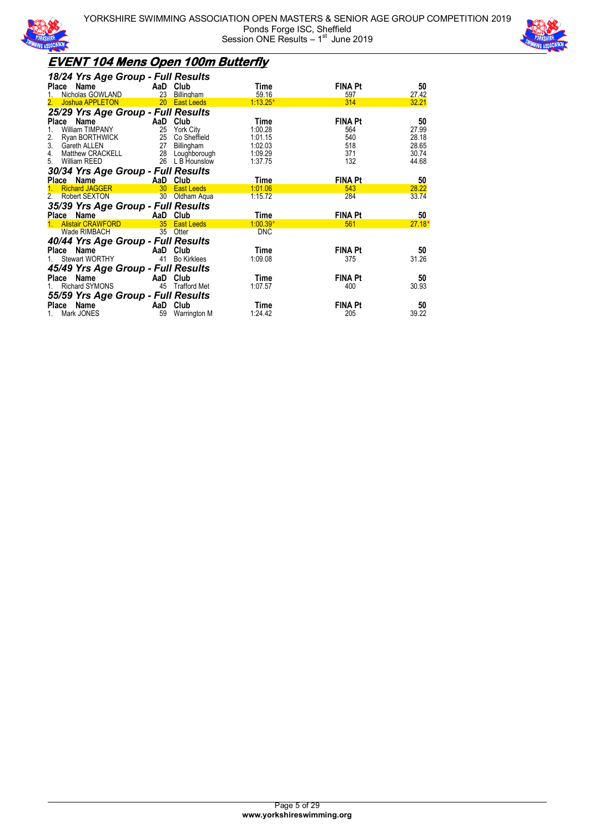



## **EVENT 104 Mens Open 100m Butterfly**

| 18/24 Yrs Age Group - Full Results         |                 |                    |             |                |       |
|--------------------------------------------|-----------------|--------------------|-------------|----------------|-------|
| Place<br>Name<br><b>Example 2</b> AaD Club |                 |                    | Time        | <b>FINA Pt</b> | 50    |
| Nicholas GOWLAND                           | 23              | Billingham         | 59.16       | 597            | 27.42 |
| Joshua APPLETON                            |                 | 20 East Leeds      | $1:13.25*$  | 314            | 32.21 |
| 25/29 Yrs Age Group - Full Results         |                 |                    |             |                |       |
| Place<br>Name                              |                 | AaD Club           | Time        | <b>FINA Pt</b> | 50    |
| William TIMPANY<br>$1_{-}$                 |                 | 25 York City       | 1:00.28     | 564            | 27.99 |
| Ryan BORTHWICK<br>2.                       | 25              | Co Sheffield       | 1:01.15     | 540            | 28.18 |
| 3.<br>Gareth ALLEN                         | 27              | Billingham         | 1:02.03     | 518            | 28.65 |
| Matthew CRACKELL<br>4.                     |                 | 28 Loughborough    | 1:09.29     | 371            | 30.74 |
| 5.<br>William REED                         |                 | 26 L B Hounslow    | 1.37.75     | 132            | 44.68 |
| 30/34 Yrs Age Group - Full Results         |                 |                    |             |                |       |
| Name<br>Place                              |                 | AaD Club           | <b>Time</b> | <b>FINA Pt</b> | 50    |
| <b>Richard JAGGER</b>                      |                 | 30 East Leeds      | 1 01 06     | 543            | 28.22 |
| 2.<br><b>Robert SEXTON</b>                 | 30 <sup>2</sup> | Oldham Aqua        | 1:15.72     | 284            | 33.74 |
| 35/39 Yrs Age Group - Full Results         |                 |                    |             |                |       |
| Place Name                                 |                 | AaD Club           | Time        | <b>FINA Pt</b> | 50    |
| <b>Alistair CRAWFORD</b>                   |                 | 35 East Leeds      | $1:00.39*$  | 561            | 27.18 |
| Wade RIMBACH                               | 35 <sup>7</sup> | Otter              | <b>DNC</b>  |                |       |
| 40/44 Yrs Age Group - Full Results         |                 |                    |             |                |       |
| Place Name                                 |                 | AaD Club           | Time        | <b>FINA Pt</b> | 50    |
| Stewart WORTHY                             | 41              | <b>Bo Kirklees</b> | 1 09 08     | 375            | 31.26 |
| 45/49 Yrs Age Group - Full Results         |                 |                    |             |                |       |
| Name<br>Place                              |                 | AaD Club           | Time        | <b>FINA Pt</b> | 50    |
| <b>Richard SYMONS</b>                      |                 | 45 Trafford Met    | 1.07.57     | 400            | 30.93 |
| 55/59 Yrs Age Group - Full Results         |                 |                    |             |                |       |
| Name<br>Place                              |                 | AaD Club           | Time        | <b>FINA Pt</b> | 50    |
| Mark JONES                                 | 59              | Warrington M       | 1.24.42     | 205            | 39.22 |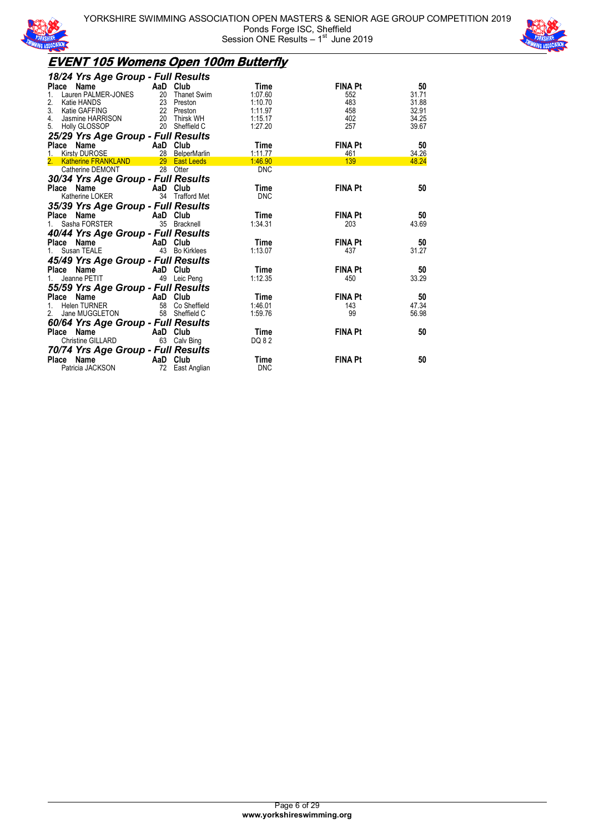



## **EVENT 105 Womens Open 100m Butterfly**

| 18/24 Yrs Age Group - Full Results                                                                                                                                                                              |          |                 |            |                |       |
|-----------------------------------------------------------------------------------------------------------------------------------------------------------------------------------------------------------------|----------|-----------------|------------|----------------|-------|
| Place Name<br>1. Lauren PALMER-JONES<br>2. Katie HANDS<br>2. Katie HANDS<br>2. Satie HANDS<br>2. Satie GAFFING<br>4. Jasmine HARRISON<br>5. Holly GLOSSOP<br>2. Thirsk WH<br>5. Holly GLOSSOP<br>2. Sheffield C |          |                 | Time       | <b>FINA Pt</b> | 50    |
|                                                                                                                                                                                                                 |          |                 | 1:07.60    | 552            | 31.71 |
|                                                                                                                                                                                                                 |          |                 | 1:10.70    | 483            | 31.88 |
|                                                                                                                                                                                                                 |          |                 | 1:11.97    | 458            | 32.91 |
|                                                                                                                                                                                                                 |          |                 | 1:15.17    | 402            | 34.25 |
| 5. Holly GLOSSOP                                                                                                                                                                                                |          | 20 Sheffield C  | 1:27.20    | 257            | 39.67 |
| 25/29 Yrs Age Group - Full Results                                                                                                                                                                              |          |                 |            |                |       |
|                                                                                                                                                                                                                 |          |                 | Time       | <b>FINA Pt</b> | 50    |
|                                                                                                                                                                                                                 |          |                 | 1:11.77    | 461            | 34.26 |
| <b>Place Name And Club</b><br>1. Kirsty DUROSE 28 BelperMarlin<br>2. Katherine FRANKLAND 29 East Leeds                                                                                                          |          |                 | 1.46.90    | 139            | 48.24 |
| Catherine DEMONT                                                                                                                                                                                                |          | 28 Otter        | <b>DNC</b> |                |       |
| 30/34 Yrs Age Group - Full Results                                                                                                                                                                              |          |                 |            |                |       |
| Place Name AaD Club                                                                                                                                                                                             |          |                 | Time       | <b>FINA Pt</b> | 50    |
| Katherine LOKER                                                                                                                                                                                                 |          | 34 Trafford Met | <b>DNC</b> |                |       |
| 35/39 Yrs Age Group - Full Results                                                                                                                                                                              |          |                 |            |                |       |
| Place Name AaD Club                                                                                                                                                                                             |          |                 | Time       | <b>FINA Pt</b> | 50    |
| 1 Sasha FORSTER                                                                                                                                                                                                 |          | 35 Bracknell    | 1:34.31    | 203            | 43.69 |
| 40/44 Yrs Age Group - Full Results                                                                                                                                                                              |          |                 |            |                |       |
|                                                                                                                                                                                                                 |          |                 | Time       | <b>FINA Pt</b> | 50    |
| <b>Place Name</b><br>1. Susan TEALE<br>1. Susan TEALE<br>13 Bo Kiri                                                                                                                                             |          | 43 Bo Kirklees  | 1:13.07    | 437            | 31.27 |
| 45/49 Yrs Age Group - Full Results                                                                                                                                                                              |          |                 |            |                |       |
| Place Name AaD Club                                                                                                                                                                                             |          |                 | Time       | <b>FINA Pt</b> | 50    |
| Jeanne PETIT 49 Leic Peng<br>1.                                                                                                                                                                                 |          |                 | 1:12.35    | 450            | 33.29 |
| 55/59 Yrs Age Group - Full Results                                                                                                                                                                              |          |                 |            |                |       |
| Place Name AaD Club                                                                                                                                                                                             |          |                 | Time       | <b>FINA Pt</b> | 50    |
| Helen TURNER<br>1.                                                                                                                                                                                              |          | 58 Co Sheffield | 1:46.01    | 143            | 47.34 |
| 2. Jane MUGGLETON                                                                                                                                                                                               |          | 58 Sheffield C  | 1:59.76    | 99             | 56.98 |
| 60/64 Yrs Age Group - Full Results                                                                                                                                                                              |          |                 |            |                |       |
| Place Name                                                                                                                                                                                                      | AaD Club |                 | Time       | <b>FINA Pt</b> | 50    |
| <b>Christine GILLARD</b>                                                                                                                                                                                        |          | 63 Calv Bing    | DQ 82      |                |       |
| 70/74 Yrs Age Group - Full Results                                                                                                                                                                              |          |                 |            |                |       |
| <b>Example 21 AaD</b> Club<br>Place Name                                                                                                                                                                        |          |                 | Time       | <b>FINA Pt</b> | 50    |
| Patricia JACKSON                                                                                                                                                                                                |          | 72 East Anglian | <b>DNC</b> |                |       |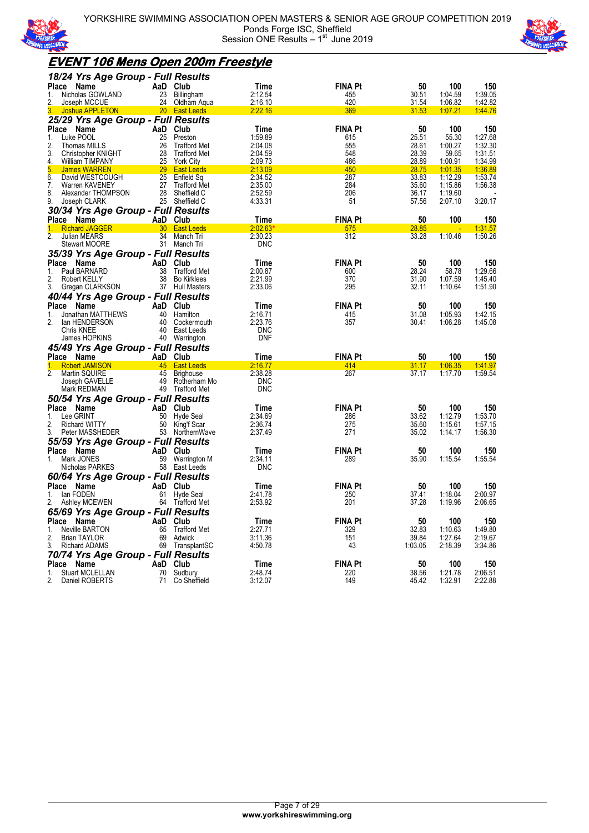



## **EVENT 106 Mens Open 200m Freestyle**

| 18/24 Yrs Age Group - Full Results<br>Place Name<br>Nicholas GOWLAND<br>1.<br>2.<br>Joseph MCCUE                                                                      | AaD Club<br>23<br>24  | Billingham<br>Oldham Agua                                                  | Time<br>2:12.54<br>2:16.10                      | <b>FINA Pt</b><br>455<br>420        | 50<br>30.51<br>31.54             | 100<br>1:04.59<br>1:06.82              | 150<br>1:39.05<br>1:42.82                |
|-----------------------------------------------------------------------------------------------------------------------------------------------------------------------|-----------------------|----------------------------------------------------------------------------|-------------------------------------------------|-------------------------------------|----------------------------------|----------------------------------------|------------------------------------------|
| Joshua APPLETON                                                                                                                                                       |                       | 20 East Leeds                                                              | 2:22.16                                         | 369                                 | 31.53                            | 1:07.21                                | 144.76                                   |
| 25/29 Yrs Age Group - Full Results<br>Place<br>Name<br>Luke POOL<br>1.<br>2.<br><b>Thomas MILLS</b>                                                                   | AaD<br>25<br>26       | Club<br>Preston<br><b>Trafford Met</b>                                     | Time<br>1:59.89<br>2:04.08                      | <b>FINA Pt</b><br>615<br>555        | 50<br>25.51<br>28.61             | 100<br>55.30<br>1:00.27                | 150<br>1:27.68<br>1:32.30                |
| 3.<br>Christopher KNIGHT<br>4.<br><b>William TIMPANY</b><br>5.<br><b>James WARREN</b><br>6.<br>David WESTCOUGH                                                        | 28<br>25<br>29<br>25  | <b>Trafford Met</b><br><b>York City</b><br><b>East Leeds</b><br>Enfield Sq | 2:04.59<br>2:09.73<br>2:13.09<br>2 34 52        | 548<br>486<br>450<br>287            | 28.39<br>28.89<br>28.75<br>33.83 | 59.65<br>1:00.91<br>1:01.35<br>1:12.29 | 1:31.51<br>1:34.99<br>1:36.89<br>1:53.74 |
| 7.<br>Warren KAVENEY<br>8.<br>Alexander THOMPSON<br>9.<br>Joseph CLARK<br>30/34 Yrs Age Group - Full Results                                                          | 27<br>28              | <b>Trafford Met</b><br>Sheffield C<br>25 Sheffield C                       | 2.35.00<br>2:52.59<br>4 33 31                   | 284<br>206<br>51                    | 35.60<br>36.17<br>57.56          | 1:15.86<br>1:19.60<br>2:07.10          | 1:56.38<br>3:20.17                       |
| Place Name                                                                                                                                                            | AaD Club              |                                                                            | Time                                            | <b>FINA Pt</b>                      | 50                               | 100                                    | 150                                      |
| <b>Richard JAGGER</b><br>1.<br>2 <sub>1</sub><br>Julian MEARS<br><b>Stewart MOORE</b><br>35/39 Yrs Age Group - Full Results                                           | 30<br>34<br>31        | <b>East Leeds</b><br>Manch Tri<br>Manch Tri                                | 2.02.63<br>2:30.23<br><b>DNC</b>                | 575<br>312                          | 28.85<br>33.28                   | 1:10.46                                | 1:31.57<br>1:50.26                       |
| Place<br>Name<br>1.<br>Paul BARNARD<br>2.<br><b>Robert KELLY</b><br>3.<br>Gregan CLARKSON                                                                             | AaD<br>38<br>38<br>37 | Club<br><b>Trafford Met</b><br><b>Bo Kirklees</b><br><b>Hull Masters</b>   | Time<br>2:00.87<br>2:21.99<br>2:33.06           | <b>FINA Pt</b><br>600<br>370<br>295 | 50<br>28.24<br>31.90<br>32.11    | 100<br>58.78<br>1:07.59<br>1:10.64     | 150<br>1:29.66<br>1:45.40<br>1:51.90     |
| 40/44 Yrs Age Group - Full Results<br>Place Name<br>1.<br>Jonathan MATTHEWS<br>2.<br>lan HENDERSON<br>Chris KNEE<br>James HOPKINS                                     | AaD<br>40<br>40<br>40 | Club<br>Hamilton<br>Cockermouth<br>East Leeds<br>40 Warrington             | Time<br>2:16.71<br>2:23.76<br>DNC<br><b>DNF</b> | <b>FINA Pt</b><br>415<br>357        | 50<br>31.08<br>30.41             | 100<br>1:05.93<br>1:06.28              | 150<br>1:42.15<br>1:45.08                |
| 45/49 Yrs Age Group - Full Results                                                                                                                                    |                       |                                                                            |                                                 |                                     |                                  |                                        |                                          |
|                                                                                                                                                                       |                       |                                                                            |                                                 |                                     |                                  |                                        |                                          |
| Place Name                                                                                                                                                            | AaD Club              |                                                                            | Time                                            | <b>FINA Pt</b>                      | 50                               | 100                                    | 150                                      |
| <b>Robert JAMISON</b><br>1.<br>2 <sub>1</sub><br>Martin SQUIRE<br>Joseph GAVELLE<br>Mark REDMAN                                                                       | 45<br>45<br>49        | <b>East Leeds</b><br><b>Brighouse</b><br>Rotherham Mo<br>49 Trafford Met   | 2:16.77<br>2:38.28<br><b>DNC</b><br><b>DNC</b>  | 414<br>267                          | 31.17<br>37.17                   | 1:06.35<br>1:17.70                     | 1:41.97<br>1:59.54                       |
| 50/54 Yrs Age Group - Full Results<br>Place<br>Name<br>1.<br>Lee GRINT<br>2.<br><b>Richard WITTY</b>                                                                  | AaD<br>50<br>50       | Club<br>Hyde Seal<br>King'f Scar                                           | Time<br>2:34.69<br>2:36.74                      | <b>FINA Pt</b><br>286<br>275        | 50<br>33.62<br>35.60             | 100<br>1:12.79<br>1:15.61              | 150<br>1:53.70<br>1:57.15                |
| Peter MASSHEDER<br>3.<br>55/59 Yrs Age Group - Full Results<br>Place<br>Name<br>Mark JONES<br>1.                                                                      | 53<br>AaD<br>59       | NorthernWave<br>Club<br><b>Warrington M</b>                                | 2:37.49<br>Time<br>2:34.11                      | 271<br><b>FINA Pt</b><br>289        | 35.02<br>50<br>35.90             | 1:14.17<br>100<br>1:15.54              | 1:56.30<br>150<br>1:55.54                |
| Nicholas PARKES                                                                                                                                                       | 58                    | East Leeds                                                                 | <b>DNC</b>                                      |                                     |                                  |                                        |                                          |
| 60/64 Yrs Age Group - Full Results<br>Place<br>Name<br>1.<br>lan FODEN<br>Ashley MCEWEN<br>2.                                                                         | AaD<br>61             | Club<br>Hyde Seal<br>64 Trafford Met                                       | Time<br>2:41.78<br>2:53.92                      | <b>FINA Pt</b><br>250<br>201        | 50<br>37.41<br>37.28             | 100<br>1:18.04<br>1:19.96              | 150<br>2:00.97<br>2:06.65                |
| 65/69 Yrs Age Group - Full Results<br>Place<br>Name<br>Neville BARTON<br>1.<br>2.<br>Brian TAYLOR<br>3.<br><b>Richard ADAMS</b><br>70/74 Yrs Age Group - Full Results | AaD Club<br>65<br>69  | <b>Trafford Met</b><br>Adwick<br>69 TransplantSC                           | Time<br>2:27.71<br>3:11.36<br>4:50.78           | <b>FINA Pt</b><br>329<br>151<br>43  | 50<br>32.83<br>39.84<br>1:03.05  | 100<br>1:10.63<br>1.27.64<br>2:18.39   | 150<br>1:49.80<br>2:19.67<br>3:34.86     |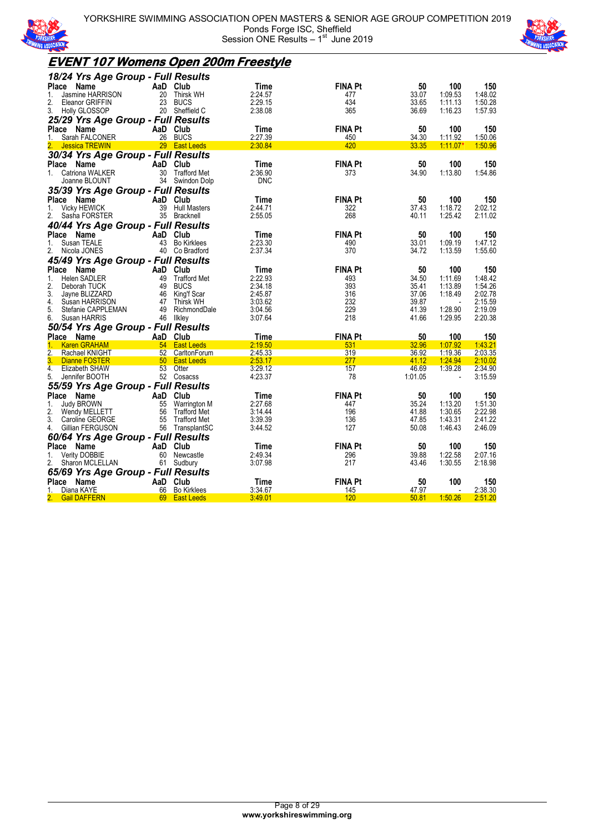



## **EVENT 107 Womens Open 200m Freestyle**

| 18/24 Yrs Age Group - Full Results |                 |                     |             |                |         |            |         |
|------------------------------------|-----------------|---------------------|-------------|----------------|---------|------------|---------|
| Place Name                         |                 | AaD Club            | Time        | <b>FINA Pt</b> | 50      | 100        | 150     |
| Jasmine HARRISON<br>1.             |                 | 20 Thirsk WH        | 2:24.57     | 477            | 33.07   | 1:09.53    | 1:48.02 |
| 2.<br>Eleanor GRIFFIN              | 23              | <b>BUCS</b>         | 2:29.15     | 434            | 33.65   | 1:11.13    | 1:50.28 |
| 3.<br>Holly GLOSSOP                |                 | 20 Sheffield C      | 2:38.08     | 365            | 36.69   | 1:16.23    | 1:57.93 |
| 25/29 Yrs Age Group - Full Results |                 |                     |             |                |         |            |         |
| Place Name                         |                 | AaD Club            | Time        | <b>FINA Pt</b> | 50      | 100        | 150     |
| Sarah FALCONER<br>$1_{-}$          |                 | 26 BUCS             | 2:27.39     | 450            | 34.30   | 1:11.92    | 1:50.06 |
| 2.<br><b>Jessica TREWIN</b>        |                 | 29 East Leeds       | 2:30.84     | 420            | 33.35   | $1:11.07*$ | 1:50.96 |
| 30/34 Yrs Age Group - Full Results |                 |                     |             |                |         |            |         |
| Place<br>Name                      |                 | AaD Club            | Time        | <b>FINA Pt</b> | 50      | 100        | 150     |
| 1. Catriona WALKER                 |                 | 30 Trafford Met     | 2:36.90     | 373            | 34.90   | 1:13.80    | 1:54.86 |
| Joanne BLOUNT                      |                 | 34 Swindon Dolp     | DNC         |                |         |            |         |
| 35/39 Yrs Age Group - Full Results |                 |                     |             |                |         |            |         |
| Place<br>Name                      |                 | AaD Club            | Time        | <b>FINA Pt</b> | 50      | 100        | 150     |
| <b>Vicky HEWICK</b><br>1.          |                 | 39 Hull Masters     | 2 44.71     | 322            | 37.43   | 1:18.72    | 2:02.12 |
| 2.<br>Sasha FORSTER                |                 | 35 Bracknell        | 2:55.05     | 268            | 40.11   | 1:25.42    | 2:11.02 |
| 40/44 Yrs Age Group - Full Results |                 |                     |             |                |         |            |         |
| Place<br>Name                      | AaD Club        |                     | Time        | <b>FINA Pt</b> | 50      | 100        | 150     |
| 1.<br>Susan TEALE                  |                 | 43 Bo Kirklees      | 2.23.30     | 490            | 33.01   | 1:09.19    | 1:47.12 |
| 2.<br>Nicola JONES                 |                 | 40 Co Bradford      | 2:37.34     | 370            | 34.72   | 1:13.59    | 1:55.60 |
| 45/49 Yrs Age Group - Full Results |                 |                     |             |                |         |            |         |
| Place<br>Name                      |                 | AaD Club            | Time        | <b>FINA Pt</b> | 50      | 100        | 150     |
| 1.<br><b>Helen SADLER</b>          |                 | 49 Trafford Met     | 2.22.93     | 493            | 34.50   | 1:11.69    | 1:48.42 |
| 2.<br>Deborah TUCK                 | 49              | <b>BUCS</b>         | 2:34.18     | 393            | 35.41   | 1:13.89    | 1:54.26 |
| 3.<br>Jayne BLIZZARD               | 46              | King'f Scar         | 2:45.87     | 316            | 37.06   | 1:18.49    | 2:02.78 |
| 4.<br>Susan HARRISON               |                 | 47 Thirsk WH        | 3:03.62     | 232            | 39.87   |            | 2:15.59 |
| 5.<br>Stefanie CAPPLEMAN           |                 | 49 RichmondDale     | 3.04.56     | 229            | 41.39   | 1:28.90    | 2:19.09 |
| 6.<br>Susan HARRIS                 |                 | 46 Ilkley           | 3.07.64     | 218            | 41.66   | 1:29.95    | 2:20.38 |
| 50/54 Yrs Age Group - Full Results |                 |                     |             |                |         |            |         |
| Place Name                         | AaD Club        |                     | <b>Time</b> | <b>FINA Pt</b> | 50      | 100        | 150     |
| <b>Karen GRAHAM</b><br>1.          |                 | 54 East Leeds       | 2.19.50     | 531            | 32.96   | 1:07.92    | 143.21  |
| 2.<br>Rachael KNIGHT               |                 | 52 CarltonForum     | 2.45.33     | 319            | 36.92   | 1:19.36    | 2:03.35 |
| 3.<br>Dianne FOSTER                | 50 <sup>°</sup> | <b>East Leeds</b>   | 2:53.17     | 277            | 41.12   | 1:24.94    | 2:10.02 |
| $\overline{4}$ .<br>Elizabeth SHAW |                 | 53 Otter            | 3:29.12     | 157            | 46.69   | 1:39.28    | 2:34.90 |
| 5.<br>Jennifer BOOTH               |                 | 52 Cosacss          | 4:23.37     | 78             | 1:01.05 |            | 3:15.59 |
| 55/59 Yrs Age Group - Full Results |                 |                     |             |                |         |            |         |
| Place<br>Name                      | AaD Club        |                     | Time        | <b>FINA Pt</b> | 50      | 100        | 150     |
| 1.<br><b>Judy BROWN</b>            |                 | 55 Warrington M     | 2:27.68     | 447            | 35.24   | 1:13.20    | 1:51.30 |
| 2.<br>Wendy MELLETT                | 56              | Trafford Met        | 3:14.44     | 196            | 41.88   | 1:30.65    | 2:22.98 |
| 3.<br>Caroline GEORGE              | 55              | <b>Trafford Met</b> | 3:39.39     | 136            | 47.85   | 1:43.31    | 2:41.22 |
| 4.<br>Gillian FERGUSON             |                 | 56 TransplantSC     | 3:44.52     | 127            | 50.08   | 1:46.43    | 2:46.09 |
| 60/64 Yrs Age Group - Full Results |                 |                     |             |                |         |            |         |
| Place<br>Name                      |                 | AaD Club            | Time        | <b>FINA Pt</b> | 50      | 100        | 150     |
| Verity DOBBIE<br>1.                |                 | 60 Newcastle        | 2:49.34     | 296            | 39.88   | 1:22.58    | 2:07.16 |
| Sharon MCLELLAN                    |                 | 61 Sudbury          | 3:07.98     | 217            | 43.46   | 1:30.55    | 2:18.98 |
| 65/69 Yrs Age Group - Full Results |                 |                     |             |                |         |            |         |
| Place Name                         | AaD Club        |                     | Time        | <b>FINA Pt</b> | 50      | 100        | 150     |
| 1.<br>Diana KAYE                   |                 | 66 Bo Kirklees      | 3:34.67     | 145            | 47.97   |            | 2:38.30 |
| 2.<br><b>Gail DAFFERN</b>          | 69              | <b>East Leeds</b>   | 3:49.01     | 120            | 50.81   | 1:50.26    | 2.51.20 |
|                                    |                 |                     |             |                |         |            |         |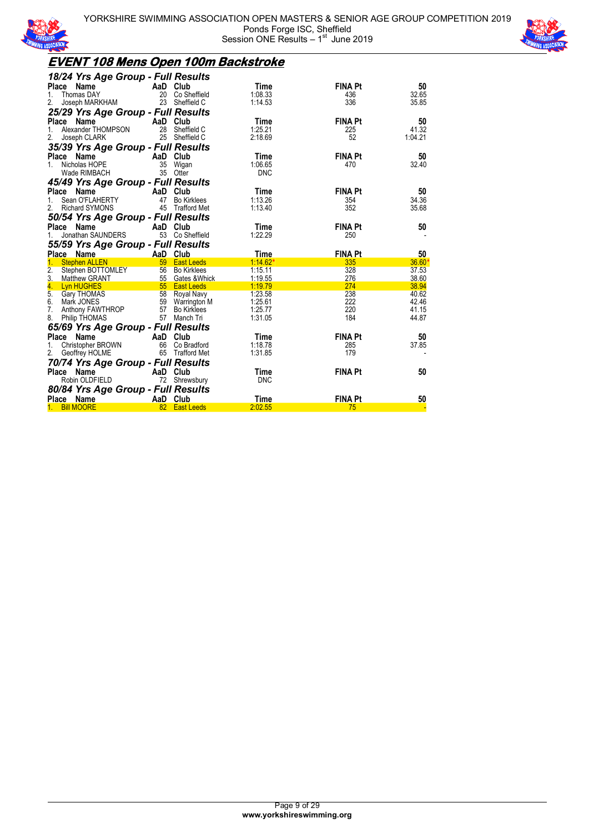



## **EVENT 108 Mens Open 100m Backstroke**

| 18/24 Yrs Age Group - Full Results               |     |                               |                 |                      |          |
|--------------------------------------------------|-----|-------------------------------|-----------------|----------------------|----------|
| Place<br>Name                                    |     | AaD Club                      | Time            | <b>FINA Pt</b>       | 50       |
| Thomas DAY<br>1.                                 | 20  | Co Sheffield                  | 1:08.33         | 436                  | 32.65    |
| 2.<br>Joseph MARKHAM                             | 23  | Sheffield C                   | 1:14.53         | 336                  | 35.85    |
| 25/29 Yrs Age Group - Full Results               |     |                               |                 |                      |          |
| Place<br>Name                                    | AaD | Club                          | Time            | <b>FINA Pt</b>       | 50       |
| Alexander THOMPSON<br>$1_{-}$                    | 28  | Sheffield C                   | 1:25.21         | 225                  | 41.32    |
| 2.<br>Joseph CLARK                               |     | 25 Sheffield C                | 2:18.69         | 52                   | 1:04.21  |
| 35/39 Yrs Age Group - Full Results               |     |                               |                 |                      |          |
| Name<br>Place                                    |     | AaD Club                      | Time            | <b>FINA Pt</b>       | 50       |
| Nicholas HOPE<br>1                               | 35  | Wigan                         | 1:06.65         | 470                  | 32.40    |
| Wade RIMBACH                                     | 35  | Otter                         | <b>DNC</b>      |                      |          |
| 45/49 Yrs Age Group - Full Results               |     |                               |                 |                      |          |
| Place<br>Name                                    |     | AaD Club                      | Time            | <b>FINA Pt</b>       | 50       |
| Sean O'FLAHERTY<br>1.                            | 47  | <b>Bo Kirklees</b>            | 1.13.26         | 354                  | 34.36    |
| $2_{\cdot}$<br><b>Richard SYMONS</b>             |     | 45 Trafford Met               | 1:13.40         | 352                  | 35.68    |
|                                                  |     |                               |                 |                      |          |
| 50/54 Yrs Age Group - Full Results               |     |                               |                 |                      |          |
| Place<br>Name                                    |     | AaD Club                      | Time            | <b>FINA Pt</b>       | 50       |
| Jonathan SAUNDERS<br>1.                          |     | 53 Co Sheffield               | 1:22.29         | 250                  |          |
|                                                  |     |                               |                 |                      |          |
| 55/59 Yrs Age Group - Full Results               |     |                               |                 |                      |          |
| Place Name                                       |     | AaD Club                      | <b>Time</b>     | <b>FINA Pt</b>       | 50       |
| <b>Stephen ALLEN</b>                             | 59  | <b>East Leeds</b>             | $1.14.62*$      | 335                  | $36.60*$ |
| 2.<br>Stephen BOTTOMLEY                          |     | 56 Bo Kirklees                | 1:15.11         | 328                  | 37.53    |
| 3.<br>Matthew GRANT                              |     | 55 Gates & Whick              | 1:19.55         | 276                  | 38.60    |
| 4.<br>Lyn HUGHES                                 |     | 55 East Leeds                 | 1:19.79         | 274                  | 38.94    |
| 5 <sub>1</sub><br><b>Gary THOMAS</b>             |     | 58 Royal Navy                 | 1.23.58         | 238                  | 40.62    |
| 6.<br>Mark JONES                                 |     | 59 Warrington M               | 1.25.61         | 222                  | 42.46    |
| 7.<br>Anthony FAWTHROP                           | 57  | <b>Bo Kirklees</b>            | 1:25.77         | 220                  | 41.15    |
| 8.<br>Philip THOMAS                              |     | 57 Manch Tri                  | 1:31.05         | 184                  | 44.87    |
| 65/69 Yrs Age Group - Full Results               |     |                               |                 |                      |          |
| Place<br>Name                                    | AaD | Club                          | Time            | <b>FINA Pt</b>       | 50       |
| Christopher BROWN<br>1.                          | 66  | Co Bradford                   | 1.18.78         | 285                  | 37.85    |
| 2.<br>Geoffrey HOLME                             |     | 65 Trafford Met               | 1:31.85         | 179                  |          |
|                                                  |     |                               |                 |                      |          |
| 70/74 Yrs Age Group - Full Results<br>Place Name |     | AaD Club                      | Time            | <b>FINA Pt</b>       | 50       |
| Robin OLDFIELD                                   |     | 72 Shrewsbury                 | <b>DNC</b>      |                      |          |
|                                                  |     |                               |                 |                      |          |
| 80/84 Yrs Age Group - Full Results               |     |                               |                 |                      |          |
|                                                  |     |                               |                 |                      |          |
| Place Name<br><b>Bill MOORE</b><br>1.            | 82  | AaD Club<br><b>East Leeds</b> | Time<br>2:02.55 | <b>FINA Pt</b><br>75 | 50       |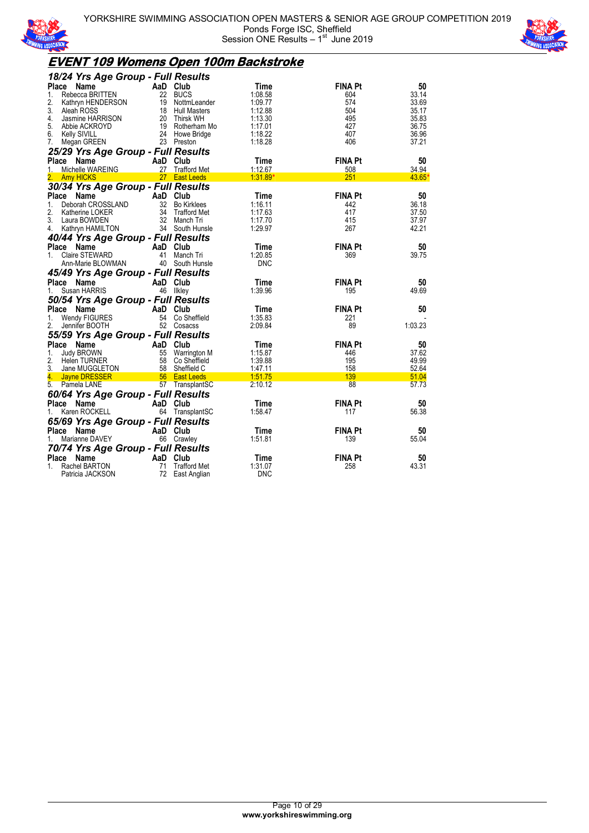



#### **EVENT 109 Womens Open 100m Backstroke**

|                    | 18/24 Yrs Age Group - Full Results |          |                                 |                    |                |                 |
|--------------------|------------------------------------|----------|---------------------------------|--------------------|----------------|-----------------|
| <b>Place</b>       | Name                               |          | AaD Club                        | Time               | <b>FINA Pt</b> | 50              |
| 1.                 | Rebecca BRITTEN                    |          | 22 BUCS                         | 1:08.58            | 604            | 33.14           |
| 2.                 | Kathryn HENDERSON                  |          | 19 NottmLeander                 | 1:09.77            | 574            | 33.69           |
| 3.                 | Aleah ROSS                         |          | 18 Hull Masters                 | 1:12.88            | 504            | 35.17           |
| 4.                 | Jasmine HARRISON                   |          | 20 Thirsk WH                    | 1:13.30            | 495            | 35.83           |
| 5.                 | Abbie ACKROYD                      |          | 19 Rotherham Mo                 | 1:17.01            | 427            | 36.75           |
| 6.                 | <b>Kelly SIVILL</b>                |          | 24 Howe Bridge                  | 1:18.22            | 407            | 36.96           |
| 7.                 | Megan GREEN                        |          | 23 Preston                      | 1:18.28            | 406            | 37.21           |
|                    | 25/29 Yrs Age Group - Full Results |          |                                 |                    |                |                 |
| Place Name         |                                    | AaD      | Club                            | Time               | <b>FINA Pt</b> | 50              |
| 1.                 | Michelle WAREING                   |          | 27 Trafford Met                 | 1:12.67            | 508            | 34.94           |
| 2.                 | <b>Amy HICKS</b>                   |          | 27 East Leeds                   | $1:31.89*$         | 251            | $43.65^{\circ}$ |
|                    | 30/34 Yrs Age Group - Full Results |          |                                 |                    |                |                 |
| Place              | Name                               |          | AaD Club                        | Time               | <b>FINA Pt</b> | 50              |
| 1.                 | Deborah CROSSLAND                  |          | 32 Bo Kirklees                  | 1:16.11            | 442            | 36.18           |
| 2.                 | Katherine LOKER                    | 34       | Trafford Met                    | 1.17.63            | 417            | 37.50           |
| 3.                 | Laura BOWDEN                       |          | 32 Manch Tri                    | 1:17.70            | 415            | 37.97           |
| 4.                 | Kathryn HAMILTON                   |          | 34 South Hunsle                 | 1.29.97            | 267            | 42.21           |
|                    | 40/44 Yrs Age Group - Full Results |          |                                 |                    |                |                 |
| Place Name         |                                    |          | AaD Club                        | Time               | <b>FINA Pt</b> | 50              |
| $1_{-}$            | Claire STEWARD                     | 41       | Manch Tri                       | 1:20.85            | 369            | 39.75           |
|                    | Ann-Marie BLOWMAN                  |          | 40 South Hunsle                 | <b>DNC</b>         |                |                 |
|                    | 45/49 Yrs Age Group - Full Results |          |                                 |                    |                |                 |
| Place              | Name                               |          | AaD Club                        | Time               | <b>FINA Pt</b> | 50              |
| 1.                 | Susan HARRIS                       |          | 46 Ilkley                       | 1.39.96            | 195            | 49.69           |
|                    | 50/54 Yrs Age Group - Full Results |          |                                 |                    |                |                 |
| Place Name         |                                    |          | AaD Club                        | Time               | <b>FINA Pt</b> | 50              |
|                    | Wendy FIGURES                      |          | 54 Co Sheffield                 | 1 35.83            |                |                 |
| 1.<br>2.           | Jennifer BOOTH                     |          | 52 Cosacss                      | 2:09.84            | 221<br>89      | 1:03.23         |
|                    |                                    |          |                                 |                    |                |                 |
|                    | 55/59 Yrs Age Group - Full Results |          |                                 |                    |                |                 |
| Place Name         |                                    | AaD Club |                                 | Time               | <b>FINA Pt</b> | 50              |
| 1.                 | <b>Judy BROWN</b>                  | 55       | Warrington M                    | 1:15.87            | 446            | 37.62           |
| $\mathbf{2}$<br>3. | <b>Helen TURNER</b>                | 58       | Co Sheffield                    | 1:39.88            | 195            | 49.99           |
| 4.                 | Jane MUGGLETON<br>Jayne DRESSER    |          | 58 Sheffield C<br>56 East Leeds | 1:47.11<br>1:51.75 | 158<br>139     | 52.64<br>51.04  |
| 5.                 | Pamela LANE                        |          | 57 TransplantSC                 | 2:10.12            | 88             | 57.73           |
|                    |                                    |          |                                 |                    |                |                 |
|                    | 60/64 Yrs Age Group - Full Results |          |                                 |                    |                |                 |
| Place              | Name                               | AaD Club |                                 | Time               | <b>FINA Pt</b> | 50              |
| 1.                 | Karen ROCKELL                      |          | 64 TransplantSC                 | 1:58.47            | 117            | 56.38           |
|                    | 65/69 Yrs Age Group - Full Results |          |                                 |                    |                |                 |
| Place              | Name                               | AaD Club |                                 | Time               | <b>FINA Pt</b> | 50              |
|                    | Marianne DAVEY                     |          | 66 Crawley                      | 1:51.81            | 139            | 55.04           |
|                    | 70/74 Yrs Age Group - Full Results |          |                                 |                    |                |                 |
| Place              | Name                               |          | AaD Club                        | Time               | <b>FINA Pt</b> | 50              |
| 1.                 | Rachel BARTON                      | 71       | <b>Trafford Met</b>             | 1:31.07            | 258            | 43.31           |
|                    | Patricia JACKSON                   | 72       | East Anglian                    | <b>DNC</b>         |                |                 |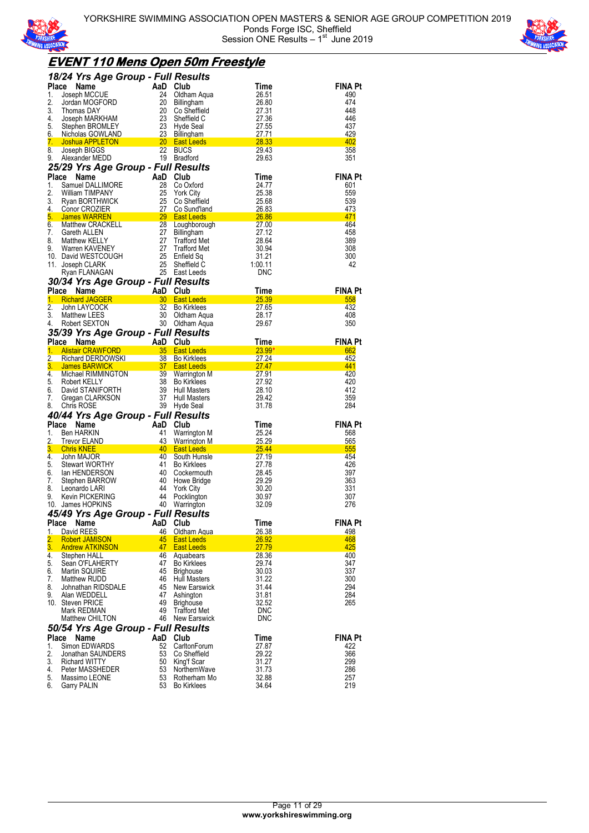



## **EVENT 110 Mens Open 50m Freestyle**

|                  | 18/24 Yrs Age Group - Full Results                |                 |                                        |                       |                |
|------------------|---------------------------------------------------|-----------------|----------------------------------------|-----------------------|----------------|
| Place            | <b>Name</b>                                       |                 | AaD Club                               | Time                  | FINA Pt        |
| 1.               | Joseph MCCUE                                      | 24              | Oldham Aqua                            | 26.51                 | 490            |
| 2.               | Jordan MOGFORD                                    | 20              | Billingham                             | 26.80                 | 474            |
| 3.               | Thomas DAY                                        | 20              | Co Sheffield                           | 27.31                 | 448            |
| 4.               | Joseph MARKHAM                                    | 23              | Sheffield C                            | 27.36                 | 446            |
| 5.<br>6.         | Stephen BROMLEY                                   | $\frac{23}{23}$ | Hyde Seal                              | 27.55<br>27.71        | 437<br>429     |
| 7.               | Nicholas GOWLAND<br>Joshua APPLETON 20 East Leeds |                 | <b>Billingham</b>                      | 28.33                 | 402            |
| 8.               | Joseph BIGGS                                      |                 | 22 BUCS                                | 29.43                 | 358            |
| 9.               | Alexander MEDD                                    |                 | 19 Bradford                            | 29.63                 | 351            |
|                  | 25/29 Yrs Age Group - Full Results                |                 |                                        |                       |                |
|                  | Place<br>Name                                     |                 | AaD Club                               | Time                  | <b>FINA Pt</b> |
| 1.               | Samuel DALLIMORE                                  | 28              | Co Oxford                              | 24.77                 | 601            |
| 2.               | William TIMPANY                                   | 25              | York City                              | 25.38                 | 559            |
| 3.               | Ryan BORTHWICK                                    | 25              | Co Sheffield                           | 25.68                 | 539            |
| 4.               | <b>Conor CROZIER</b>                              | 27              | Co Sund'land                           | 26.83                 | 473            |
| 5.               | James WARREN                                      |                 | <b>Example 29 East Leeds</b>           | 26.86                 | 471            |
| 6.               | Matthew CRACKELL                                  | 28              | Loughborough                           | 27.00                 | 464            |
| 7.               | Gareth ALLEN                                      | 27              | Billingham                             | 27.12                 | 458            |
| 8.<br>9.         | Matthew KELLY                                     | 27<br>27        | <b>Trafford Met</b>                    | 28.64                 | 389<br>308     |
|                  | Warren KAVENEY<br>10. David WESTCOUGH             | 25              | <b>Trafford Met</b><br>Enfield Sq      | 30.94<br>31.21        | 300            |
|                  | 11. Joseph CLARK                                  | 25              | Sheffield C                            | 1:00.11               | 42             |
|                  | Ryan FLANAGAN                                     |                 | 25 East Leeds                          | <b>DNC</b>            |                |
|                  | 30/34 Yrs Age Group - Full Results                |                 |                                        |                       |                |
|                  | Place Name                                        |                 | AaD Club                               | <b>Time</b>           | <b>FINA Pt</b> |
| 1.               | <b>Richard JAGGER</b>                             |                 | 30 East Leeds                          | 25.39                 | 558            |
| $\overline{2}$ . | John LAYCOCK                                      | 32              | <b>Bo Kirklees</b>                     | 27.65                 | 432            |
| 3.               | <b>Matthew LEES</b>                               | 30              | Oldham Agua                            | 28.17                 | 408            |
| 4.               | Robert SEXTON                                     |                 | 30 Oldham Aqua                         | 29.67                 | 350            |
|                  | 35/39 Yrs Age Group - Full Results                |                 |                                        |                       |                |
|                  | Place<br>Name                                     |                 | AaD Club                               | Time                  | <b>FINA Pt</b> |
| 1.               | <b>Alistair CRAWFORD</b>                          |                 | 35 East Leeds                          | $23.99*$              | 662            |
| 2.               | Richard DERDOWSKI                                 | 38              | <b>Bo Kirklees</b>                     | 27.24                 | 452            |
| 3.               | <b>James BARWICK</b>                              |                 | <b>East Leeds</b>                      | $\frac{27.24}{27.47}$ | 441            |
| 4.               | Michael RIMMINGTON                                |                 | 39 Warrington M                        | 27.91                 | 420            |
| 5.               | Robert KELLY                                      | 38              | <b>Bo Kirklees</b>                     | 27.92                 | 420            |
| 6.<br>7.         | David STANIFORTH                                  | 39              | <b>Hull Masters</b><br>37 Hull Masters | 28.10<br>29.42        | 412<br>359     |
| 8.               | Gregan CLARKSON<br>Chris ROSE                     |                 | 39 Hyde Seal                           | 31.78                 | 284            |
|                  | 40/44 Yrs Age Group - Full Results                |                 |                                        |                       |                |
| Place            | Name                                              |                 | AaD Club                               | Time                  | <b>FINA Pt</b> |
| 1.               | <b>Ben HARKIN</b>                                 | 41              | Warrington M                           | 25.24                 | 568            |
| 2.               | Trevor ELAND                                      | 43              | Warrington M                           | 25.29                 | 565            |
| 3.               | <b>Chris KNEE</b>                                 | 40              | <b>East Leeds</b>                      | $\frac{25.44}{25.44}$ | 555            |
| 4.               | John MAJOR                                        | 40              | South Hunsle                           | 27.19                 | 454            |
| 5.               | Stewart WORTHY                                    | 41              | <b>Bo Kirklees</b>                     | 27.78                 | 426            |
| 6.               | lan HENDERSON                                     | 40              | Cockermouth                            | 28.45                 | 397            |
| 7.<br>8.         | Stephen BARROW                                    | 40              | Howe Bridge                            | 29.29                 | 363<br>331     |
| 9.               | Leonardo LARI<br>Kevin PICKERING                  | 44<br>44        | <b>York City</b><br>Pocklington        | 30.20<br>30.97        | 307            |
|                  | 10. James HOPKINS                                 |                 | 40 Warrington                          | 32.09                 | 276            |
|                  | 45/49 Yrs Age Group - Full Results                |                 |                                        |                       |                |
| Place            | Name                                              | AaD             | Club                                   | Time                  | <b>FINA Pt</b> |
| 1.               | David REES                                        | 46              | Oldham Aqua                            | 26.38                 | 498            |
| 2.               | Robert JAMISON                                    | 45              | <b>East Leeds</b>                      | 26.92                 | 468            |
| 3.               | <b>Andrew ATKINSON</b>                            | 47              | <b>East Leeds</b>                      | 27.79                 | 425            |
| 4.               | Stephen HALL                                      | 46              | Aquabears                              | 28.36                 | 400            |
| 5.               | Sean O'FLAHERTY                                   | 47              | <b>Bo Kirklees</b>                     | 29.74                 | 347            |
| 6.               | Martin SQUIRE                                     | 45              | <b>Brighouse</b>                       | 30.03                 | 337            |
| 7.               | Matthew RUDD                                      | 46              | <b>Hull Masters</b>                    | 31.22                 | 300            |
| 8.<br>9.         | Johnathan RIDSDALE<br>Alan WEDDELL                | 45<br>47        | <b>New Earswick</b>                    | 31.44<br>31.81        | 294<br>284     |
|                  | 10. Steven PRICE                                  | 49              | Ashington<br><b>Brighouse</b>          | 32.52                 | 265            |
|                  | Mark REDMAN                                       | 49              | <b>Trafford Met</b>                    | <b>DNC</b>            |                |
|                  | Matthew CHILTON                                   | 46              | New Earswick                           | DNC                   |                |
|                  |                                                   |                 |                                        |                       |                |
|                  |                                                   |                 |                                        |                       |                |
|                  | 50/54 Yrs Age Group - Full Results                |                 |                                        |                       |                |
| Place            | Name                                              | AaD             | Club                                   | Time                  | <b>FINA Pt</b> |
| 1.<br>2.         | Simon EDWARDS<br>Jonathan SAUNDERS                | 52<br>53        | CarltonForum<br>Co Sheffield           | 27.87                 | 422<br>366     |
| 3.               | <b>Richard WITTY</b>                              | 50              | King'f Scar                            | 29.22<br>31.27        | 299            |
| 4.               | Peter MASSHEDER                                   | 53              | NorthernWave                           | 31.73                 | 286            |
| 5.<br>6.         | Massimo LEONE<br>Garry PALIN                      | 53<br>53        | Rotherham Mo<br><b>Bo Kirklees</b>     | 32.88<br>34.64        | 257<br>219     |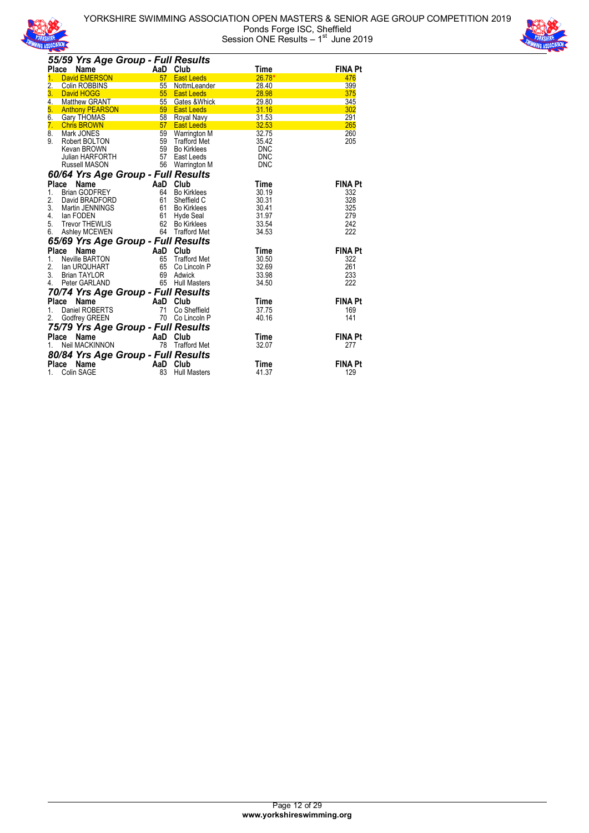



|    | 55/59 Yrs Age Group - Full Results |                 |                     |             |                |
|----|------------------------------------|-----------------|---------------------|-------------|----------------|
|    | Name<br>Place                      | AaD Club        |                     | Time        | <b>FINA Pt</b> |
|    | <b>David EMERSON</b>               | 57 <sub>2</sub> | <b>East Leeds</b>   | $26.78*$    | 476            |
| 2. | Colin ROBBINS                      | 55              | NottmLeander        | 28.40       | 399            |
| 3. | David HOGG                         |                 | 55 East Leeds       | 28.98       | 375            |
| 4. | <b>Matthew GRANT</b>               |                 | 55 Gates & Whick    | 29.80       | 345            |
| 5. | <b>Anthony PEARSON</b>             | 59              | <b>East Leeds</b>   | 31.16       | 302            |
| 6. | <b>Gary THOMAS</b>                 | 58              | Royal Navy          | 31.53       | 291            |
| 7. | <b>Chris BROWN</b>                 | 57              | <b>East Leeds</b>   | 32.53       | 265            |
| 8. | Mark JONES                         | 59              | <b>Warrington M</b> | 32.75       | 260            |
| 9. | Robert BOLTON                      | 59              | Trafford Met        | 35.42       | 205            |
|    | Kevan BROWN                        | 59              | <b>Bo Kirklees</b>  | <b>DNC</b>  |                |
|    | Julian HARFORTH                    | 57              | East Leeds          | <b>DNC</b>  |                |
|    | <b>Russell MASON</b>               | 56              | Warrington M        | <b>DNC</b>  |                |
|    | 60/64 Yrs Age Group - Full Results |                 |                     |             |                |
|    | Place Name                         | AaD Club        |                     | <b>Time</b> | <b>FINA Pt</b> |
| 1. | Brian GODFREY                      | 64              | <b>Bo Kirklees</b>  | 30.19       | 332            |
| 2. | David BRADFORD                     | 61              | Sheffield C         | 30.31       | 328            |
| 3. | Martin JENNINGS                    | 61              | <b>Bo Kirklees</b>  | 30.41       | 325            |
| 4. | lan FODEN                          | 61              | Hyde Seal           | 31.97       | 279            |
| 5. | Trevor THEWLIS                     | 62              | <b>Bo Kirklees</b>  | 33.54       | 242            |
| 6. | Ashley MCEWEN                      |                 | 64 Trafford Met     | 34.53       | 222            |
|    | 65/69 Yrs Age Group - Full Results |                 |                     |             |                |
|    |                                    |                 | Club                |             |                |
|    | Name<br><b>Place</b>               | AaD             |                     | <b>Time</b> | <b>FINA Pt</b> |
| 1. | Neville BARTON                     | 65              | <b>Trafford Met</b> | 30.50       | 322            |
| 2. | lan URQUHART                       | 65              | Co Lincoln P        | 32.69       | 261            |
| 3. | Brian TAYLOR                       | 69              | Adwick              | 33.98       | 233            |
| 4. | Peter GARLAND                      |                 | 65 Hull Masters     | 34.50       | 222            |
|    | 70/74 Yrs Age Group - Full Results |                 |                     |             |                |
|    | Name<br>Place                      | AaD             | Club                | Time        | <b>FINA Pt</b> |
| 1. | Daniel ROBERTS                     | 71              | Co Sheffield        | 37.75       | 169            |
| 2. | Godfrey GREEN                      |                 | 70 Co Lincoln P     | 40.16       | 141            |
|    | 75/79 Yrs Age Group - Full Results |                 |                     |             |                |
|    | Name<br>Place                      | AaD             | Club                | Time        | <b>FINA Pt</b> |
| 1. | Neil MACKINNON                     |                 | 78 Trafford Met     | 32.07       | 277            |
|    | 80/84 Yrs Age Group - Full Results |                 |                     |             |                |
|    | Place Name                         | AaD Club        |                     | Time        | <b>FINA Pt</b> |
| 1. | Colin SAGE                         | 83              | <b>Hull Masters</b> | 41.37       | 129            |
|    |                                    |                 |                     |             |                |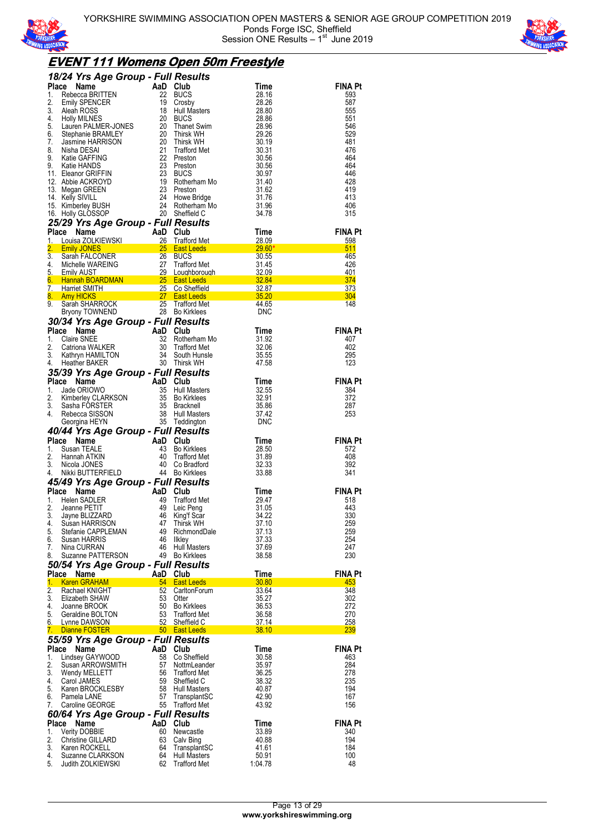



## **EVENT 111 Womens Open 50m Freestyle**

|          | 18/24 Yrs Age Group - Full Results                                                                                                                                                                                                                               |          |                                 |                         |                       |
|----------|------------------------------------------------------------------------------------------------------------------------------------------------------------------------------------------------------------------------------------------------------------------|----------|---------------------------------|-------------------------|-----------------------|
|          | <b>18/24 Yrs Age Group - Full Results<br/> Place Name AaD Club<br/> 1. Rebecca BRITTEN 22 BUCS<br/> 2. Emily SPENCER 19 Crosby<br/> 3. Aleah ROSS 18 Hull Masters<br/> 4. Holly MILNES 20 BUCS<br/> 5. Lauren PALMER-JONES 20 Thanet Swim<br/> 6. Stephanie </b> |          |                                 | Time                    | <b>FINA Pt</b>        |
|          |                                                                                                                                                                                                                                                                  |          |                                 | 28.16<br>28.26          | 593<br>587            |
|          |                                                                                                                                                                                                                                                                  |          |                                 |                         | 555                   |
|          |                                                                                                                                                                                                                                                                  |          |                                 | 28.80<br>28.86          | 551                   |
|          |                                                                                                                                                                                                                                                                  |          |                                 | 28.96                   | 546                   |
|          |                                                                                                                                                                                                                                                                  |          |                                 | 29.26<br>30.19          | 529                   |
|          |                                                                                                                                                                                                                                                                  |          |                                 | 30.31                   | 481<br>476            |
|          |                                                                                                                                                                                                                                                                  |          |                                 |                         | 464                   |
|          |                                                                                                                                                                                                                                                                  |          |                                 | $30.56$<br>$30.56$      | 464                   |
|          |                                                                                                                                                                                                                                                                  |          |                                 | 30.97                   | 446                   |
|          |                                                                                                                                                                                                                                                                  |          |                                 | 31 40<br>31 62<br>31 76 | 428                   |
|          |                                                                                                                                                                                                                                                                  |          |                                 |                         | 419<br>413            |
|          |                                                                                                                                                                                                                                                                  |          |                                 | 31.96                   | 406                   |
|          |                                                                                                                                                                                                                                                                  |          |                                 | -34.78                  | 315                   |
|          | 25/29 Yrs Age Group - Full Results                                                                                                                                                                                                                               |          |                                 |                         |                       |
| Place    | Comment Community Community Community Community Community Community Community Community Community Community Community Community Community Community Community Community Community Community Community Community Community Comm                                   |          |                                 |                         | <b>FINA Pt</b>        |
| 1.       |                                                                                                                                                                                                                                                                  |          |                                 |                         | 598                   |
| 2.<br>3. |                                                                                                                                                                                                                                                                  |          |                                 |                         | 511<br>465            |
| 4.       |                                                                                                                                                                                                                                                                  |          |                                 |                         | 426                   |
|          | 5. Emily AUST                                                                                                                                                                                                                                                    |          |                                 |                         | 401                   |
| 6.       | Hannah BOARDMAN 25 East Leeds                                                                                                                                                                                                                                    |          | $\frac{32.84}{ }$               |                         | 374                   |
| 7.       |                                                                                                                                                                                                                                                                  |          |                                 |                         | 373                   |
| 9.       | 8. Amy HICKS                                                                                                                                                                                                                                                     |          |                                 |                         | 304                   |
|          | Harriet SMITH 25 Co Sheffield 32.87<br>Amy HICKS 27 East Leeds 35.20<br>Sarah SHARROCK 25 Trafford Met 44.65<br>Bryony TOWNEND 28 Bo Kirklees DNC                                                                                                                |          |                                 |                         | 148                   |
|          | 30/34 Yrs Age Group - Full Results                                                                                                                                                                                                                               |          |                                 |                         |                       |
| Place    | Caline Comment Comment Comment Comment Control Club<br>Claire SNEE 32 Rother<br>Catriona WALKER 30 Traffor<br>Kathryn HAMILTON 34 South<br>Heather BAKER 30 Thirsk                                                                                               |          |                                 | Time                    | <b>FINA Pt</b>        |
| 1.       |                                                                                                                                                                                                                                                                  |          | Rotherham Mo                    | 31.92                   | 407                   |
| 2.       |                                                                                                                                                                                                                                                                  |          | Trafford Met                    | 32.06                   | 402                   |
| 3.       |                                                                                                                                                                                                                                                                  |          | South Hunsle                    | 35.55                   | 295                   |
| 4.       | Heather BAKER                                                                                                                                                                                                                                                    |          | 30 Thirsk WH                    | 47.58                   | 123                   |
|          | 35/39 Yrs Age Group - Full Results                                                                                                                                                                                                                               |          |                                 |                         |                       |
| Place    | Contract Market Charles Market Market Market Market School (1997)<br>Jade ORIOWO 35 Hull Masters<br>Kimberley CLARKSON 35 Bo Kirkless<br>Sasha FORSTER 35 Bracknell<br>Rebecca SISSON 38 Hull Masters<br>Georgina HEYN 35 Teddington                             |          |                                 | Time                    | <b>FINA Pt</b>        |
| 1.<br>2. |                                                                                                                                                                                                                                                                  |          |                                 | 32.55<br>32.91          | 384                   |
| 3.       |                                                                                                                                                                                                                                                                  |          |                                 | 35.86                   | 372<br>287            |
| 4        |                                                                                                                                                                                                                                                                  |          |                                 | 37.42                   | 253                   |
|          |                                                                                                                                                                                                                                                                  |          |                                 |                         |                       |
|          | Georgina HEYN                                                                                                                                                                                                                                                    |          |                                 | DNC                     |                       |
|          |                                                                                                                                                                                                                                                                  |          | 35 Teddington                   |                         |                       |
|          | 40/44 Yrs Age Group - Full Results<br>Place Name                                                                                                                                                                                                                 |          |                                 | Time                    | <b>FINA Pt</b>        |
| 1.       |                                                                                                                                                                                                                                                                  |          | <b>Bo Kirklees</b>              | 28.50                   | 572                   |
| 2.       |                                                                                                                                                                                                                                                                  |          | Trafford Met                    | 31.89                   | 408                   |
| 3.       | The Mame<br>Susan TEALE<br>Hannah ATKIN 40 Trafform<br>Nicola JONES 40 Co Bra<br>Nicola JONES                                                                                                                                                                    |          | 40 Co Bradford                  | 32.33                   | 392                   |
| 4.       | Nikki BUTTERFIELD 44 Bo Kirklees                                                                                                                                                                                                                                 |          |                                 | 33.88                   | 341                   |
|          | 45/49 Yrs Age Group - Full Results                                                                                                                                                                                                                               |          |                                 |                         |                       |
| Place    | <b>Name</b>                                                                                                                                                                                                                                                      | AaD Club |                                 | Time                    | <b>FINA Pt</b>        |
| 1.<br>2. | Helen SADLER<br>Jeanne PETIT                                                                                                                                                                                                                                     | 49<br>49 | <b>Trafford Met</b>             | 29.47<br>31.05          | 518<br>443            |
|          | $\frac{1}{2}$<br>3. Jayne BLIZZARD                                                                                                                                                                                                                               | - 46     | Leic Peng<br>King'f Scar        | - 34.22                 | 330                   |
| 4.       | Susan HARRISON                                                                                                                                                                                                                                                   | 47       | Thirsk WH                       | 37.10                   | 259                   |
| 5.       | Stefanie CAPPLEMAN                                                                                                                                                                                                                                               | 49       | RichmondDale                    | 37.13                   | 259                   |
| 6.       | Susan HARRIS                                                                                                                                                                                                                                                     | 46       | <b>Ilkley</b>                   | 37.33                   | 254                   |
| 7.       | Nina CURRAN                                                                                                                                                                                                                                                      |          | 46 Hull Masters                 | 37.69                   | 247                   |
| 8.       | Suzanne PATTERSON                                                                                                                                                                                                                                                |          | 49 Bo Kirklees                  | 38.58                   | 230                   |
|          | 50/54 Yrs Age Group - Full Results                                                                                                                                                                                                                               | AaD Club |                                 |                         |                       |
| 1.       | Place Name<br><b>Karen GRAHAM</b>                                                                                                                                                                                                                                |          | 54 East Leeds                   | Time<br>30.80           | <b>FINA Pt</b><br>453 |
| 2.       | Rachael KNIGHT                                                                                                                                                                                                                                                   | 52       | CarltonForum                    | 33.64                   | 348                   |
| 3.       | Elizabeth SHAW                                                                                                                                                                                                                                                   | 53       | Otter                           | 35.27                   | 302                   |
| 4.       | Joanne BROOK                                                                                                                                                                                                                                                     |          | 50 Bo Kirklees                  | 36.53                   | 272                   |
| 5.       | Geraldine BOLTON                                                                                                                                                                                                                                                 | 53       | <b>Trafford Met</b>             | 36.58                   | 270                   |
| 6.<br>7. | Lynne DAWSON<br>Dianne FOSTER                                                                                                                                                                                                                                    | 52       | Sheffield C                     | 37.14<br><u>38.10</u>   | 258<br><b>239</b>     |
|          |                                                                                                                                                                                                                                                                  |          | 50 East Leeds                   |                         |                       |
| Place    | 55/59 Yrs Age Group - Full Results<br>Name                                                                                                                                                                                                                       | AaD Club |                                 | Time                    | <b>FINA Pt</b>        |
| 1.       | Lindsey GAYWOOD                                                                                                                                                                                                                                                  | 58       | Co Sheffield                    | 30.58                   | 463                   |
| 2.       | Susan ARROWSMITH                                                                                                                                                                                                                                                 | 57       | NottmLeander                    | 35.97                   | 284                   |
| 3.       | Wendy MELLETT                                                                                                                                                                                                                                                    | 56       | <b>Trafford Met</b>             | 36.25                   | 278                   |
| 4.       | Carol JAMES                                                                                                                                                                                                                                                      | 59       | Sheffield C                     | 38.32                   | 235                   |
| 5.<br>6. | Karen BROCKLESBY<br>Pamela LANE                                                                                                                                                                                                                                  | 58<br>57 | <b>Hull Masters</b>             | 40.87<br>42.90          | 194<br>167            |
| 7.       | Caroline GEORGE                                                                                                                                                                                                                                                  |          | TransplantSC<br>55 Trafford Met | 43.92                   | 156                   |
|          | 60/64 Yrs Age Group - Full Results                                                                                                                                                                                                                               |          |                                 |                         |                       |
|          | Place Name                                                                                                                                                                                                                                                       | AaD Club |                                 | Time                    | <b>FINA Pt</b>        |
| 1.       | <b>Verity DOBBIE</b>                                                                                                                                                                                                                                             | 60       | Newcastle                       | 33.89                   | 340                   |
| 2.       | <b>Christine GILLARD</b>                                                                                                                                                                                                                                         | 63       | Calv Bing                       | 40.88                   | 194                   |
| 3.<br>4. | Karen ROCKELL<br>Suzanne CLARKSON                                                                                                                                                                                                                                | 64<br>64 | TransplantSC<br>Hull Masters    | 41.61<br>50.91          | 184<br>100            |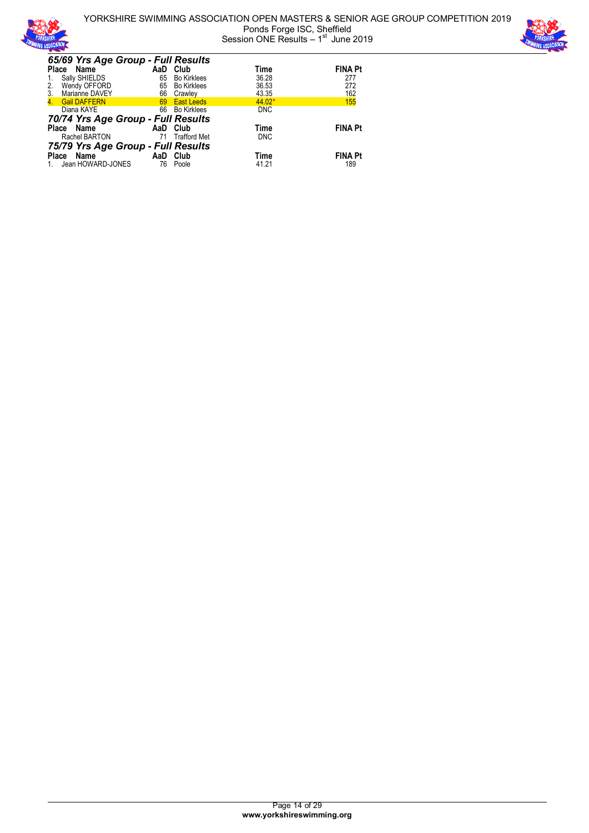

YORKSHIRE SWIMMING ASSOCIATION OPEN MASTERS & SENIOR AGE GROUP COMPETITION 2019 Ponds Forge ISC, Sheffield Session ONE Results  $-1<sup>st</sup>$  June 2019



| 65/69 Yrs Age Group - Full Results |                          |            |                |
|------------------------------------|--------------------------|------------|----------------|
| Place Name                         | AaD Club                 | Time       | <b>FINA Pt</b> |
| Sally SHIELDS                      | 65<br><b>Bo Kirklees</b> | 36.28      | 277            |
| Wendy OFFORD<br>2.                 | Bo Kirklees<br>65        | 36.53      | 272            |
| Marianne DAVEY<br>3.               | 66<br>Crawley            | 43.35      | 162            |
| <b>Gail DAFFERN</b>                | <b>East Leeds</b><br>69  | 44.02*     | 155            |
| Diana KAYE                         | 66<br><b>Bo Kirklees</b> | <b>DNC</b> |                |
| 70/74 Yrs Age Group - Full Results |                          |            |                |
| Place Name                         | AaD Club                 | Time       | <b>FINA Pt</b> |
| Rachel BARTON                      | 71<br>Trafford Met       | <b>DNC</b> |                |
| 75/79 Yrs Age Group - Full Results |                          |            |                |
| Place Name                         | AaD<br>Club              | Time       | <b>FINA Pt</b> |
| Jean HOWARD-JONES                  | 76<br>Poole              | 41.21      | 189            |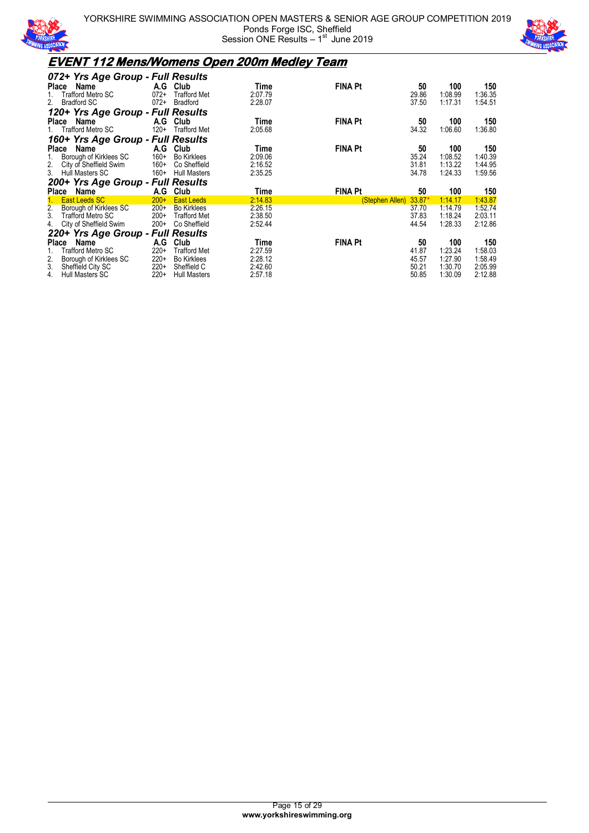

YORKSHIRE SWIMMING ASSOCIATION OPEN MASTERS & SENIOR AGE GROUP COMPETITION 2019 Ponds Forge ISC, Sheffield Session ONE Results  $-1<sup>st</sup>$  June 2019



## **EVENT 112 Mens/Womens Open 200m Medley Team**

| 072+ Yrs Age Group - Full Results                  |                               |                                           |                |                             |                    |                    |
|----------------------------------------------------|-------------------------------|-------------------------------------------|----------------|-----------------------------|--------------------|--------------------|
| Name<br><b>Place</b>                               | A.G<br>Club                   | Time                                      | <b>FINA Pt</b> | 50                          | 100                | 150                |
| <b>Trafford Metro SC</b>                           | $072+$                        | <b>Trafford Met</b><br>2:07.79            |                | 29.86                       | 1:08.99            | 1:36.35            |
| 2.<br><b>Bradford SC</b>                           | 072+<br>Bradford              | 2:28.07                                   |                | 37.50                       | 1:17.31            | 1:54.51            |
| 120+ Yrs Age Group - Full Results                  |                               |                                           |                |                             |                    |                    |
| Name<br><b>Place</b>                               | Club<br>A.G                   | Time                                      | <b>FINA Pt</b> | 50                          | 100                | 150                |
| <b>Trafford Metro SC</b>                           | $120+$                        | <b>Trafford Met</b><br>2:05.68            |                | 34.32                       | 1:06.60            | 1:36.80            |
| 160+ Yrs Age Group - Full Results                  |                               |                                           |                |                             |                    |                    |
| Name<br><b>Place</b>                               | A.G<br>Club                   | Time                                      | <b>FINA Pt</b> | 50                          | 100                | 150                |
| Borough of Kirklees SC                             | $160+$                        | 2.09.06<br><b>Bo Kirklees</b>             |                | 35.24                       | 1:08.52            | 1:40.39            |
| 2.<br>City of Sheffield Swim                       | $160+$                        | 2:16.52<br>Co Sheffield                   |                | 31.81                       | 1:13.22            | 1:44.95            |
| 3.<br>Hull Masters SC                              | 160+                          | 2:35.25<br><b>Hull Masters</b>            |                | 34.78                       | 1:24.33            | 1:59.56            |
|                                                    |                               |                                           |                |                             |                    |                    |
|                                                    |                               |                                           |                |                             |                    |                    |
| 200+ Yrs Age Group - Full Results<br>Name<br>Place | A.G<br>Club                   | Time                                      | <b>FINA Pt</b> | 50                          | 100                | 150                |
| <b>East Leeds SC</b>                               | $200+$<br><b>East Leeds</b>   | 2.14.83                                   |                | $33.87*$<br>(Stephen Allen) | 1:14.17            | 1:43.87            |
| Borough of Kirklees SC                             | $200+$<br><b>Bo Kirklees</b>  | 2.26.15                                   |                | 37.70                       | 1:14.79            | 1:52.74            |
| $\frac{2}{3}$<br>Trafford Metro SC                 | $200+$                        | 2:38.50<br><b>Trafford Met</b>            |                | 37.83                       | 1:18.24            | 2:03.11            |
| City of Sheffield Swim<br>4.                       | $200+$                        | 2:52.44<br>Co Sheffield                   |                | 44.54                       | 1:28.33            | 2:12.86            |
| 220+ Yrs Age Group - Full Results                  |                               |                                           |                |                             |                    |                    |
| Name<br><b>Place</b>                               | A.G<br>Club                   | Time                                      | <b>FINA Pt</b> | 50                          | 100                | 150                |
| <b>Trafford Metro SC</b>                           | $220+$                        | 2.27.59<br><b>Trafford Met</b>            |                | 41.87                       | 1:23.24            | 1:58.03            |
| 2.<br>Borough of Kirklees SC                       | $220+$<br><b>Bo Kirklees</b>  | 2:28.12                                   |                | 45.57                       | 1:27.90            | 1:58.49            |
| 3.<br>Sheffield City SC<br>4.<br>Hull Masters SC   | $220+$<br>Sheffield C<br>220+ | 2:42.60<br>2:57.18<br><b>Hull Masters</b> |                | 50.21<br>50.85              | 1:30.70<br>1:30.09 | 2:05.99<br>2:12.88 |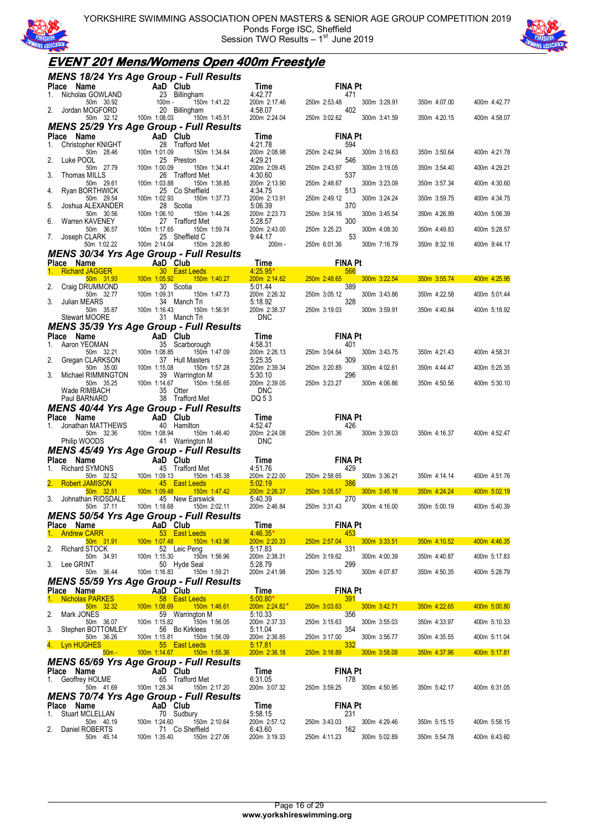

YORKSHIRE SWIMMING ASSOCIATION OPEN MASTERS & SENIOR AGE GROUP COMPETITION 2019 Ponds Forge ISC, Sheffield Session TWO Results  $-1<sup>st</sup>$  June 2019



## **EVENT 201 Mens/Womens Open 400m Freestyle**

|                                        | <b>MENS 18/24 Yrs Age Group - Full Results</b>                                                                                        |                            |                                                                                                                       |                           |              |
|----------------------------------------|---------------------------------------------------------------------------------------------------------------------------------------|----------------------------|-----------------------------------------------------------------------------------------------------------------------|---------------------------|--------------|
| Place Name<br>Nicholas GOWLAND<br>1.   | AaD Club<br>23 Billingham                                                                                                             | Time<br>4:42.77            | <b>FINA Pt</b><br>471                                                                                                 |                           |              |
| 50m 30.92                              | 150m 1:41.22<br>$100m -$                                                                                                              | 200m 2:17.46               | 250m 2:53.48<br>300m 3:29.91                                                                                          | 350m 4:07.00              | 400m 4:42.77 |
| 2.<br>Jordan MOGFORD<br>50m 32.12      | 20 Billingham<br>100m 1:08.03<br>150m 1:45.51                                                                                         | 4:58.07<br>200m 2:24.04    | 402<br>250m 3:02.62<br>300m 3:41.59                                                                                   | 350m 4:20.15              | 400m 4:58.07 |
|                                        | <b>MENS 25/29 Yrs Age Group - Full Results</b>                                                                                        |                            |                                                                                                                       |                           |              |
| Place Name                             | AaD Club<br>28 Trafford Met                                                                                                           | Time                       | <b>FINA Pt</b>                                                                                                        |                           |              |
| Christopher KNIGHT<br>1.<br>50m 28.46  | 100m 1:01.09<br>150m 1:34.84                                                                                                          | 4:21.78<br>200m 2:08.98    | 594<br>250m 2:42.94<br>300m 3:16.63                                                                                   | 350m 3:50.64              | 400m 4:21.78 |
| Luke POOL<br>2.<br>50m 27.79           | 25 Preston<br>100m 1:00.09<br>150m 1:34.41                                                                                            | 4.29.21<br>200m 2:09.45    | 546<br>250m 2:43.97<br>300m 3:19.05                                                                                   |                           | 400m 4:29.21 |
| 3.<br>Thomas MILLS                     | 26 Trafford Met                                                                                                                       | 4:30.60                    | 537                                                                                                                   | 350m 3:54.40              |              |
| 50m 29.61<br>Ryan BORTHWICK<br>4.      | 100m 1:03.88<br>150m 1:38.85<br>25 Co Sheffield                                                                                       | 200m 2:13.90<br>4 34 75    | 250m 2:48.67<br>300m 3:23.09<br>513                                                                                   | 350m 3:57.34              | 400m 4:30.60 |
| 50m 29.54                              | 100m 1:02.93<br>150m 1:37.73                                                                                                          | 200m 2:13.91               | 250m 2:49.12<br>300m 3:24.24                                                                                          | 350m 3:59.75              | 400m 4:34.75 |
| 5.<br>Joshua ALEXANDER<br>50m 30.56    | 28 Scotia<br>100m 1:06.10<br>150m 1:44.26                                                                                             | 5:06.39<br>200m 2:23.73    | 370<br>250m 3:04.16<br>300m 3:45.54                                                                                   | 350m 4:26.99              | 400m 5:06.39 |
| 6.<br>Warren KAVENEY<br>50m 36.57      | 27 Trafford Met<br>100m 1:17.65<br>150m 1:59.74                                                                                       | 5:28.57<br>200m 2:43.00    | 300<br>250m 3:25.23<br>300m 4:08.30                                                                                   |                           |              |
| Joseph CLARK<br>7.                     | 25 Sheffield C                                                                                                                        | 9:44.17                    | 53                                                                                                                    | 350m 4:49.83              | 400m 5:28.57 |
| 50m 1:02.22                            | 100m 2:14.04<br>150m 3:28.80                                                                                                          | 200m -                     | 250m 6:01.36<br>300m 7:16.79                                                                                          | 350m 8:32.16              | 400m 9:44.17 |
| Place Name                             | <b>MENS 30/34 Yrs Age Group - Full Results</b><br><b>Example 2</b> AaD Club                                                           | <b>Time</b>                | <b>FINA Pt</b>                                                                                                        |                           |              |
| 1. Richard JAGGER <b>All Accords</b>   | 30 East Leeds                                                                                                                         | 4.25.95*                   | 566                                                                                                                   |                           |              |
| 50m 31.93<br>Craig DRUMMOND            | 100m 1:05.92<br><u>150m 1:40.27</u><br>30 Scotia                                                                                      | 200m 2:14.62<br>5:01.44    | 250m 2:48.65<br>300m 3:22.54<br>389                                                                                   | 350m 3:55.74              | 400m 4:25.95 |
| 50m 32.77<br>3.<br>Julian MEARS        | 100m 1:09.31<br>150m 1:47.73                                                                                                          | 200m 2:26.32<br>5:18.92    | 250m 3:05.12<br>300m 3:43.86<br>328                                                                                   | 350m 4:22.58              | 400m 5:01.44 |
| 50m 35.87                              | 34 Manch Tri<br>100m 1:16.43<br>150m 1:56.91                                                                                          | 200m 2:38.37               | 250m 3:19.03<br>300m 3:59.91                                                                                          | 350m 4:40.84              | 400m 5:18.92 |
| <b>Stewart MOORE</b>                   | 31 Manch Tri                                                                                                                          | <b>DNC</b>                 |                                                                                                                       |                           |              |
| Place Name                             | <b>MENS 35/39 Yrs Age Group - Full Results</b>                                                                                        | Time                       | <b>FINA Pt</b>                                                                                                        |                           |              |
| Aaron YEOMAN<br>1.                     | AaD Club<br>35 Scarbo<br>21 100m 1:08.85<br>35 Scarborough                                                                            | 4.58.31                    | 401                                                                                                                   |                           |              |
| 50m 32.21<br>2.<br>Gregan CLARKSON     | 150m 1:47.09<br>37 Hull Masters                                                                                                       | 200m 2:26.13<br>5:25.35    | 250m 3:04.64<br>300m 3:43.75<br>309                                                                                   | 350m 4:21.43              | 400m 4:58.31 |
| 50m 35.00                              | 100m 1:15.08<br>150m 1:57.28                                                                                                          | 200m 2:39.34               | 250m 3:20.85<br>300m 4:02.61                                                                                          | 350m 4:44.47              | 400m 5:25.35 |
| Michael RIMMINGTON<br>3.<br>50m 35.25  | 39 Warrington M<br>100m 1:14.67<br>150m 1:56.65                                                                                       | 5:30.10<br>200m 2:39.05    | 296<br>250m 3:23.27<br>300m 4:06.86                                                                                   | 350m 4:50.56              | 400m 5:30.10 |
| Wade RIMBACH<br>Paul BARNARD           | 35 Otter<br>38 Trafford Met                                                                                                           | <b>DNC</b><br>DQ 53        |                                                                                                                       |                           |              |
|                                        |                                                                                                                                       |                            |                                                                                                                       |                           |              |
|                                        |                                                                                                                                       |                            |                                                                                                                       |                           |              |
| Place Name                             | MENS 40/44 Yrs Age Group - Full Results<br>AaD Club                                                                                   | Time                       | <b>FINA Pt</b>                                                                                                        |                           |              |
| 1. Jonathan MATTHEWS                   | 40 Hamilton                                                                                                                           | 4:52.47                    | 426                                                                                                                   |                           |              |
| 50m 32.36<br>Philip WOODS              | 100m 1:08.94<br>150m 1:46.40<br>41 Warrington M                                                                                       | 200m 2:24.08<br><b>DNC</b> | 250m 3:01.36<br>300m 3:39.03                                                                                          | 350m 4:16.37              | 400m 4:52.47 |
|                                        | <b>MENS 45/49 Yrs Age Group - Full Results</b>                                                                                        |                            |                                                                                                                       |                           |              |
| Place Name<br>Richard SYMONS<br>1.     | AaD Club<br>45 Trafford Met                                                                                                           | Time<br>4:51.76            | <b>FINA Pt</b><br>429                                                                                                 |                           |              |
| 50m 32.52                              | 100m 1:09.13<br>150m 1:45.38                                                                                                          | 200m 2:22.00               | 250m 2:58.65<br>300m 3:36.21                                                                                          | 350m 4:14.14              | 400m 4:51.76 |
| <b>Robert JAMISON</b><br>$50m$ $32.51$ | 45 East Leeds<br>100m 1:09.48<br>150m 1:47.42                                                                                         | 5:02.19<br>200m 2:26.37    | 386<br>250m 3:05.57<br>$300m$ $3:45.16$                                                                               | 350m 4:24.24              | 400m 5:02.19 |
| 3. Johnathan RIDSDALE                  | 45 New Earswick                                                                                                                       | 5:40.39                    | 270                                                                                                                   | 350m 5:00.19              |              |
| 50m 37.11                              | 100m 1:18.68<br>150m 2:02.11                                                                                                          | 200m 2:46.84               | 250m 3:31.43<br>300m 4:16.00                                                                                          |                           | 400m 5:40.39 |
|                                        | MENS 50/54 Yrs Age Group - Full Results                                                                                               | <b>Time</b>                | <b>FINA Pt</b>                                                                                                        |                           |              |
| 50m 31.91 100m 1:07.48                 | Place Name <b>Capacit Add Club</b><br>1. Andrew CARR 63 East Leeds<br>150m 1:43.96                                                    | $4.46.35*$<br>200m 2:20.33 | 453<br>250m 2:57.04                                                                                                   | 300m 3:33.51 350m 4:10.52 | 400m 4:46.35 |
| 2.<br>Richard STOCK                    | 52 Leic Peng                                                                                                                          | 5.17.83                    | 331                                                                                                                   |                           |              |
| 50m 34.91<br>3. Lee GRINT              | 100m 1:15.30<br>150m 1:56.96<br>50 Hyde Seal                                                                                          | 200m 2:38.31<br>5:28.79    | 250m 3:19.62<br>300m 4:00.39<br>299                                                                                   | 350m 4:40.87              | 400m 5:17.83 |
| 50m 36.44                              | 100m 1:16.83<br>$150m$ 1:59.21                                                                                                        | 200m 2:41.98               | 250m 3:25.10<br>300m 4:07.87                                                                                          | 350m 4:50.35              | 400m 5:28.79 |
| Place Name                             | <b>MENS 55/59 Yrs Age Group - Full Results</b>                                                                                        | Time                       | <b>FINA Pt</b>                                                                                                        |                           |              |
| 1. Nicholas PARKES                     | ES <b>AaD Club</b><br>ES 58 East L<br>58 East Leeds                                                                                   | $5:00.80*$                 | 391                                                                                                                   |                           |              |
| $50m$ 32.32<br>2. Mark JONES           | 100m 1:08.69<br>150m 1:46.61<br>59 Warrington M                                                                                       | 200m 2:24.82*<br>5:10.33   | 250m 3:03.63<br>300m 3:42.71<br>356                                                                                   | 350m 4:22.65              | 400m 5:00.80 |
| 50m 36.07                              | 100m 1:15.82<br>150m 1:56.05                                                                                                          | 200m 2:37.33               | 250m 3:15.63<br>300m 3:55.03                                                                                          | 350m 4:33.97              | 400m 5:10.33 |
| 3. Stephen BOTTOMLEY<br>50m 36.26      | 56 Bo Kirklees<br>100m 1:15.81  150m 1:56.09                                                                                          | 5:11.04<br>200m 2:36.85    | 354<br>250m 3:17.00<br>300m 3:56.77                                                                                   | 350m 4:35.55              | 400m 5:11.04 |
| 4. Lyn HUGHES                          | 55 East Leeds<br><b>Contract Contract Contract Contract Contract Contract Contract Contract Contract Contract Contract Contract C</b> | 5:17.81                    | and the state of the state of the state of the state of the state of the state of the state of the state of th<br>332 |                           |              |
|                                        | 50m - 100m 1:14.67 150m 1:55.36<br><b>MENS 65/69 Yrs Age Group - Full Results</b>                                                     | 200m 2:36.18               | 250m 3:16.89<br>300m 3:58.08                                                                                          | 350m 4:37.96              | 400m 5:17.81 |
| Place Name                             | <b>Example 2</b> AaD Club                                                                                                             | Time                       | <b>FINA Pt</b>                                                                                                        |                           |              |
| 1. Geoffrey HOLME<br>50m 41.69         | 65 Trafford Met<br>100m 1:28.34<br>150m 2:17.20                                                                                       | 6:31.05<br>200m 3:07.32    | 178<br>300m 4:50.95<br>250m 3:59.25                                                                                   | 350m 5:42.17              | 400m 6:31.05 |
|                                        | <b>MENS 70/74 Yrs Age Group - Full Results</b>                                                                                        |                            |                                                                                                                       |                           |              |
| Place Name                             | AaD Club                                                                                                                              | Time                       | <b>FINA Pt</b>                                                                                                        |                           |              |
| Stuart MCLELLAN<br>1.<br>50m 40.19     | 70 Sudbury<br>100m 1:24.60<br>150m 2:10.64                                                                                            | 5:58.15<br>200m 2:57.12    | 231<br>250m 3:43.03<br>300m 4:29.46                                                                                   | 350m 5:15.15              | 400m 5:58.15 |
| 2. Daniel ROBERTS<br>50m 45.14         | 71 Co Sheffield<br>100m 1:35.40<br>150m 2:27.06                                                                                       | 6:43.60<br>200m 3:19.33    | 162<br>250m 4:11.23<br>300m 5:02.89                                                                                   | 350m 5:54.78              | 400m 6:43.60 |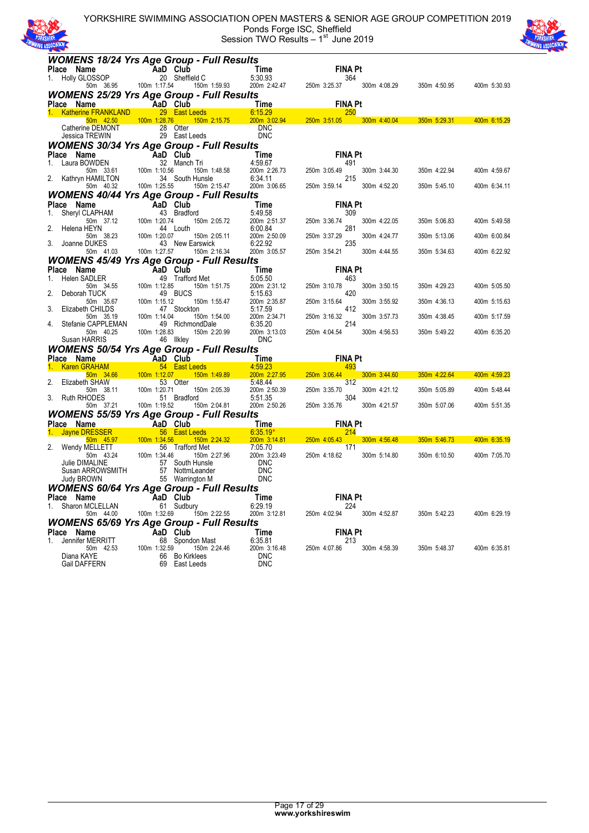

YORKSHIRE SWIMMING ASSOCIATION OPEN MASTERS & SENIOR AGE GROUP COMPETITION 2019 Ponds Forge ISC, Sheffield Session TWO Results  $-1<sup>st</sup>$  June 2019



|    | <b>WOMENS 18/24 Yrs Age Group - Full Results</b>                                                                                                                      |                                                                                                    |                                                                                                                              |                                                                                                                     |                                                |              |                                                     |              |
|----|-----------------------------------------------------------------------------------------------------------------------------------------------------------------------|----------------------------------------------------------------------------------------------------|------------------------------------------------------------------------------------------------------------------------------|---------------------------------------------------------------------------------------------------------------------|------------------------------------------------|--------------|-----------------------------------------------------|--------------|
|    | <b>Place Name Mad Club Time FINA Pt</b><br>1. Holly GLOSSOP 20 Sheffield C 5:30.93 364 364 50m 36.95 100m 1:17.54 150m 1:59.93 200m 2:42.47 250m 3:25.37 300m 4:08.29 |                                                                                                    |                                                                                                                              |                                                                                                                     |                                                |              |                                                     |              |
|    |                                                                                                                                                                       |                                                                                                    |                                                                                                                              |                                                                                                                     |                                                |              | 350m 4:50.95                                        | 400m 5:30.93 |
|    | <b>WOMENS 25/29 Yrs Age Group - Full Results</b>                                                                                                                      |                                                                                                    |                                                                                                                              |                                                                                                                     |                                                |              |                                                     |              |
|    | Place Name                                                                                                                                                            | <b>Example 2</b> AaD Club                                                                          |                                                                                                                              | <b>Time</b>                                                                                                         | <b>FINA Pt</b>                                 |              |                                                     |              |
|    | 1. Katherine FRANKLAND                                                                                                                                                |                                                                                                    | 29 East Leeds                                                                                                                | $\frac{6.15.29}{200}$                                                                                               | 250                                            |              |                                                     |              |
|    | $50m$ $42.50$                                                                                                                                                         | 100m 1:28.76                                                                                       | 150m 2:15.75                                                                                                                 | 200m 3:02.94                                                                                                        |                                                |              | 250m 3:51.05 300m 4:40.04 350m 5:29.31 400m 6:15.29 |              |
|    | Catherine DEMONT<br>Jessica TREWIN                                                                                                                                    |                                                                                                    | 28 Otter                                                                                                                     | <b>DNC</b><br><b>DNC</b>                                                                                            |                                                |              |                                                     |              |
|    |                                                                                                                                                                       |                                                                                                    | 29 East Leeds                                                                                                                |                                                                                                                     |                                                |              |                                                     |              |
|    | <b>WOMENS 30/34 Yrs Age Group - Full Results</b>                                                                                                                      |                                                                                                    |                                                                                                                              |                                                                                                                     | <b>FINA Pt</b>                                 |              |                                                     |              |
|    |                                                                                                                                                                       |                                                                                                    | 32 Manch Tri                                                                                                                 |                                                                                                                     | - 491                                          |              |                                                     |              |
|    | <b>Place Name AaD Club</b><br>1. Laura BOWDEN 32 Manch<br>50m 33.61 100m 1:10.56                                                                                      |                                                                                                    | 150m 1:48.58                                                                                                                 | 1.48.58<br>1.48.58 200m 2.26.73 250m 3.05.49<br>1.48.58 200m 2.26.73 250m 3.05.49                                   |                                                | 300m 3:44.30 | 350m 4:22.94                                        | 400m 4:59.67 |
|    | 2. Kathryn HAMILTON                                                                                                                                                   | $34$ 34                                                                                            | 34 South Hunsle                                                                                                              | 6:34.11                                                                                                             | 215                                            |              |                                                     |              |
|    | 50m  40.32                                                                                                                                                            |                                                                                                    | 150m 2:15.47                                                                                                                 | 200m 3:06.65                                                                                                        | 250m 3:59.14                                   | 300m 4:52.20 | 350m 5:45.10                                        | 400m 6:34.11 |
|    | <b>WOMENS 40/44 Yrs Age Group - Full Results</b><br>Place Name                                                                                                        |                                                                                                    |                                                                                                                              |                                                                                                                     | <b>FINA Pt</b>                                 |              |                                                     |              |
|    | 1. Sheryl CLAPHAM                                                                                                                                                     | $AaD$ Club                                                                                         | 43 Bradford                                                                                                                  | <b>Time</b><br>5:49.58                                                                                              | 309                                            |              |                                                     |              |
|    | 50m 37.12                                                                                                                                                             | 100m 1:20.74                                                                                       | 150m 2:05.72                                                                                                                 | 200m 2:51.37<br>200m 2:51.37<br>6:00.84<br>200m 2:50.09                                                             | 250m 3:36.74                                   | 300m 4:22.05 | 350m 5:06.83                                        | 400m 5:49.58 |
| 2. | Helena HEYN                                                                                                                                                           |                                                                                                    | 44 Louth                                                                                                                     |                                                                                                                     | 281                                            |              |                                                     |              |
| 3. | 50m 38.23<br>Joanne DUKES                                                                                                                                             | 100m 1:20.07                                                                                       | 150m 2:05.11<br>43 New Earswick                                                                                              | 200m 2:50.09<br>6:22.92                                                                                             | 250m 3:37.29<br>235                            | 300m 4:24.77 | 350m 5:13.06                                        | 400m 6:00.84 |
|    | 50m $41.03$                                                                                                                                                           | 100m 1:27.57                                                                                       | 150m 2:16.34                                                                                                                 | 200m 3:05.57                                                                                                        | 250m 3:54.21                                   | 300m 4:44.55 | 350m 5:34.63                                        | 400m 6:22.92 |
|    | <b>WOMENS 45/49 Yrs Age Group - Full Results</b>                                                                                                                      |                                                                                                    |                                                                                                                              |                                                                                                                     |                                                |              |                                                     |              |
|    | Place Name<br>Reference Name<br>Helen SADLER<br>Som 34.55 100m<br>Deborah TUCK<br>50m 35.67 100m<br>Elizabeth CHILDS<br>Stefania CADDI EAAA!<br>Stefania CADDI EAAA!  | AaD Club                                                                                           |                                                                                                                              | Time                                                                                                                | <b>FINA Pt</b>                                 |              |                                                     |              |
| 1. |                                                                                                                                                                       |                                                                                                    | 49 Trafford Met                                                                                                              | 5:05.50                                                                                                             | 463                                            |              |                                                     |              |
|    |                                                                                                                                                                       | 100m 1:12.85                                                                                       | 150m 1:51.75<br>49 BUCS                                                                                                      | 200m 2:31.12                                                                                                        | 250m 3:10.78<br>420                            | 300m 3:50.15 | 350m 4:29.23                                        | 400m 5:05.50 |
| 2. |                                                                                                                                                                       | 100m 1:15.12                                                                                       | 150m 1:55.47                                                                                                                 | 5:15.63<br>200m 2:35.87                                                                                             | 250m 3:15.64                                   | 300m 3:55.92 | 350m 4:36.13                                        | 400m 5:15.63 |
| 3. |                                                                                                                                                                       |                                                                                                    | 47 Stockton                                                                                                                  | 5:17.59                                                                                                             | 412                                            |              |                                                     |              |
|    |                                                                                                                                                                       | 100m 1:14.04                                                                                       | 150m 1:54.00                                                                                                                 | 200m 2:34.71                                                                                                        | 250m 3:16.32<br>214                            | 300m 3:57.73 | 350m 4:38.45                                        | 400m 5:17.59 |
| 4. | Stefanie CAPPLEMAN<br>50m 40.25                                                                                                                                       | 100m 1:28.83                                                                                       | 49 RichmondDale<br>150m 2:20.99                                                                                              | 6:35.20<br>200m 3:13.03                                                                                             | 214<br>250m 4:04.54                            | 300m 4:56.53 | 350m 5:49.22                                        | 400m 6:35.20 |
|    | Susan HARRIS                                                                                                                                                          |                                                                                                    | 46 Ilkley                                                                                                                    | DNC                                                                                                                 |                                                |              |                                                     |              |
|    | <b>WOMENS 50/54 Yrs Age Group - Full Results</b>                                                                                                                      |                                                                                                    |                                                                                                                              |                                                                                                                     |                                                |              |                                                     |              |
|    | Place Name AaD Club                                                                                                                                                   |                                                                                                    |                                                                                                                              | <b>Example 2019 Time</b>                                                                                            | <b>FINA Pt</b>                                 |              |                                                     |              |
|    | 1. Karen GRAHAM                                                                                                                                                       |                                                                                                    | 54 East Leeds                                                                                                                | 4:59.23<br>$\frac{4.59.23}{200 \text{ m} \cdot 2.27.95}$                                                            | 493                                            |              |                                                     |              |
| 2. | 50m 34.66<br>Elizabeth SHAW                                                                                                                                           | 100m 1:12.07                                                                                       | 150m 1:49.89<br>53 Otter                                                                                                     |                                                                                                                     | 250m 3:06.44<br>312                            | 300m 3:44.60 | 350m 4:22.64                                        | 400m 4:59.23 |
|    | 50m 38.11                                                                                                                                                             | $\begin{array}{c}\n 1.93 \text{ m} \\  \hline\n 100 \text{ m} \\  1\n \end{array}$<br>100m 1:20.71 | 150m 2:05.39                                                                                                                 | 5:48.44<br>200m 2:50.39                                                                                             | 250m 3:35.70                                   | 300m 4:21.12 | 350m 5:05.89                                        | 400m 5:48.44 |
|    | 3. Ruth RHODES                                                                                                                                                        |                                                                                                    | 51 Bradford                                                                                                                  | 200m 2.00.00<br>5:51.35<br>200m 2:50.26                                                                             | 304                                            |              |                                                     |              |
|    | 50m 37.21 100m 1:19.52                                                                                                                                                |                                                                                                    | 150m 2:04.81                                                                                                                 |                                                                                                                     | 250m 3:35.76                                   | 300m 4:21.57 | 350m 5:07.06                                        | 400m 5:51.35 |
|    | <b>WOMENS 55/59 Yrs Age Group - Full Results</b>                                                                                                                      |                                                                                                    |                                                                                                                              |                                                                                                                     |                                                |              |                                                     |              |
|    |                                                                                                                                                                       |                                                                                                    |                                                                                                                              | <u>and the Time Time</u>                                                                                            | <b>FINA Pt</b><br>$\sim$ 214 $\sim$ 214 $\sim$ |              |                                                     |              |
|    | Place Name<br>1. Jayne DRESSER<br>1. Jayne DRESSER<br>2. Mondu NELL ETT 100m 1:34.56 Treffered Mon 2:24.32                                                            |                                                                                                    |                                                                                                                              | $6:35.19*$<br>200m 3:14.81                                                                                          | 250m 4:05.43                                   | 300m 4:56.48 | 350m 5:46.73                                        | 400m 6:35.19 |
| 2. | Wendy MELLETT                                                                                                                                                         |                                                                                                    | 56 Trafford Met                                                                                                              | 7:05.70                                                                                                             | 171                                            |              |                                                     |              |
|    | 50m 43.24<br>Julie DIMALINE                                                                                                                                           |                                                                                                    | 100m 1:34.46  150m 2:27.96<br>57 South Hunsle                                                                                | 200m 3:23.49<br>DNC                                                                                                 | 250m 4:18.62                                   | 300m 5:14.80 | 350m 6:10.50                                        | 400m 7:05.70 |
|    | Susan ARROWSMITH                                                                                                                                                      |                                                                                                    |                                                                                                                              | <b>DNC</b>                                                                                                          |                                                |              |                                                     |              |
|    | Judy BROWN                                                                                                                                                            |                                                                                                    | MITH 57 NottmLeanger<br>55 Warrington M                                                                                      | <b>DNC</b>                                                                                                          |                                                |              |                                                     |              |
|    | <b>WOMENS 60/64 Yrs Age Group - Full Results</b>                                                                                                                      |                                                                                                    |                                                                                                                              |                                                                                                                     |                                                |              |                                                     |              |
|    | Place Name                                                                                                                                                            | ELLAN <b>AaD Club</b><br>ELLAN 61 Sudbur                                                           |                                                                                                                              |                                                                                                                     |                                                |              |                                                     |              |
|    | 1. Sharon MCLELLAN                                                                                                                                                    |                                                                                                    | 61 Sudbury<br>MCLELLAN 61 Sudbury<br>50m 44.00 100m 1:32.69 150m 2:22.55                                                     | Time<br>Time<br>FINA Pt<br>FINA Pt<br>FINA Pt<br>224<br>50m 2:22.55<br>200m 3:12.81<br>250m 4:02.94<br>300m 4:52.87 |                                                |              |                                                     |              |
|    | <b>WOMENS 65/69 Yrs Age Group - Full Results</b>                                                                                                                      |                                                                                                    |                                                                                                                              |                                                                                                                     |                                                |              | 350m 5:42.23                                        | 400m 6:29.19 |
|    | Place Name                                                                                                                                                            |                                                                                                    |                                                                                                                              | Time                                                                                                                | <b>FINA Pt</b>                                 |              |                                                     |              |
| 1. | Jennifer MERRITT                                                                                                                                                      |                                                                                                    | <b>me</b><br><b>AD Club</b><br>MERRITT 68 Spondon Mast<br>50m 42.53 100m 1:32.59 150m 2:24.46<br>APC<br>FCEDN 66 Bo Kirklees | Time 6:35.81                                                                                                        | 213                                            |              |                                                     |              |
|    |                                                                                                                                                                       |                                                                                                    | 150m 2:24.46                                                                                                                 | 200m 3:16.48                                                                                                        | 250m 4:07.86                                   | 300m 4:58.39 | 350m 5:48.37                                        | 400m 6:35.81 |
|    | Diana KAYE                                                                                                                                                            |                                                                                                    |                                                                                                                              | <b>DNC</b>                                                                                                          |                                                |              |                                                     |              |
|    | <b>Gail DAFFERN</b>                                                                                                                                                   |                                                                                                    | 69 East Leeds                                                                                                                | <b>DNC</b>                                                                                                          |                                                |              |                                                     |              |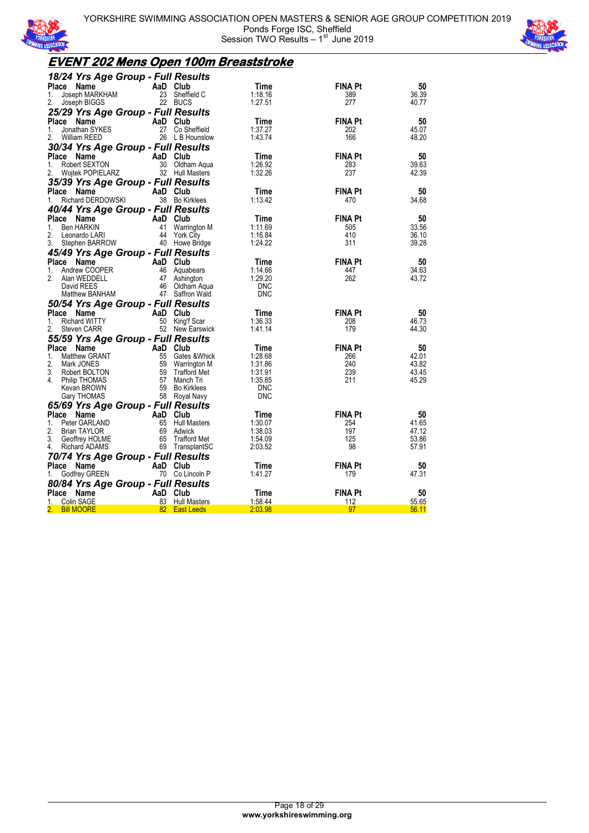



## **EVENT 202 Mens Open 100m Breaststroke**

| 18/24 Yrs Age Group - Full Results   |          |                           |                    |                |                |
|--------------------------------------|----------|---------------------------|--------------------|----------------|----------------|
| Place Name                           |          | AaD Club                  | Time               | FINA Pt        | 50             |
| Joseph MARKHAM<br>1.                 | 23       | Sheffield C               | 1:18.16            | 389            | 36.39          |
| 2.<br>Joseph BIGGS                   |          | 22 BUCS                   | 1:27.51            | 277            | 40.77          |
| 25/29 Yrs Age Group - Full Results   |          |                           |                    |                |                |
| Place Name                           | AaD      | Club                      | Time               | <b>FINA Pt</b> | 50             |
| 1.<br>Jonathan SYKES                 | 27       | Co Sheffield              | 1:37.27            | 202            | 45.07          |
| 2.<br><b>William REED</b>            |          | 26 L B Hounslow           | 1:43.74            | 166            | 48.20          |
| 30/34 Yrs Age Group - Full Results   |          |                           |                    |                |                |
| Place<br>Name                        | AaD      | Club                      | Time               | FINA Pt        | 50             |
| Robert SEXTON<br>1.                  | 30       | Oldham Aqua               | 1.26.92            | 283            | 39.63          |
| 2.<br>Wojtek POPIELARZ               |          | 32 Hull Masters           | 1.32.26            | 237            | 42.39          |
| 35/39 Yrs Age Group - Full Results   |          |                           |                    |                |                |
| Place<br>Name                        |          | AaD Club                  | Time               | <b>FINA Pt</b> | 50             |
| <b>Richard DERDOWSKI</b><br>1.       |          | 38 Bo Kirklees            | 1:13.42            | 470            | 34.68          |
| 40/44 Yrs Age Group - Full Results   |          |                           |                    |                |                |
| Place Name                           | AaD      | Club                      | Time               | FINA Pt        | 50             |
| Ben HARKIN<br>1.                     | 41       | Warrington M              | 1.11.69            | 505            | 33.56          |
| 2.<br>Leonardo LARI                  | 44       | York City                 | 1:16.84            | 410            | 36.10          |
| 3.<br>Stephen BARROW                 |          | 40 Howe Bridge            | 1.24.22            | 311            | 39.28          |
| 45/49 Yrs Age Group - Full Results   |          |                           |                    |                |                |
| Place<br>Name                        |          | AaD Club                  | Time               | <b>FINA Pt</b> | 50             |
| 1.<br>Andrew COOPER                  |          | 46 Aquabears              | 1.14.66            | 447            | 34.63          |
| 2.<br>Alan WEDDELL                   | 47       | Ashington                 | 1.29.20            | 262            | 43.72          |
| David REES                           | 46       | Oldham Aqua               | <b>DNC</b>         |                |                |
| Matthew BANHAM                       |          | 47 Saffron Wald           | <b>DNC</b>         |                |                |
| 50/54 Yrs Age Group - Full Results   |          |                           |                    |                |                |
| Place<br>Name                        | AaD      | Club                      | Time               | <b>FINA Pt</b> | 50             |
| <b>Richard WITTY</b><br>1.           | 50       | King'f Scar               | 1:36.33            | 208            | 46.73          |
| 2.<br>Steven CARR                    |          | 52 New Earswick           | 1:41.14            | 179            | 44.30          |
| 55/59 Yrs Age Group - Full Results   |          |                           |                    |                |                |
| Place Name                           | AaD      | Club                      | Time               | <b>FINA Pt</b> | 50             |
| 1.<br><b>Matthew GRANT</b>           | 55       | Gates & Whick             | 1.28.68            | 266            | 42.01          |
| 2.<br>Mark JONES<br>3.               | 59<br>59 | Warrington M              | 1:31.86<br>1:31.91 | 240<br>239     | 43.82<br>43.45 |
| Robert BOLTON<br>4.<br>Philip THOMAS | 57       | Trafford Met<br>Manch Tri | 1:35.85            | 211            | 45.29          |
| Kevan BROWN                          | 59       | <b>Bo Kirklees</b>        | DNC                |                |                |
| Gary THOMAS                          |          | 58 Royal Navy             | <b>DNC</b>         |                |                |
| 65/69 Yrs Age Group - Full Results   |          |                           |                    |                |                |
| Place<br>Name                        | AaD      | Club                      | Time               | <b>FINA Pt</b> | 50             |
| 1.<br>Peter GARLAND                  | 65       | <b>Hull Masters</b>       | 1:30.07            | 254            | 41.65          |
| 2.<br><b>Brian TAYLOR</b>            | 69       | Adwick                    | 1:38.03            | 197            | 47.12          |
| 3.<br>Geoffrey HOLME                 | 65       | <b>Trafford Met</b>       | 1:54.09            | 125            | 53.86          |
| 4.<br>Richard ADAMS                  |          | 69 TransplantSC           | 2:03.52            | 98             | 57.91          |
| 70/74 Yrs Age Group - Full Results   |          |                           |                    |                |                |
| Place Name                           |          | AaD Club                  | Time               | <b>FINA Pt</b> | 50             |
| <b>Godfrey GREEN</b><br>1.           |          | 70 Co Lincoln P           | 1:41.27            | 179            | 47.31          |
| 80/84 Yrs Age Group - Full Results   |          |                           |                    |                |                |
| Place<br>Name                        | AaD      | Club                      | Time               | <b>FINA Pt</b> | 50             |
| Colin SAGE<br>1.                     | 83       | Hull Masters              | 1:58.44            | 112            | 55.65          |
| <b>Bill MOORE</b>                    |          | 82 East Leeds             | 2:03.98            | 97             | 56.11          |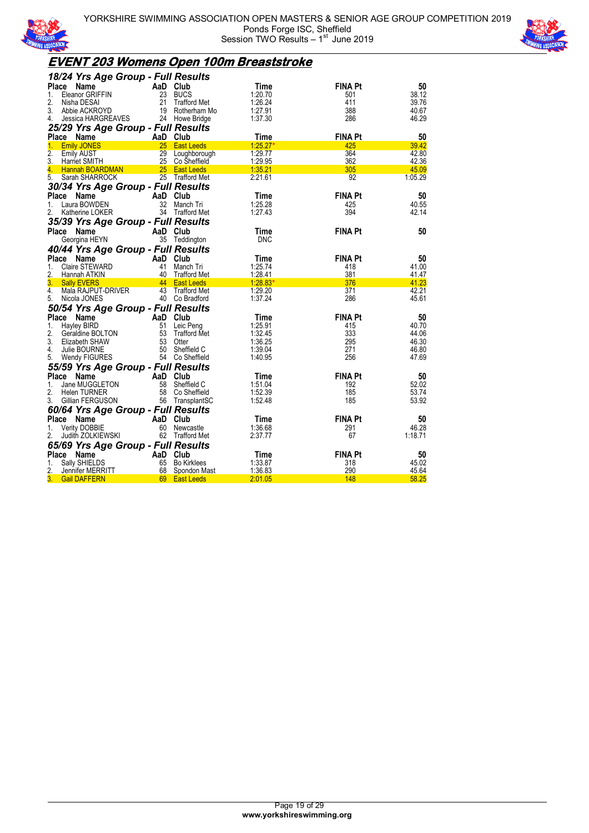



## **EVENT 203 Womens Open 100m Breaststroke**

| 18/24 Yrs Age Group - Full Results |           |                     |             |                |         |
|------------------------------------|-----------|---------------------|-------------|----------------|---------|
| Place Name                         | AaD       | Club                | Time        | <b>FINA Pt</b> | 50      |
| Eleanor GRIFFIN<br>1.              | 23        | <b>BUCS</b>         | 1:20.70     | 501            | 38.12   |
| 2.<br>Nisha DESAI                  | 21        | Trafford Met        | 1:26.24     | 411            | 39.76   |
| 3.<br>Abbie ACKROYD                |           | 19 Rotherham Mo     | 1:27.91     | 388            | 40.67   |
| Jessica HARGREAVES<br>4.           |           | 24 Howe Bridge      | 1:37.30     | 286            | 46.29   |
| 25/29 Yrs Age Group - Full Results |           |                     |             |                |         |
| Place<br>Name                      |           | AaD Club            | Time        | <b>FINA Pt</b> | 50      |
| <b>Emily JONES</b><br>1.           | $25 -$    | <b>East Leeds</b>   | $1:25.27*$  | 425            | 39.42   |
| 2.<br><b>Emily AUST</b>            | 29        | Loughborough        | 1:29.77     | 364            | 42.80   |
| 3.<br>Harriet SMITH                | 25        | Co Sheffield        | 1:29.95     | 362            | 42.36   |
| 4.<br><b>Hannah BOARDMAN</b>       | 25        | <b>East Leeds</b>   | 1.35.21     | 305            | 45.09   |
| 5.<br>Sarah SHARROCK               | 25        | Trafford Met        | 2:21.61     | 92             | 1:05.29 |
| 30/34 Yrs Age Group - Full Results |           |                     |             |                |         |
| Place<br>Name                      | AaD       | <b>Club</b>         | Time        | <b>FINA Pt</b> | 50      |
| 1.<br>Laura BOWDEN                 | 32        | Manch Tri           | 1.25.28     | 425            | 40.55   |
| 2.<br>Katherine LOKER              |           | 34 Trafford Met     | 1.27.43     | 394            | 42.14   |
| 35/39 Yrs Age Group - Full Results |           |                     |             |                |         |
| Place<br><b>Name</b>               |           | AaD Club            | <b>Time</b> | <b>FINA Pt</b> | 50      |
| Georgina HEYN                      |           | 35 Teddington       | <b>DNC</b>  |                |         |
| 40/44 Yrs Age Group - Full Results |           |                     |             |                |         |
| Place<br>Name                      |           | AaD Club            | Time        | <b>FINA Pt</b> | 50      |
| Claire STEWARD<br>1.               | 41        | Manch Tri           | 1.25.74     | 418            | 41.00   |
| 2.<br>Hannah ATKIN                 | 40        | Trafford Met        | 1:28.41     | 381            | 41.47   |
| 3.<br><b>Sally EVERS</b>           | <b>44</b> | <b>East Leeds</b>   | $1.28.83*$  | 376            | 41.23   |
| 4.<br>Mala RAJPUT-DRIVER           | 43        | Trafford Met        | 1.29.20     | 371            | 42.21   |
| 5.<br>Nicola JONES                 |           | 40 Co Bradford      | 1.37.24     | 286            | 45.61   |
| 50/54 Yrs Age Group - Full Results |           |                     |             |                |         |
| Place<br>Name                      |           | AaD Club            | Time        | <b>FINA Pt</b> | 50      |
| Hayley BIRD<br>1.                  | 51        | Leic Peng           | 1.25.91     | 415            | 40.70   |
| 2.<br>Geraldine BOLTON             | 53        | <b>Trafford Met</b> | 1:32.45     | 333            | 44.06   |
| 3.<br>Elizabeth SHAW               | 53        | Otter               | 1.36.25     | 295            | 46.30   |
| 4.<br>Julie BOURNE                 | 50        | Sheffield C         | 1.39.04     | 271            | 46.80   |
| 5.<br><b>Wendy FIGURES</b>         |           | 54 Co Sheffield     | 1.40.95     | 256            | 47.69   |
| 55/59 Yrs Age Group - Full Results |           |                     |             |                |         |
| Place<br>Name                      | AaD       | Club                | Time        | <b>FINA Pt</b> | 50      |
| 1.<br>Jane MUGGLETON               | 58        | Sheffield C         | 1:51.04     | 192            | 52.02   |
| 2.<br><b>Helen TURNER</b>          | 58        | Co Sheffield        | 1:52.39     | 185            | 53.74   |
| 3.<br>Gillian FERGUSON             |           | 56 TransplantSC     | 1:52.48     | 185            | 53.92   |
| 60/64 Yrs Age Group - Full Results |           |                     |             |                |         |
| <b>Place</b><br><b>Name</b>        |           | AaD Club            | Time        | <b>FINA Pt</b> | 50      |
| <b>Verity DOBBIE</b><br>1.         | 60        | Newcastle           | 1:36.68     | 291            | 46.28   |
| Judith ZOLKIEWSKI<br>2.            |           | 62 Trafford Met     | 2:37.77     | 67             | 1:18.71 |
| 65/69 Yrs Age Group - Full Results |           |                     |             |                |         |
| <b>Place</b><br><b>Name</b>        |           | AaD Club            | Time        | <b>FINA Pt</b> | 50      |
| Sally SHIELDS<br>1.                | 65        | <b>Bo Kirklees</b>  | 1:33.87     | 318            | 45.02   |
| 2.<br>Jennifer MERRITT             | 68        | Spondon Mast        | 1:36.83     | 290            | 45.64   |
| 3.<br><b>Gail DAFFERN</b>          | 69        | <b>East Leeds</b>   | 2:01.05     | 148            | 58.25   |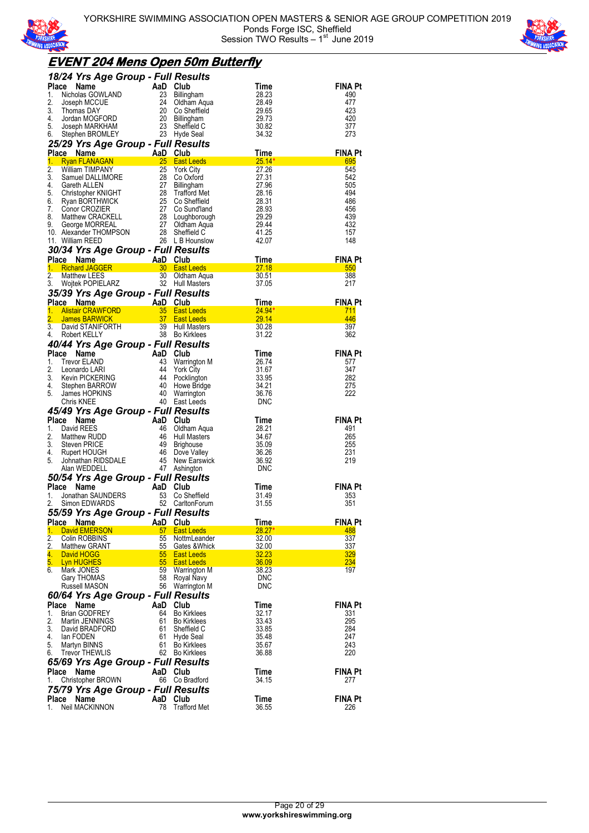



## **EVENT 204 Mens Open 50m Butterfly**

|                        | 18/24 Yrs Age Group - Full Results                                 |           |                                        |                   |                       |
|------------------------|--------------------------------------------------------------------|-----------|----------------------------------------|-------------------|-----------------------|
| Place                  | Name                                                               | AaD Club  |                                        | Time              | FINA Pt               |
| 1.                     | Nicholas GOWLAND                                                   | 23        | Billingham                             | 28.23             | 490                   |
| 2.<br>3.               | Joseph MCCUE<br>Thomas DAY                                         | 24<br>20  | Oldham Agua<br>Co Sheffield            | 28.49<br>29.65    | 477<br>423            |
| 4.                     | Jordan MOGFORD                                                     | -20       | Billingham                             | 29.73             | 420                   |
| 5.                     | Joseph MARKHAM                                                     | 23        | Sheffield C                            | 30.82             | 377                   |
| 6.                     | Stephen BROMLEY                                                    |           | 23 Hyde Seal                           | 34.32             | 273                   |
|                        | 25/29 Yrs Age Group - Full Results                                 |           |                                        |                   |                       |
| Place Name             |                                                                    | AaD Club  |                                        | Time              | <b>FINA Pt</b>        |
| 1.                     | <b>Ryan FLANAGAN</b>                                               |           | 25 East Leeds                          | $25.14*$          | 695                   |
| 2.<br>3.               | William TIMPANY<br>Samuel DALLIMORE                                | 25<br>28  | <b>York City</b><br>Co Oxford          | 27.26<br>27.31    | 545<br>542            |
| 4.                     | Gareth ALLEN                                                       | 27        | Billingham                             | 27.96             | 505                   |
| 5.                     | Christopher KNIGHT                                                 |           | 28 Trafford Met                        | 28.16             | 494                   |
| 6.                     | Ryan BORTHWICK                                                     | -25       | Co Sheffield                           | 28.31             | 486                   |
| 7.                     | Conor CROZIER                                                      | 27        | Co Sund'land                           | 28.93             | 456                   |
| 8.                     | Matthew CRACKELL                                                   |           | 28 Loughborough                        | 29.29             | 439                   |
|                        |                                                                    | 27        | Oldham Aqua<br>28 Sheffield C          | 29.44<br>41.25    | 432<br>157            |
| 11. William REED       | 8. Mattnew UTHUNLLL<br>9. George MORREAL<br>10. Alexander THOMPSON |           | 26 L B Hounslow                        | 42.07             | 148                   |
|                        | 30/34 Yrs Age Group - Full Results                                 |           |                                        |                   |                       |
| Place Name             |                                                                    | AaD Club  |                                        | Time              | <b>FINA Pt</b>        |
| 1.                     | <b>Richard JAGGER</b>                                              |           | 30 East Leeds                          | 27.18             | 550                   |
| 2.                     | Matthew LEES                                                       | 30        | Oldham Aqua                            | 30.51             | 388                   |
| 3.                     | <b>Woitek POPIELARZ</b>                                            |           | 32 Hull Masters                        | 37.05             | 217                   |
|                        | 35/39 Yrs Age Group - Full Results                                 |           |                                        |                   |                       |
| Place                  | Name                                                               | AaD Club  |                                        | Time              | <b>FINA Pt</b>        |
| 1.<br>2.               | <b>Alistair CRAWFORD</b><br><b>James BARWICK</b>                   | 35<br>37  | <b>East Leeds</b><br><b>East Leeds</b> | $24.94*$<br>29.14 | 711<br>446            |
| 3.                     |                                                                    |           | 39 Hull Masters                        | 30.28             | 397                   |
| 4.                     | David STANIFORTH<br>Robert KELLY<br>Robert KELLY                   |           | 38 Bo Kirklees                         | 31.22             | 362                   |
|                        | 40/44 Yrs Age Group - Full Results                                 |           |                                        |                   |                       |
| Place Name             |                                                                    | AaD Club  |                                        | Time              | <b>FINA Pt</b>        |
| 1.                     | <b>Trevor ELAND</b>                                                | 43        | Warrington M                           | 26.74             | 577                   |
| 2.                     | Leonardo LARI                                                      | 44        | <b>York City</b>                       | 31.67             | 347                   |
| 3.                     | Kevin PICKERING                                                    | 44        | Pocklington                            | 33.95             | 282                   |
| 4.<br>5.               | Stephen BARROW                                                     | 40        | Howe Bridge<br>40 Warrington           | 34.21<br>36.76    | 275<br>222            |
| Chris KNEE             | James HOPKINS                                                      |           | 40 East Leeds                          | DNC               |                       |
|                        | 45/49 Yrs Age Group - Full Results                                 |           |                                        |                   |                       |
| Place                  | Name                                                               | AaD Club  |                                        | Time              | <b>FINA Pt</b>        |
| David REES<br>1.       |                                                                    | 46        | Oldham Aqua                            | 28.21             | 491                   |
| 2.                     | Matthew RUDD                                                       | 46        | <b>Hull Masters</b>                    | 34.67             | 265                   |
| 3.                     | Steven PRICE                                                       | 49        | <b>Brighouse</b>                       | 35.09             | 255                   |
| 4.                     | Rupert HOUGH                                                       | 46        | Dove Valley                            | 36.26             | 231                   |
| 5.                     | Johnathan RIDSDALE                                                 |           | 45 New Earswick                        | 36.92             | 219                   |
|                        | Alan WEDDELL                                                       |           | 47 Ashington                           | DNC               |                       |
| Place                  | 50/54 Yrs Age Group - Full Results                                 |           |                                        |                   |                       |
| 1.                     | Name<br>Jonathan SAUNDERS                                          | AaD<br>53 | Club<br>Co Sheffield                   | Time<br>31.49     | <b>FINA Pt</b><br>353 |
| 2.                     | Simon EDWARDS                                                      |           | 52 CarltonForum                        | 31.55             | 351                   |
|                        | 55/59 Yrs Age Group - Full Results                                 |           |                                        |                   |                       |
| Place                  | <b>Name</b>                                                        | AaD       | Club                                   | Time              | <b>FINA Pt</b>        |
| 1.                     | David EMERSON                                                      | 57 -      | <b>East Leeds</b>                      | <u>28.27*</u>     | 488                   |
| 2.                     | Colin ROBBINS                                                      | 55        | NottmLeander                           | 32.00             | 337                   |
| 2.                     | <b>Matthew GRANT</b>                                               | 55        | Gates & Whick                          | 32.00             | <u>337</u>            |
| 4.<br>5.<br>Lyn HUGHES | David HOGG                                                         | 55<br>55  | <b>East Leeds</b><br><b>East Leeds</b> | 32.23<br>36.09    | 329<br>234            |
| 6.                     | Mark JONES                                                         | 59        | Warrington M                           | 38.23             | 197                   |
|                        | Gary THOMAS                                                        | 58        | Royal Navy                             | <b>DNC</b>        |                       |
|                        | Russell MASON                                                      | 56        | Warrington M                           | DNC               |                       |
|                        | 60/64 Yrs Age Group - Full Results                                 |           |                                        |                   |                       |
| Place                  | Name                                                               | AaD       | Club                                   | Time              | <b>FINA Pt</b>        |
| 1.                     | <b>Brian GODFREY</b>                                               | 64        | <b>Bo Kirklees</b>                     | 32.17             | 331                   |
| 2.<br>3.               | Martin JENNINGS                                                    | 61        | <b>Bo Kirklees</b>                     | 33.43             | 295                   |
| 4.<br>lan FODEN        | David BRADFORD                                                     | 61<br>61  | Sheffield C<br>Hyde Seal               | 33.85<br>35.48    | 284<br>247            |
| 5.                     | Martyn BINNS                                                       | 61        | <b>Bo Kirklees</b>                     | 35.67             | 243                   |
| 6.                     | <b>Trevor THEWLIS</b>                                              |           | 62 Bo Kirklees                         | 36.88             | 220                   |
|                        | 65/69 Yrs Age Group - Full Results                                 |           |                                        |                   |                       |
| Place                  | Name                                                               | AaD       | Club                                   | Time              | <b>FINA Pt</b>        |
| 1.                     | <b>Christopher BROWN</b>                                           |           | 66 Co Bradford                         | 34.15             | 277                   |
|                        | 75/79 Yrs Age Group - Full Results                                 |           |                                        |                   |                       |
| Place                  | Name                                                               | AaD       | Club                                   | Time              | <b>FINA Pt</b>        |
| 1.                     | Neil MACKINNON                                                     | 78        | <b>Trafford Met</b>                    | 36.55             | 226                   |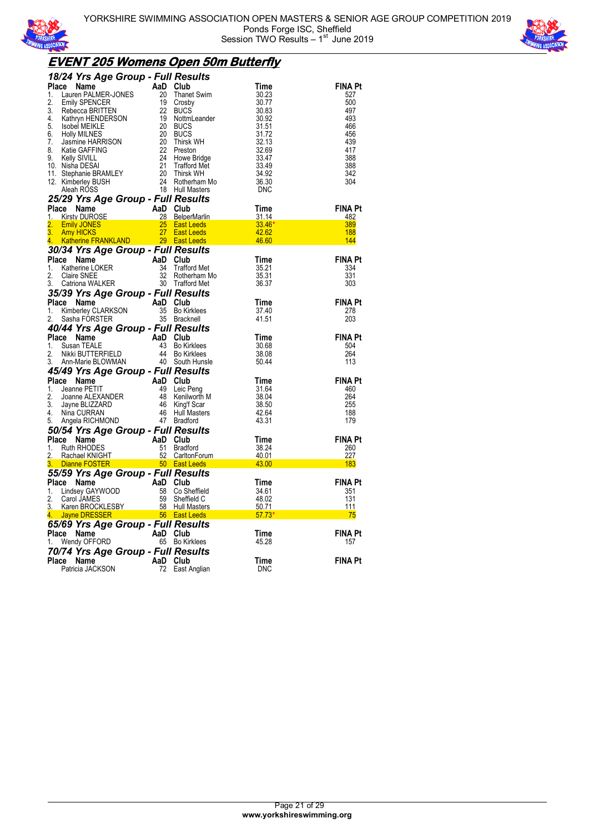



## **EVENT 205 Womens Open 50m Butterfly**

|                        | 18/24 Yrs Age Group - Full Results                                                                                                                                                                                                                      |    |                                                                                                                                                                                                                                                                                                                    |                                   |                       |
|------------------------|---------------------------------------------------------------------------------------------------------------------------------------------------------------------------------------------------------------------------------------------------------|----|--------------------------------------------------------------------------------------------------------------------------------------------------------------------------------------------------------------------------------------------------------------------------------------------------------------------|-----------------------------------|-----------------------|
|                        |                                                                                                                                                                                                                                                         |    |                                                                                                                                                                                                                                                                                                                    |                                   | <b>FINA Pt</b>        |
|                        |                                                                                                                                                                                                                                                         |    |                                                                                                                                                                                                                                                                                                                    |                                   | 527                   |
|                        |                                                                                                                                                                                                                                                         |    |                                                                                                                                                                                                                                                                                                                    |                                   | 500                   |
|                        |                                                                                                                                                                                                                                                         |    |                                                                                                                                                                                                                                                                                                                    |                                   | 497                   |
|                        |                                                                                                                                                                                                                                                         |    |                                                                                                                                                                                                                                                                                                                    |                                   | 493                   |
|                        |                                                                                                                                                                                                                                                         |    |                                                                                                                                                                                                                                                                                                                    |                                   | 466<br>456            |
|                        |                                                                                                                                                                                                                                                         |    |                                                                                                                                                                                                                                                                                                                    |                                   | 439                   |
|                        |                                                                                                                                                                                                                                                         |    |                                                                                                                                                                                                                                                                                                                    |                                   | 417                   |
|                        |                                                                                                                                                                                                                                                         |    |                                                                                                                                                                                                                                                                                                                    |                                   | 388                   |
|                        |                                                                                                                                                                                                                                                         |    |                                                                                                                                                                                                                                                                                                                    |                                   | 388                   |
|                        |                                                                                                                                                                                                                                                         |    |                                                                                                                                                                                                                                                                                                                    |                                   | 342                   |
|                        |                                                                                                                                                                                                                                                         |    |                                                                                                                                                                                                                                                                                                                    |                                   | 304                   |
|                        |                                                                                                                                                                                                                                                         |    | 18/24 Yrs Age Group - Full Results<br>1. Lauren PALMER-JONES 20 Thanet Swim 30.23<br>2. Emily SPENCER 19 Crosby<br>3. Rebecca BRITTEN 19 Crosby<br>4. Kathryn HENDERSON 19 NottmLeander 30.92<br>5. Isobel MEIKLE 20 BUCS 31.51<br>6. Holl<br>Time<br>$31.14$<br>$33.46*$<br>$42.62$<br>$46.60$<br>Time<br>$35.21$ |                                   |                       |
|                        | <b>25/29 Yrs Age Group - Full Results<br/> Place Name AaD Club<br/> 1. Kirsty DUROSE 28 BelperMarlin<br/> 2. Emily JONES 25 East Leeds<br/> 3. Amy HICKS 27 East Leeds</b>                                                                              |    |                                                                                                                                                                                                                                                                                                                    |                                   | <b>FINA Pt</b>        |
|                        |                                                                                                                                                                                                                                                         |    |                                                                                                                                                                                                                                                                                                                    |                                   | 482                   |
|                        |                                                                                                                                                                                                                                                         |    |                                                                                                                                                                                                                                                                                                                    |                                   | 389                   |
| 3.<br><b>Amy HICKS</b> |                                                                                                                                                                                                                                                         | 27 | <b>East Leeds</b>                                                                                                                                                                                                                                                                                                  |                                   | 188                   |
| 4.                     | Katherine FRANKLAND 29 East Leeds                                                                                                                                                                                                                       |    |                                                                                                                                                                                                                                                                                                                    |                                   | 144                   |
|                        | 30/34 Yrs Age Group - Full Results                                                                                                                                                                                                                      |    |                                                                                                                                                                                                                                                                                                                    |                                   |                       |
| Place Name             | Ce Name AaD Club<br>Katherine LOKER AaD Club<br>Katherine LOKER 32 Rotherham M<br>Catriona WALKER 30 Trafford Met                                                                                                                                       |    |                                                                                                                                                                                                                                                                                                                    |                                   | <b>FINA Pt</b>        |
| 1.                     |                                                                                                                                                                                                                                                         |    |                                                                                                                                                                                                                                                                                                                    |                                   | 334                   |
| 2.                     |                                                                                                                                                                                                                                                         |    | 32 Rotherham Mo                                                                                                                                                                                                                                                                                                    | 35.31                             | 331                   |
| 3.                     |                                                                                                                                                                                                                                                         |    |                                                                                                                                                                                                                                                                                                                    | 36.37                             | 303                   |
|                        | <b>35/39 Yrs Age Group - Full Results<br/> Place Name AaD Club<br/> 1. Kimberley CLARKSON 35 Bo Kirklees<br/> 2. Sasha FORSTER 35 Bracknell</b>                                                                                                         |    |                                                                                                                                                                                                                                                                                                                    |                                   |                       |
|                        |                                                                                                                                                                                                                                                         |    |                                                                                                                                                                                                                                                                                                                    | Time                              | <b>FINA Pt</b>        |
|                        |                                                                                                                                                                                                                                                         |    |                                                                                                                                                                                                                                                                                                                    | 37.40                             | 278                   |
|                        |                                                                                                                                                                                                                                                         |    |                                                                                                                                                                                                                                                                                                                    | 41.51                             | 203                   |
|                        |                                                                                                                                                                                                                                                         |    |                                                                                                                                                                                                                                                                                                                    |                                   |                       |
|                        |                                                                                                                                                                                                                                                         |    |                                                                                                                                                                                                                                                                                                                    |                                   |                       |
|                        |                                                                                                                                                                                                                                                         |    |                                                                                                                                                                                                                                                                                                                    | Time                              | <b>FINA Pt</b>        |
|                        |                                                                                                                                                                                                                                                         |    |                                                                                                                                                                                                                                                                                                                    | 30.68                             | 504                   |
|                        |                                                                                                                                                                                                                                                         |    |                                                                                                                                                                                                                                                                                                                    | 38.08                             | 264                   |
|                        | 2. Sabila Forontin<br><b>40/44 Yrs Age Group - Full Results</b><br>1. Susan TEALE<br>2. Nikki BUTTERFIELD<br>3. Ann-Marie BLOWMAN<br>3. Ann-Marie BLOWMAN<br>40 Soluth Hunsle<br>5. Ann-Marie BLOWMAN<br>40 Soluth Hunsle<br>40 Soluth Hunsle<br>40 Sol |    |                                                                                                                                                                                                                                                                                                                    | -50.44                            | 113                   |
|                        | 45/49 Yrs Age Group - Full Results                                                                                                                                                                                                                      |    |                                                                                                                                                                                                                                                                                                                    |                                   |                       |
|                        |                                                                                                                                                                                                                                                         |    |                                                                                                                                                                                                                                                                                                                    | Time                              | <b>FINA Pt</b>        |
|                        |                                                                                                                                                                                                                                                         |    |                                                                                                                                                                                                                                                                                                                    | 31.64                             | 460<br>264            |
|                        |                                                                                                                                                                                                                                                         |    |                                                                                                                                                                                                                                                                                                                    | 38.04<br>38.50                    | 255                   |
|                        |                                                                                                                                                                                                                                                         |    |                                                                                                                                                                                                                                                                                                                    | 42.64                             | 188                   |
|                        |                                                                                                                                                                                                                                                         |    |                                                                                                                                                                                                                                                                                                                    | 43.31                             | 179                   |
|                        | Place Name PETIT<br>2. Jeanne PETIT 49 Leic Peng<br>2. Jeanne ALEXANDER 49 Leic Peng<br>2. Jeanne ALEXANDER 48 Kenilworth M<br>3. Jayne BLIZZARD 46 King'f Scar<br>4. Nina CURRAN 46 Hull Masters<br>5. Angela RICHMOND 50/54 VER AGG CERL              |    |                                                                                                                                                                                                                                                                                                                    |                                   |                       |
|                        |                                                                                                                                                                                                                                                         |    |                                                                                                                                                                                                                                                                                                                    |                                   | <b>FINA Pt</b>        |
|                        |                                                                                                                                                                                                                                                         |    |                                                                                                                                                                                                                                                                                                                    |                                   | 260                   |
|                        |                                                                                                                                                                                                                                                         |    |                                                                                                                                                                                                                                                                                                                    |                                   | 227                   |
|                        |                                                                                                                                                                                                                                                         |    |                                                                                                                                                                                                                                                                                                                    |                                   | 183                   |
|                        |                                                                                                                                                                                                                                                         |    |                                                                                                                                                                                                                                                                                                                    |                                   |                       |
|                        |                                                                                                                                                                                                                                                         |    |                                                                                                                                                                                                                                                                                                                    |                                   | <b>FINA Pt</b><br>351 |
|                        |                                                                                                                                                                                                                                                         |    |                                                                                                                                                                                                                                                                                                                    |                                   | 131                   |
|                        |                                                                                                                                                                                                                                                         |    |                                                                                                                                                                                                                                                                                                                    |                                   | $\frac{111}{2}$       |
|                        |                                                                                                                                                                                                                                                         |    |                                                                                                                                                                                                                                                                                                                    | <u> 1999 - Jan Jawa Barat, pa</u> |                       |
|                        | 65/69 Yrs Age Group - Full Results                                                                                                                                                                                                                      |    | <b>50/54 Yrs Age Group - Full Results</b><br>Place Name Control and Club<br>1. Ruth RHODES 51 Bradford 38.24<br>2. Rachael KNIGHT 52 CarltonForum<br>3. Dianne FOSTER 50 East Leeds 43.00<br>55/59 Yrs Age Group - Full Results<br>1. Lindsey G                                                                    |                                   |                       |
| Place Name             |                                                                                                                                                                                                                                                         |    |                                                                                                                                                                                                                                                                                                                    | Time                              | <b>FINA Pt</b>        |
| 1.                     | ce Name<br>Wendy OFFORD<br>Mendy OFFORD<br>65 Bo Kirklees                                                                                                                                                                                               |    |                                                                                                                                                                                                                                                                                                                    | 45.28                             | 157                   |
|                        | 70/74 Yrs Age Group - Full Results                                                                                                                                                                                                                      |    |                                                                                                                                                                                                                                                                                                                    |                                   |                       |
| Place Name             | <b>Ce Name</b><br>Patricia JACKSON<br>72 East A                                                                                                                                                                                                         |    | 72 East Anglian                                                                                                                                                                                                                                                                                                    | Time<br>DNC                       | <b>FINA Pt</b>        |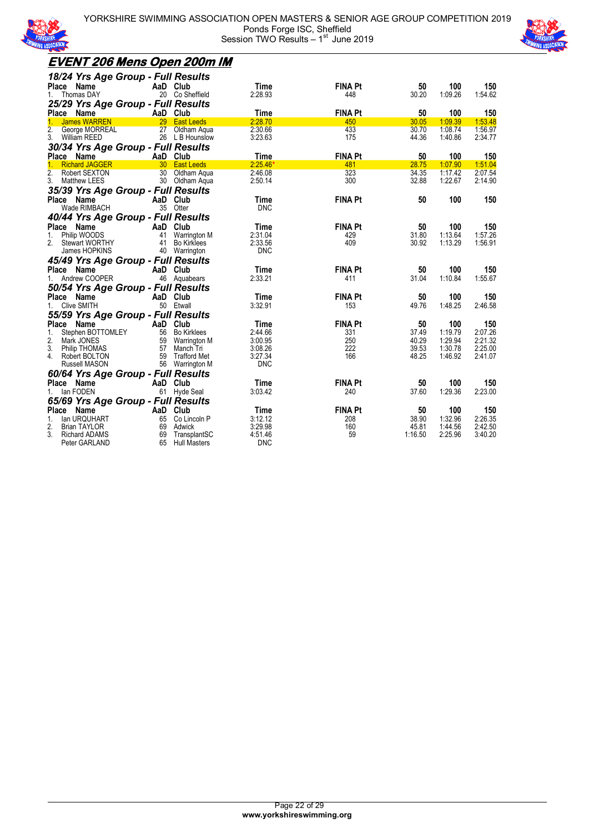

YORKSHIRE SWIMMING ASSOCIATION OPEN MASTERS & SENIOR AGE GROUP COMPETITION 2019 Ponds Forge ISC, Sheffield Session TWO Results  $-1<sup>st</sup>$  June 2019



| <u>EVENT 206 Mens Open 200m IM</u>                                                          |                |             |         |                |
|---------------------------------------------------------------------------------------------|----------------|-------------|---------|----------------|
| 18/24 Yrs Age Group - Full Results<br>Place<br>Time<br>Name<br>AaD Club                     | <b>FINA Pt</b> | 50          | 100     | 150            |
| 1. Thomas DAY<br>20 Co Sheffield<br>2:28.93<br>25/29 Yrs Age Group - Full Results           | 448            | 30.20       | 1:09.26 | 1:54.62        |
| Place Name<br>AaD Club<br>Time                                                              | <b>FINA Pt</b> | 50          | 100     | 150            |
| 29 East Leeds<br>1 <sup>1</sup><br><b>James WARREN</b><br>2:28.70                           | 450            | 30.05       | 1:09.39 | 1:53.48        |
| $\overline{2}$ .<br>George MORREAL<br>27 Oldham Agua<br>2:30.66                             | 433            | 30.70       | 1:08.74 | 1:56.97        |
| 3. William REED<br>26 L B Hounslow<br>3:23.63                                               | 175            | 44.36       | 1:40.86 | 2:34.77        |
| 30/34 Yrs Age Group - Full Results                                                          |                |             |         |                |
| Place Name<br>AaD Club<br>Time                                                              | <b>FINA Pt</b> | 50          | 100     | 150            |
| 1.<br>30 East Leeds<br>$2:25.46*$<br><b>Richard JAGGER</b>                                  | 481            | 28.75       | 1:07.90 | 1:51.04        |
| 2.<br>30 Oldham Aqua<br>2.46.08<br><b>Robert SEXTON</b>                                     | 323            | 34.35       | 1:17.42 | 2:07.54        |
| 3.<br>30 Oldham Aqua<br>2:50.14<br><b>Matthew LEES</b>                                      | 300            | 32.88       | 1:22.67 | 2:14.90        |
| 35/39 Yrs Age Group - Full Results                                                          |                |             |         |                |
| Place Name<br>AaD Club<br>Time<br>Wade RIMBACH<br>35 Otter<br><b>DNC</b>                    | <b>FINA Pt</b> | 50          | 100     | 150            |
| 40/44 Yrs Age Group - Full Results                                                          |                |             |         |                |
| Place Name<br>AaD Club<br>Time                                                              | <b>FINA Pt</b> | 50          | 100     | 150            |
| Philip WOODS<br>2:31.04<br>1.<br>41<br>Warrington M                                         | 429            | 31.80       | 1:13.64 | 1:57.26        |
| 2.<br>Stewart WORTHY<br>2:33.56<br>41<br><b>Bo Kirklees</b>                                 | 409            | 30.92       | 1:13.29 | 1:56.91        |
| James HOPKINS<br><b>DNC</b><br>40 Warrington                                                |                |             |         |                |
| 45/49 Yrs Age Group - Full Results                                                          |                |             |         |                |
| Place Name<br>AaD Club<br>Time                                                              | <b>FINA Pt</b> | 50          | 100     | 150            |
| 1. Andrew COOPER<br>2:33.21<br>46 Aquabears                                                 | 411            | 31.04       | 1:10.84 | 1:55.67        |
| 50/54 Yrs Age Group - Full Results                                                          |                |             |         |                |
| Place Name<br>AaD Club<br>Time                                                              | <b>FINA Pt</b> | 50          | 100     | 150            |
| 1. Clive SMITH<br>50 Etwall<br>3:32.91                                                      | 153            | 49.76       | 1:48.25 | 2:46.58        |
| 55/59 Yrs Age Group - Full Results                                                          |                |             |         |                |
| Place Name<br>AaD Club<br>Time                                                              | <b>FINA Pt</b> | 50          | 100     | 150            |
| 1.<br>Stephen BOTTOMLEY<br>56 Bo Kirklees<br>2:44.66                                        | 331            | 37.49       | 1:19.79 | 2:07.26        |
| 2.<br>Mark JONES<br>59 Warrington M<br>3:00.95                                              | 250            | 40.29       | 1:29.94 | 2:21.32        |
| 3.<br>Philip THOMAS<br>57<br>3:08.26<br>Manch Tri                                           | 222            | 39.53       | 1:30.78 | 2:25.00        |
| 4. Robert BOLTON<br>59 Trafford Met<br>3:27.34                                              | 166            | 48.25       | 1:46.92 | 2:41.07        |
| Russell MASON<br>56 Warrington M<br><b>DNC</b>                                              |                |             |         |                |
| 60/64 Yrs Age Group - Full Results                                                          |                |             |         |                |
| Place Name<br>AaD Club<br>Time                                                              | <b>FINA Pt</b> | 50          | 100     | 150            |
| lan FODEN<br>61 Hyde Seal<br>3:03.42<br>1.                                                  | 240            | 37.60       | 1:29.36 | 2:23.00        |
|                                                                                             |                |             |         |                |
| 65/69 Yrs Age Group - Full Results<br>Place Name                                            | <b>FINA Pt</b> |             | 100     |                |
| AaD Club<br>Time<br>lan URQUHART                                                            |                | 50<br>38.90 | 1:32.96 | 150<br>2:26.35 |
| 1.<br>65<br>Co Lincoln P<br>3:12.12<br>2.<br>69<br>3:29.98<br><b>Brian TAYLOR</b><br>Adwick | 208<br>160     | 45.81       | 1:44.56 | 2:42.50        |
| 3.<br><b>Richard ADAMS</b><br>4:51.46<br>69<br>TransplantSC                                 | 59             | 1:16.50     | 2:25.96 | 3:40.20        |
| 65 Hull Masters<br><b>DNC</b><br>Peter GARLAND                                              |                |             |         |                |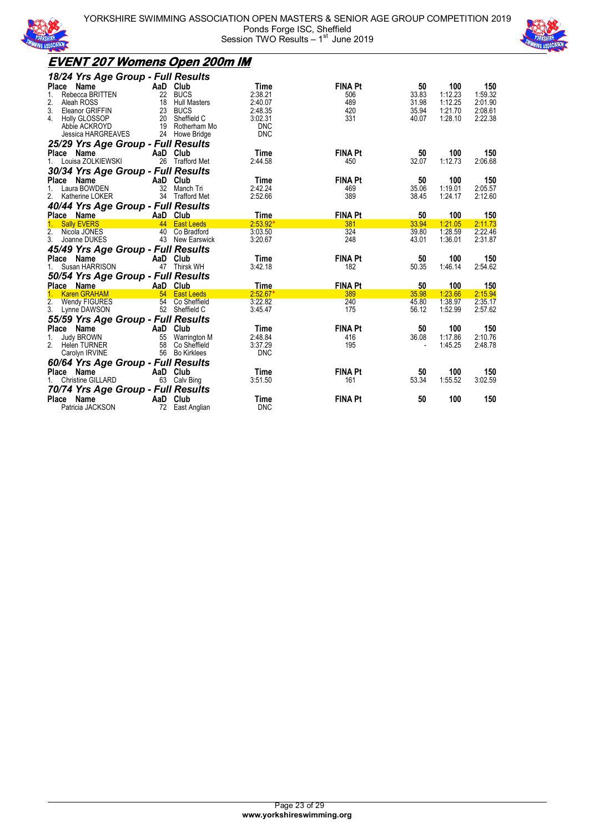



## **EVENT 207 Womens Open 200m IM**

| 18/24 Yrs Age Group - Full Results |          |                     |            |                |       |         |         |
|------------------------------------|----------|---------------------|------------|----------------|-------|---------|---------|
| Place<br>Name                      |          | AaD Club            | Time       | <b>FINA Pt</b> | 50    | 100     | 150     |
| Rebecca BRITTEN<br>1.              | 22       | <b>BUCS</b>         | 2:38.21    | 506            | 33.83 | 1:12.23 | 1:59.32 |
| 2.<br>Aleah ROSS                   | 18       | <b>Hull Masters</b> | 2:40.07    | 489            | 31.98 | 1:12.25 | 2:01.90 |
| 3.<br>Eleanor GRIFFIN              | 23       | <b>BUCS</b>         | 2:48.35    | 420            | 35.94 | 1:21.70 | 2:08.61 |
| 4.<br>Holly GLOSSOP                | 20       | Sheffield C         | 3:02.31    | 331            | 40.07 | 1:28.10 | 2:22.38 |
| Abbie ACKROYD                      | 19       | Rotherham Mo        | <b>DNC</b> |                |       |         |         |
| Jessica HARGREAVES                 |          | 24 Howe Bridge      | <b>DNC</b> |                |       |         |         |
| 25/29 Yrs Age Group - Full Results |          |                     |            |                |       |         |         |
| <b>Place</b><br>Name               | AaD Club |                     | Time       | <b>FINA Pt</b> | 50    | 100     | 150     |
| Louisa ZOLKIEWSKI                  | 26       | <b>Trafford Met</b> | 2:44.58    | 450            | 32.07 | 1:12.73 | 2:06.68 |
| 30/34 Yrs Age Group - Full Results |          |                     |            |                |       |         |         |
| Place Name                         | AaD      | Club                | Time       | <b>FINA Pt</b> | 50    | 100     | 150     |
| 1.<br>Laura BOWDEN                 | 32       | Manch Tri           | 2:42.24    | 469            | 35.06 | 1:19.01 | 2:05.57 |
| 2.<br>Katherine LOKER              | 34       | Trafford Met        | 2:52.66    | 389            | 38.45 | 1:24.17 | 2:12.60 |
| 40/44 Yrs Age Group - Full Results |          |                     |            |                |       |         |         |
| Place Name                         | AaD Club |                     | Time       | <b>FINA Pt</b> | 50    | 100     | 150     |
| $1_{-}$<br><b>Sally EVERS</b>      |          | 44 East Leeds       | $2:53.92*$ | 381            | 33.94 | 1:21.05 | 2:11.73 |
| 2.<br>Nicola JONES                 | 40       | Co Bradford         | 3:03.50    | 324            | 39.80 | 1:28.59 | 2:22.46 |
| 3.<br>Joanne DUKES                 |          | 43 New Earswick     | 3:20.67    | 248            | 43.01 | 1:36.01 | 2:31.87 |
| 45/49 Yrs Age Group - Full Results |          |                     |            |                |       |         |         |
| Place<br>Name                      | AaD Club |                     | Time       | <b>FINA Pt</b> | 50    | 100     | 150     |
| Susan HARRISON                     |          | 47 Thirsk WH        | 3:42.18    | 182            | 50.35 | 1:46.14 | 2:54.62 |
|                                    |          |                     |            |                |       |         |         |
| 50/54 Yrs Age Group - Full Results |          |                     |            |                |       |         |         |
| Place Name                         | AaD Club |                     | Time       | <b>FINA Pt</b> | 50    | 100     | 150     |
| <b>Karen GRAHAM</b>                |          | 54 East Leeds       | $2.52.67*$ | 389            | 35.98 | 1:23.66 | 2:15.94 |
| 2.<br><b>Wendy FIGURES</b>         | 54       | Co Sheffield        | 3:22.82    | 240            | 45.80 | 1:38.97 | 2:35.17 |
| 3.<br>Lynne DAWSON                 |          | 52 Sheffield C      | 3:45.47    | 175            | 56.12 | 1:52.99 | 2:57.62 |
| 55/59 Yrs Age Group - Full Results |          |                     |            |                |       |         |         |
| Place Name                         | AaD Club |                     | Time       | <b>FINA Pt</b> | 50    | 100     | 150     |
| <b>Judy BROWN</b>                  | 55       | Warrington M        | 2:48.84    | 416            | 36.08 | 1:17.86 | 2:10.76 |
| 2.<br><b>Helen TURNER</b>          | 58       | Co Sheffield        | 3:37.29    | 195            |       | 1:45.25 | 2:48.78 |
| Carolyn IRVINE                     |          | 56 Bo Kirklees      | <b>DNC</b> |                |       |         |         |
| 60/64 Yrs Age Group - Full Results |          |                     |            |                |       |         |         |
| Place<br>Name                      | AaD Club |                     | Time       | <b>FINA Pt</b> | 50    | 100     | 150     |
| <b>Christine GILLARD</b>           |          | 63 Calv Bing        | 3:51.50    | 161            | 53.34 | 1:55.52 | 3:02.59 |
| 70/74 Yrs Age Group - Full Results |          |                     |            |                |       |         |         |
| Place<br>Name                      | AaD Club |                     | Time       | <b>FINA Pt</b> | 50    | 100     | 150     |
| Patricia JACKSON                   | 72       | East Anglian        | <b>DNC</b> |                |       |         |         |
|                                    |          |                     |            |                |       |         |         |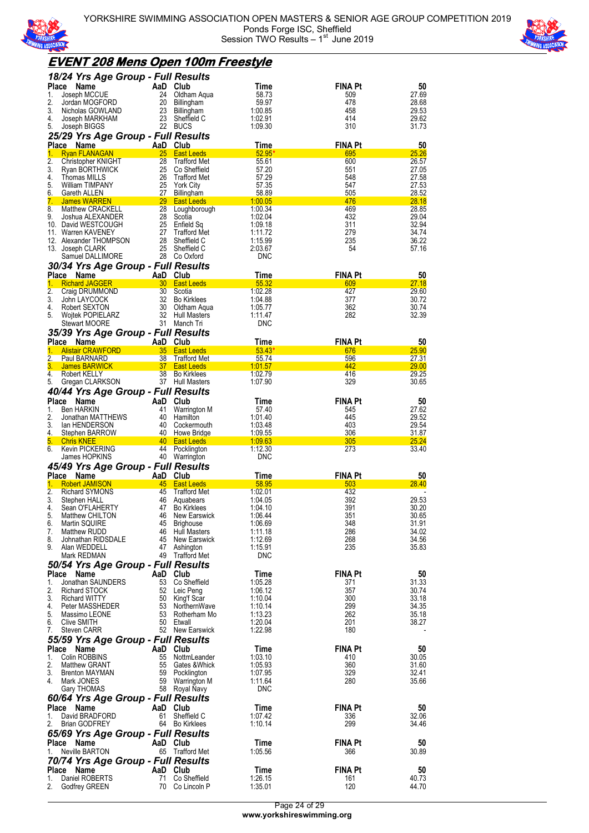



## **EVENT 208 Mens Open 100m Freestyle**

|                  | 18/24 Yrs Age Group - Full Results               |                 |                                   |                       |                       |                       |
|------------------|--------------------------------------------------|-----------------|-----------------------------------|-----------------------|-----------------------|-----------------------|
| Place<br>1.      | Name<br>Joseph MCCUE                             | 24              | AaD Club<br>Oldham Aqua           | Time<br>58.73         | <b>FINA Pt</b><br>509 | 50<br>27.69           |
| 2.               | Jordan MOGFORD                                   | 20              | Billingham                        | 59.97                 | 478                   | 28.68                 |
| 3.               | Nicholas GOWLAND                                 | 23              | <b>Billingham</b>                 | 1:00.85               | 458                   | 29.53                 |
| 4.               | Joseph MARKHAM                                   | 23              | Sheffield C                       | 1:02.91               | 414                   | 29.62                 |
| 5.               | Joseph BIGGS                                     |                 | 22 BUCS                           | 1:09.30               | 310                   | 31.73                 |
|                  | 25/29 Yrs Age Group - Full Results               |                 |                                   |                       |                       |                       |
|                  | Place Name                                       |                 | AaD Club<br><b>East Leeds</b>     | Time<br>52.95         | <b>FINA Pt</b>        | 50<br>25.26           |
| 1.<br>2.         | <b>Ryan FLANAGAN</b><br>Christopher KNIGHT       | <b>25</b><br>28 | <b>Trafford Met</b>               | 55.61                 | 695<br>600            | 26.57                 |
| 3.               | Ryan BORTHWICK                                   | 25              | Co Sheffield                      | 57.20                 | 551                   | 27.05                 |
| 4.               | Thomas MILLS                                     | 26              | <b>Trafford Met</b>               | 57.29                 | 548                   | 27.58                 |
| 5.               | William TIMPANY                                  | 25              | York City                         | 57.35                 | 547                   | 27.53                 |
| 6.               | <b>Gareth ALLEN</b>                              | 27              | Billingham                        | 58.89                 | 505                   | 28.52                 |
| 7.<br>8.         | <b>James WARREN</b><br>Matthew CRACKELL          | 29<br>28        | <b>East Leeds</b><br>Loughborough | 1:00.05<br>1:00.34    | 476<br>469            | 28.18<br>28.85        |
| 9.               | Joshua ALEXANDER                                 | 28              | Scotia                            | 1:02.04               | 432                   | 29.04                 |
|                  | 10. David WESTCOUGH                              | 25              | Enfield Sq                        | 1:09.18               | 311                   | 32.94                 |
|                  | 11. Warren KAVENEY                               | 27              | <b>Trafford Met</b>               | 1:11.72               | 279                   | 34.74                 |
|                  | 12. Alexander THOMPSON                           | 28              | Sheffield C                       | 1:15.99               | 235                   | 36.22                 |
|                  | 13. Joseph CLARK                                 | 25              | Sheffield C<br>28 Co Oxford       | 2:03.67<br><b>DNC</b> | 54                    | 57.16                 |
|                  | Samuel DALLIMORE                                 |                 |                                   |                       |                       |                       |
|                  | 30/34 Yrs Age Group - Full Results<br>Place Name |                 | AaD Club                          | <b>Time</b>           | <b>FINA Pt</b>        | 50                    |
| 1.               | <b>Richard JAGGER</b>                            |                 | 30 East Leeds                     | 55.32                 | 609                   | <u> 27.18</u>         |
| 2.               | Craig DRUMMOND                                   | 30              | Scotia                            | 1:02.28               | 427                   | 29.60                 |
| 3.               | John LAYCOCK                                     | 32              | <b>Bo Kirklees</b>                | 1:04.88               | 377                   | 30.72                 |
| 4.               | Robert SEXTON                                    | 30              | Oldham Aqua                       | 1:05.77               | 362                   | 30.74                 |
| 5.               | Wojtek POPIELARZ                                 |                 | 32 Hull Masters                   | 1:11.47               | 282                   | 32.39                 |
|                  | Stewart MOORE                                    |                 | 31 Manch Tri                      | <b>DNC</b>            |                       |                       |
|                  | 35/39 Yrs Age Group - Full Results               |                 |                                   |                       |                       |                       |
| Place<br>1.      | Name<br><b>Alistair CRAWFORD</b>                 | AaD<br>35       | Club<br><b>East Leeds</b>         | Time<br>$53.43*$      | <b>FINA Pt</b><br>676 | 50<br>25.90           |
| 2.               | Paul BARNARD                                     | 38              | <b>Trafford Met</b>               | 55.74                 | 596                   | 27.31                 |
| 3.               | <b>James BARWICK</b>                             | 37              | <b>East Leeds</b>                 | 1:01.57               | 442                   | 29.00                 |
| 4.               | Robert KELLY                                     | 38 <sup>7</sup> | <b>Bo Kirklees</b>                | 1:02.79               | 416                   | 29.25                 |
| 5.               | Gregan CLARKSON                                  |                 | 37 Hull Masters                   | 1:07.90               | 329                   | 30.65                 |
|                  | 40/44 Yrs Age Group - Full Results               |                 |                                   |                       |                       |                       |
| Place            | Name                                             | AaD             | Club                              | Time                  | <b>FINA Pt</b>        | 50                    |
| 1.               | Ben HARKIN                                       | 41              | Warrington M                      | 57.40                 | 545                   | 27.62                 |
| 2.               | Jonathan MATTHEWS                                | 40              | Hamilton                          | 1:01.40               | 445                   | 29.52<br>29.54        |
|                  |                                                  |                 |                                   |                       |                       |                       |
| 3.               | lan HENDERSON                                    | 40              | Cockermouth                       | 1:03.48               | 403                   |                       |
| 4.<br>5.         | <b>Stephen BARROW</b><br><b>Chris KNEE</b>       | 40              | Howe Bridge<br>40 East Leeds      | 1:09.55<br>1:09.63    | 306<br>305            | 31.87<br><u>25.24</u> |
| 6.               | <b>Kevin PICKERING</b>                           | 44              | Pocklington                       | 1:12.30               | 273                   | 33.40                 |
|                  | James HOPKINS                                    | 40              | Warrington                        | <b>DNC</b>            |                       |                       |
|                  | 45/49 Yrs Age Group - Full Results               |                 |                                   |                       |                       |                       |
|                  | Place Name                                       |                 | AaD Club                          | Time                  | <b>FINA Pt</b>        | 50                    |
| 1.               | <b>Robert JAMISON</b>                            | 45              | <b>East Leeds</b>                 | 58.95                 | 503                   | 28.40                 |
| $\overline{2}$ . | <b>Richard SYMONS</b>                            | 45              | <b>Trafford Met</b>               | 1:02.01               | 432                   |                       |
| 3.<br>4.         | Stephen HALL<br>Sean O'FLAHERTY                  | 46<br>47        | Aquabears<br><b>Bo Kirklees</b>   | 1:04.05<br>1:04.10    | 392<br>391            | 29.53<br>30.20        |
| 5.               | Matthew CHILTON                                  |                 | 46 New Earswick                   | 1:06.44               | 351                   | 30.65                 |
| 6.               | Martin SQUIRE                                    | 45              | <b>Brighouse</b>                  | 1:06.69               | 348                   | 31.91                 |
| 7.               | <b>Matthew RUDD</b>                              | 46              | <b>Hull Masters</b>               | 1:11.18               | 286                   | 34.02                 |
| 8.               | Johnathan RIDSDALE                               | 45              | New Earswick                      | 1:12.69               | 268                   | 34.56                 |
| 9.               | Alan WEDDELL<br>Mark REDMAN                      |                 | 47 Ashington                      | 1:15.91<br><b>DNC</b> | 235                   | 35.83                 |
|                  |                                                  |                 | 49 Trafford Met                   |                       |                       |                       |
| Place            | 50/54 Yrs Age Group - Full Results               | AaD             | Club                              | Time                  | <b>FINA Pt</b>        | 50                    |
| 1.               | Name<br>Jonathan SAUNDERS                        | 53              | Co Sheffield                      | 1:05.28               | 371                   | 31.33                 |
| 2.               | <b>Richard STOCK</b>                             | 52              | Leic Peng                         | 1:06.12               | 357                   | 30.74                 |
| 3.               | <b>Richard WITTY</b>                             | 50              | King'f Scar                       | 1:10.04               | 300                   | 33.18                 |
| 4.               | Peter MASSHEDER                                  |                 | 53 NorthernWave                   | 1:10.14               | 299                   | 34.35                 |
| 5.               | Massimo LEONE                                    | 53              | Rotherham Mo                      | 1:13.23               | 262                   | 35.18                 |
| 6.               | Clive SMITH                                      |                 | 50 Etwall                         | 1:20.04<br>1:22.98    | 201<br>180            | 38.27                 |
| 7.               | Steven CARR                                      |                 | 52 New Earswick                   |                       |                       |                       |
|                  | 55/59 Yrs Age Group - Full Results               |                 |                                   |                       |                       |                       |
| Place<br>1.      | Name<br>Colin ROBBINS                            | 55              | AaD Club<br>NottmLeander          | Time<br>1:03.10       | <b>FINA Pt</b><br>410 | 50<br>30.05           |
| 2.               | <b>Matthew GRANT</b>                             | 55              | Gates & Whick                     | 1:05.93               | 360                   | 31.60                 |
| 3.               | <b>Brenton MAYMAN</b>                            | 59              | Pocklington                       | 1:07.95               | 329                   | 32.41                 |
| 4.               | Mark JONES                                       | 59              | Warrington M                      | 1:11.64               | 280                   | 35.66                 |
|                  | Gary THOMAS                                      |                 | 58 Royal Navy                     | DNC                   |                       |                       |
|                  | 60/64 Yrs Age Group - Full Results               |                 |                                   |                       |                       |                       |
| Place            | Name                                             | AaD             | Club                              | Time                  | <b>FINA Pt</b>        | 50                    |
| 1.<br>2.         | David BRADFORD                                   | 61<br>64        | Sheffield C                       | 1:07.42<br>1:10.14    | 336<br>299            | 32.06<br>34.46        |
|                  | <b>Brian GODFREY</b>                             |                 | <b>Bo Kirklees</b>                |                       |                       |                       |
| Place            | 65/69 Yrs Age Group - Full Results<br>Name       |                 | AaD Club                          | Time                  |                       |                       |
| 1.               | Neville BARTON                                   |                 | 65 Trafford Met                   | 1:05.56               | <b>FINA Pt</b><br>366 | 50<br>30.89           |
|                  |                                                  |                 |                                   |                       |                       |                       |
| Place            | 70/74 Yrs Age Group - Full Results<br>Name       | AaD             | Club                              | Time                  | <b>FINA Pt</b>        | 50                    |
| 1.<br>2.         | Daniel ROBERTS<br>Godfrey GREEN                  | 71<br>70        | Co Sheffield<br>Co Lincoln P      | 1:26.15<br>1.35.01    | 161<br>120            | 40.73<br>44.70        |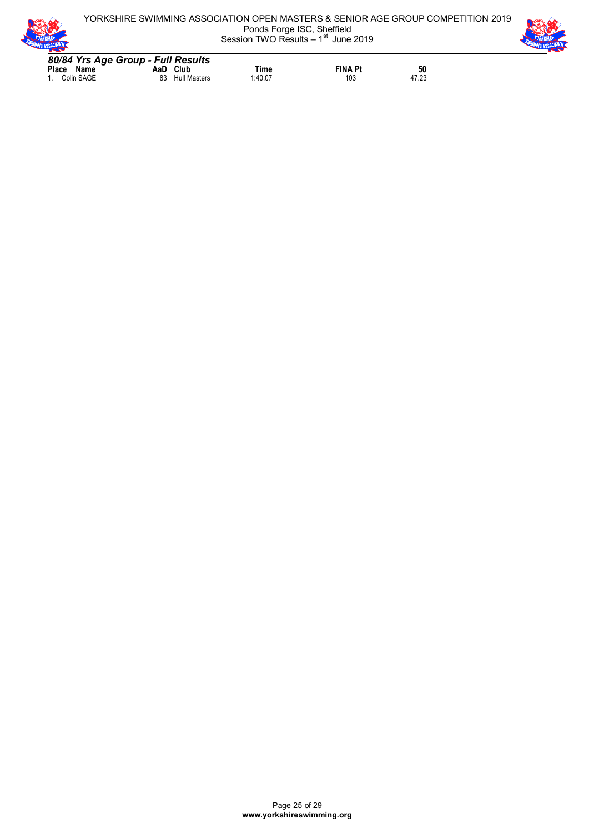





*80/84 Yrs Age Group - Full Results* **Place Name 12 AaD Club 1:40.07 Time 1:40.07 FINA Pt 50**<br>1. Colin SAGE 1.40.07 103 47.23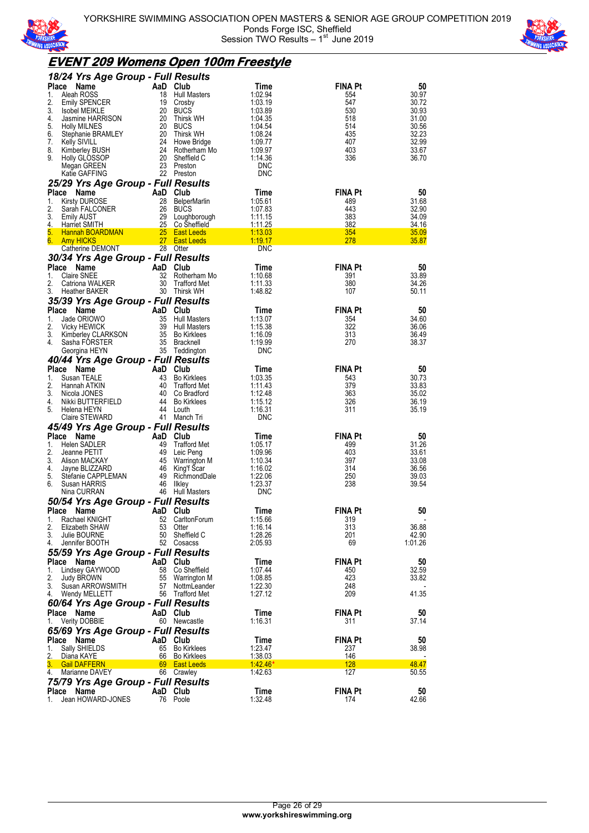



## **EVENT 209 Womens Open 100m Freestyle**

| 18/24 Yrs Age Group - Full Results                         |          |                                     |                          |                       |                |
|------------------------------------------------------------|----------|-------------------------------------|--------------------------|-----------------------|----------------|
| <b>Place</b><br>Name                                       |          | AaD Club                            | Time                     | <b>FINA Pt</b>        | 50             |
| Aleah ROSS<br>1.                                           | 18       | <b>Hull Masters</b>                 | 1:02.94                  | 554                   | 30.97          |
| 2.<br><b>Emily SPENCER</b>                                 | 19       | Crosby                              | 1:03.19                  | 547                   | 30.72          |
| 3.<br><b>Isobel MEIKLE</b><br>4.<br>Jasmine HARRISON       | 20       | <b>BUCS</b><br>20 Thirsk WH         | 1:03.89<br>1:04.35       | 530<br>518            | 30.93<br>31.00 |
| 5.<br><b>Holly MILNES</b>                                  | 20       | BUCS                                | 1:04.54                  | 514                   | 30.56          |
| 6.<br>Stephanie BRAMLEY                                    | 20       | Thirsk WH                           | 1:08.24                  | 435                   | 32.23          |
| 7.<br><b>Kelly SIVILL</b>                                  |          | 24 Howe Bridge                      | 1:09.77                  | 407                   | 32.99          |
| 8.<br>Kimberley BUSH                                       | 24       | Rotherham Mo                        | 1:09.97                  | 403                   | 33.67          |
| 9.<br><b>Holly GLOSSOP</b>                                 | 20       | Sheffield C                         | 1:14.36                  | 336                   | 36.70          |
| Megan GREEN                                                |          | 23 Preston<br>22 Preston            | <b>DNC</b><br><b>DNC</b> |                       |                |
| Katie GAFFING                                              |          |                                     |                          |                       |                |
| 25/29 Yrs Age Group - Full Results<br><b>Place</b><br>Name |          | AaD Club                            | Time                     | FINA Pt               | 50             |
| 1.<br><b>Kirsty DUROSE</b>                                 | 28       | <b>BelperMarlin</b>                 | 1:05.61                  | 489                   | 31.68          |
| 2.<br>Sarah FALCONER                                       | 26       | <b>BUCS</b>                         | 1:07.83                  | 443                   | 32.90          |
| 3.<br><b>Emily AUST</b>                                    | 29       | Loughborough                        | 1:11.15                  | 383                   | 34.09          |
| 4.<br><b>Harriet SMITH</b>                                 | 25       | Co Sheffield                        | <u>1:11.25</u>           | 382                   | <u>34.16</u>   |
| 5.<br><b>Hannah BOARDMAN</b>                               | 25       | <b>East Leeds</b>                   | 1:13.03                  | 354                   | 35.09          |
| 6.<br><b>Amy HICKS</b>                                     | 27       | <b>East Leeds</b>                   | 1:19.17                  | 278                   | 35.87          |
| Catherine DEMONT                                           |          | 28 Otter                            | <b>DNC</b>               |                       |                |
| 30/34 Yrs Age Group - Full Results                         |          |                                     |                          |                       |                |
| Place Name                                                 | AaD      | Club                                | Time                     | <b>FINA Pt</b>        | 50             |
| <b>Claire SNEE</b><br>1.<br>2.<br>Catriona WALKER          | 32<br>30 | Rotherham Mo<br><b>Trafford Met</b> | 1:10.68<br>1:11.33       | 391<br>380            | 33.89<br>34.26 |
| 3.<br><b>Heather BAKER</b>                                 | 30       | Thirsk WH                           | 1:48.82                  | 107                   | 50.11          |
| 35/39 Yrs Age Group - Full Results                         |          |                                     |                          |                       |                |
| <b>Place</b><br>Name                                       |          | AaD Club                            | Time                     | <b>FINA Pt</b>        | 50             |
| Jade ORIOWO<br>1.                                          | 35       | <b>Hull Masters</b>                 | 1:13.07                  | 354                   | 34.60          |
| 2.<br><b>Vicky HEWICK</b>                                  | 39       | Hull Masters                        | 1:15.38                  | 322                   | 36.06          |
| 3.<br>Kimberley CLARKSON                                   | 35       | <b>Bo Kirklees</b>                  | 1:16.09                  | 313                   | 36.49          |
| 4.<br>Sasha FORSTER                                        | 35       | <b>Bracknell</b>                    | 1.19.99                  | 270                   | 38.37          |
| Georgina HEYN                                              |          | 35 Teddington                       | DNC                      |                       |                |
| 40/44 Yrs Age Group - Full Results                         |          |                                     |                          |                       |                |
| Place<br>Name                                              | AaD      | Club                                | Time                     | FINA Pt               | 50             |
| Susan TEALE<br>1.                                          | 43       | <b>Bo Kirklees</b>                  | 1:03.35                  | 543                   | 30.73          |
| 2.<br>Hannah ATKIN<br>3.                                   | 40<br>40 | <b>Trafford Met</b>                 | 1:11.43                  | 379                   | 33.83          |
| Nicola JONES<br>4.<br>Nikki BUTTERFIELD                    | 44       | Co Bradford<br><b>Bo Kirklees</b>   | 1:12.48<br>1:15.12       | 363<br>326            | 35.02<br>36.19 |
| 5.<br>Helena HEYN                                          |          | 44 Louth                            | 1:16.31                  | 311                   | 35.19          |
| <b>Claire STEWARD</b>                                      |          | 41 Manch Tri                        | <b>DNC</b>               |                       |                |
| 45/49 Yrs Age Group - Full Results                         |          |                                     |                          |                       |                |
| <b>Place</b><br>Name                                       |          | AaD Club                            | Time                     | <b>FINA Pt</b>        | 50             |
| 1.<br>Helen SADLER                                         | 49       | <b>Trafford Met</b>                 | 1:05.17                  | 499                   | 31.26          |
| 2.<br>Jeanne PETIT                                         | 49       | Leic Peng                           | 1:09.96                  | 403                   | 33.61          |
| 3.<br>Alison MACKAY                                        | 45       | Warrington M                        | 1:10.34                  | 397                   | 33.08          |
| 4.<br>Jayne BLIZZARD<br>5.<br>Stefanie CAPPLEMAN           | 46<br>49 | King'f Scar<br>RichmondDale         | 1:16.02<br>1:22.06       | 314<br>250            | 36.56<br>39.03 |
| 6.<br>Susan HARRIS                                         | 46       | Ilkley                              | 1:23.37                  | 238                   | 39.54          |
| Nina CURRAN                                                |          | 46 Hull Masters                     | <b>DNC</b>               |                       |                |
| 50/54 Yrs Age Group - Full Results                         |          |                                     |                          |                       |                |
| <b>Place</b><br>Name                                       |          | AaD Club                            | Time                     | <b>FINA Pt</b>        | 50             |
| 1.<br>Rachael KNIGHT                                       | 52       | CarltonForum                        | 1:15.66                  | 319                   |                |
| 2.<br>Elizabeth SHAW                                       | 53       | Otter                               | 1:16.14                  | 313                   | 36.88          |
| 3.<br>Julie BOURNE                                         |          | 50 Sheffield C                      | 1:28.26                  | 201                   | 42.90          |
| Jennifer BOOTH<br>4.                                       |          | 52 Cosacss                          | 2:05.93                  | 69                    | 1:01.26        |
| 55/59 Yrs Age Group - Full Results                         |          |                                     |                          |                       |                |
| Place Name                                                 |          | AaD Club                            | Time                     | FINA Pt               | 50             |
| Lindsey GAYWOOD<br>1.                                      | 58       | Co Sheffield                        | 1:07.44                  | 450                   | 32.59          |
| 2.<br><b>Judy BROWN</b><br>3.                              | 55<br>57 | Warrington M                        | 1:08.85                  | 423<br>248            | 33.82          |
| Susan ARROWSMITH<br>Wendy MELLETT<br>4.                    |          | NottmLeander<br>56 Trafford Met     | 1:22.30<br>1:27.12       | 209                   | 41.35          |
| 60/64 Yrs Age Group - Full Results                         |          |                                     |                          |                       |                |
| Place Name                                                 |          | AaD Club                            | Time                     | FINA Pt               | 50             |
| <b>Verity DOBBIE</b><br>1.                                 |          | 60 Newcastle                        | 1:16.31                  | 311                   | 37.14          |
| 65/69 Yrs Age Group - Full Results                         |          |                                     |                          |                       |                |
| Place Name                                                 | AaD      | Club                                | Time                     | <b>FINA Pt</b>        | 50             |
| 1.<br>Sally SHIELDS                                        | 65       | Bo Kirklees                         | 1:23.47                  | 237                   | 38.98          |
| 2.<br>Diana KAYE                                           |          | 66 Bo Kirklees                      | 1:38.03                  | 146                   |                |
| 3.<br><b>Gail DAFFERN</b>                                  |          | 69 East Leeds                       | $1:42.46*$               | 128                   | 48.47          |
| Marianne DAVEY<br>4.                                       |          | 66 Crawley                          | 1:42.63                  | 127                   | 50.55          |
| 75/79 Yrs Age Group - Full Results                         |          |                                     |                          |                       |                |
|                                                            |          |                                     |                          |                       |                |
| Name<br><b>Place</b><br>Jean HOWARD-JONES<br>1.            |          | AaD Club<br>76 Poole                | Time<br>1:32.48          | <b>FINA Pt</b><br>174 | 50<br>42.66    |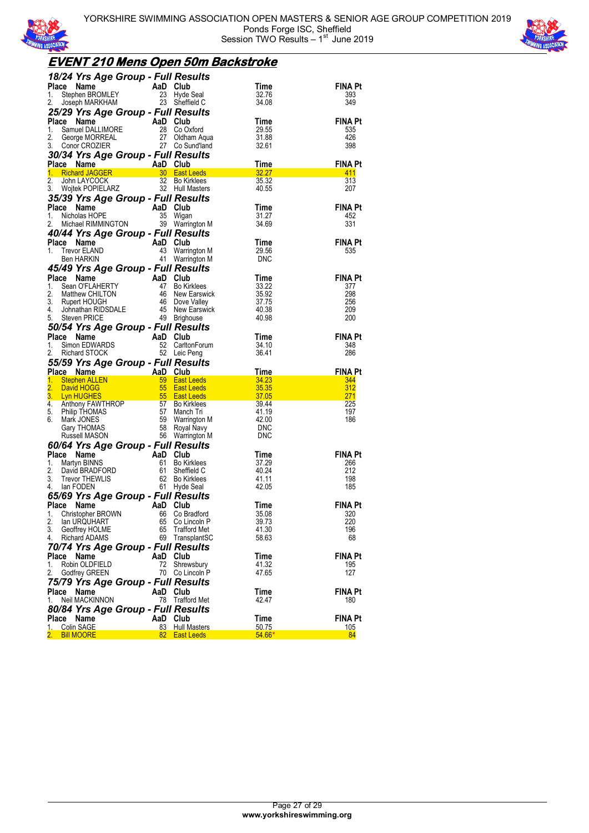



# **EVENT 210 Mens Open 50m Backstroke**

|                        | 18/24 Yrs Age Group - Full Results                                                                                                                                                                                                                                                   |                 |                                          |                         |                       |
|------------------------|--------------------------------------------------------------------------------------------------------------------------------------------------------------------------------------------------------------------------------------------------------------------------------------|-----------------|------------------------------------------|-------------------------|-----------------------|
| Place                  |                                                                                                                                                                                                                                                                                      |                 |                                          | Time                    | <b>FINA Pt</b>        |
| 1.<br>2.               | Stephen BROMLEY<br>Stephen BROMLEY <b>AaD Club</b><br>Josenh MADVILLY<br>Joseph MARKHAM                                                                                                                                                                                              |                 | 23 Hyde Seal<br>23 Sheffield C           | 32.76<br>34.08          | 393<br>349            |
|                        | 25/29 Yrs Age Group - Full Results                                                                                                                                                                                                                                                   |                 |                                          |                         |                       |
| Place                  |                                                                                                                                                                                                                                                                                      |                 |                                          | Time                    | <b>FINA Pt</b>        |
| 1.                     |                                                                                                                                                                                                                                                                                      |                 |                                          | 29.55                   | 535                   |
| 2.<br>3.               | CREAD Club<br>Samuel DALLIMORE<br>Ceorge MORREAL<br>Conor CROZIER<br>Conor CROZIER<br>27 Co Sund'land                                                                                                                                                                                |                 | Oldham Aqua                              | 31.88<br>32.61          | 426<br>398            |
|                        | 30/34 Yrs Age Group - Full Results                                                                                                                                                                                                                                                   |                 |                                          |                         |                       |
|                        | Place Name                                                                                                                                                                                                                                                                           | AaD Club        |                                          | Time                    | <b>FINA Pt</b>        |
| 1.                     | Richard JAGGER <b>And State Street</b>                                                                                                                                                                                                                                               | 30 <sub>2</sub> | <b>East Leeds</b>                        | 32.27                   | 411                   |
| $\overline{2}$ .<br>3. | John LAYCOCK<br>Wojtek POPIELARZ                                                                                                                                                                                                                                                     | 32              | <b>Bo Kirklees</b><br>32 Hull Masters    | 35.32<br>40.55          | 313<br>207            |
|                        | 35/39 Yrs Age Group - Full Results                                                                                                                                                                                                                                                   |                 |                                          |                         |                       |
|                        | Place Name                                                                                                                                                                                                                                                                           | AaD Club        |                                          | Time                    | <b>FINA Pt</b>        |
| 1.                     | Nicholas HOPE<br>Michael RIMMINGTON                                                                                                                                                                                                                                                  | 35              | Wigan                                    | 31.27                   | 452                   |
| 2.                     | 40/44 Yrs Age Group - Full Results                                                                                                                                                                                                                                                   |                 | 39 Warrington M                          | 34.69                   | 331                   |
|                        | Place Name                                                                                                                                                                                                                                                                           | AaD Club        |                                          | Time                    | <b>FINA Pt</b>        |
| 1.                     | Trevor ELAND                                                                                                                                                                                                                                                                         |                 | 43 Warrington M                          | 29.56                   | 535                   |
|                        | Ben HARKIN                                                                                                                                                                                                                                                                           |                 | 41 Warrington M                          | DNC                     |                       |
|                        | 45/49 Yrs Age Group - Full Results<br><b>Pay The Hanner Care of Add Club</b><br><b>Ce Nam O'FLAHERTY</b><br>Matthew CHILTON 46 New Earswick<br>Rupert HOUGH 46 Dove Valley<br>Johnathan RIDSDALE 45 New Earswick<br>Channer Pay CF 49 Brighouse                                      |                 |                                          |                         |                       |
| Place Name<br>1.       |                                                                                                                                                                                                                                                                                      |                 |                                          | Time<br>33.22           | <b>FINA Pt</b><br>377 |
| 2.                     |                                                                                                                                                                                                                                                                                      |                 |                                          | 35.92<br>35.92<br>37.75 | 298                   |
| 3.                     |                                                                                                                                                                                                                                                                                      |                 |                                          |                         | 256                   |
| 4.<br>5.               |                                                                                                                                                                                                                                                                                      |                 |                                          | 40.38<br>40.98          | 209<br>200            |
|                        | 50/54 Yrs Age Group - Full Results                                                                                                                                                                                                                                                   |                 |                                          |                         |                       |
|                        | Place Name                                                                                                                                                                                                                                                                           | AaD Club        |                                          | Time                    | <b>FINA Pt</b>        |
| 1.                     | Simon EDWARDS                                                                                                                                                                                                                                                                        | 52              | CarltonForum                             | 34.10                   | 348                   |
| 2.                     | Richard STOCK                                                                                                                                                                                                                                                                        |                 | 52 Leic Peng                             | 36.41                   | 286                   |
|                        |                                                                                                                                                                                                                                                                                      |                 |                                          |                         |                       |
|                        | 55/59 Yrs Age Group - Full Results                                                                                                                                                                                                                                                   |                 |                                          |                         |                       |
|                        |                                                                                                                                                                                                                                                                                      |                 |                                          | Time<br>34.23           | <b>FINA Pt</b><br>344 |
|                        |                                                                                                                                                                                                                                                                                      |                 |                                          |                         | 312                   |
|                        |                                                                                                                                                                                                                                                                                      |                 |                                          |                         | 271<br>225            |
|                        |                                                                                                                                                                                                                                                                                      |                 | $\frac{35.35}{37.05}$                    | 41.19                   | 197                   |
|                        |                                                                                                                                                                                                                                                                                      |                 |                                          | 42.00                   | 186                   |
|                        |                                                                                                                                                                                                                                                                                      |                 |                                          | DNC<br>DNC              |                       |
|                        | <b>50/09 Trs Age Group - Furnal New York (New York 1988)</b><br>1. Stephen ALLEN 50 East Leeds<br>2. David HOGG 55 East Leeds<br>3. Lyn HUGHES 55 East Leeds<br>4. Anthony FAWTHROP 57 Bo Kirklees<br>5. Philip THOMAS 57 Manch Tri<br>6. Mark<br>60/64 Yrs Age Group - Full Results |                 |                                          |                         |                       |
| Place Name             |                                                                                                                                                                                                                                                                                      | AaD Club        |                                          | Time                    | <b>FINA Pt</b>        |
| 1.                     | Martyn BINNS                                                                                                                                                                                                                                                                         | 61              | <b>Bo Kirklees</b>                       | 37.29                   | 266                   |
| 2.<br>3.               | David BRADFORD<br><b>Trevor THEWLIS</b>                                                                                                                                                                                                                                              | 61<br>62        | Sheffield C<br><b>Bo Kirklees</b>        | 40.24<br>41.11          | 212<br>198            |
| 4.                     | lan FODEN                                                                                                                                                                                                                                                                            |                 | 61 Hyde Seal                             | 42.05                   | 185                   |
|                        | 65/69 Yrs Age Group - Full Results                                                                                                                                                                                                                                                   |                 |                                          |                         |                       |
| Place                  | Name                                                                                                                                                                                                                                                                                 | AaD Club        | 66 Co Bradford                           | Time<br>35.08           | <b>FINA Pt</b><br>320 |
| 2.                     | 1. Christopher BROWN<br>lan URQUHART                                                                                                                                                                                                                                                 | 65              | Co Lincoln P                             | 39.73                   | 220                   |
| 3.                     | Geoffrey HOLME                                                                                                                                                                                                                                                                       | 65              | <b>Trafford Met</b>                      | 41.30                   | 196                   |
| 4.                     | Richard ADAMS                                                                                                                                                                                                                                                                        | 69              | TransplantSC                             | 58.63                   | 68                    |
| Place                  | 70/74 Yrs Age Group - Full Results<br>Name                                                                                                                                                                                                                                           | AaD             | Club                                     | Time                    | <b>FINA Pt</b>        |
| 1.                     | Robin OLDFIELD                                                                                                                                                                                                                                                                       | 72              | Shrewsbury                               | 41.32                   | 195                   |
| 2.                     | Godfrey GREEN                                                                                                                                                                                                                                                                        | 70              | Co Lincoln P                             | 47.65                   | 127                   |
|                        | 75/79 Yrs Age Group - Full Results                                                                                                                                                                                                                                                   |                 |                                          |                         |                       |
| Place<br>1.            | Name<br>Neil MACKINNON                                                                                                                                                                                                                                                               | AaD             | Club<br>78 Trafford Met                  | Time<br>42.47           | <b>FINA Pt</b><br>180 |
|                        | 80/84 Yrs Age Group - Full Results                                                                                                                                                                                                                                                   |                 |                                          |                         |                       |
| Place                  | Name                                                                                                                                                                                                                                                                                 | AaD             | Club                                     | Time                    | <b>FINA Pt</b>        |
| $1 -$<br>2.            | Colin SAGE<br><b>Bill MOORE</b>                                                                                                                                                                                                                                                      | 83<br>82        | <b>Hull Masters</b><br><b>East Leeds</b> | 50.75<br>$54.66*$       | <u> 105</u><br>84     |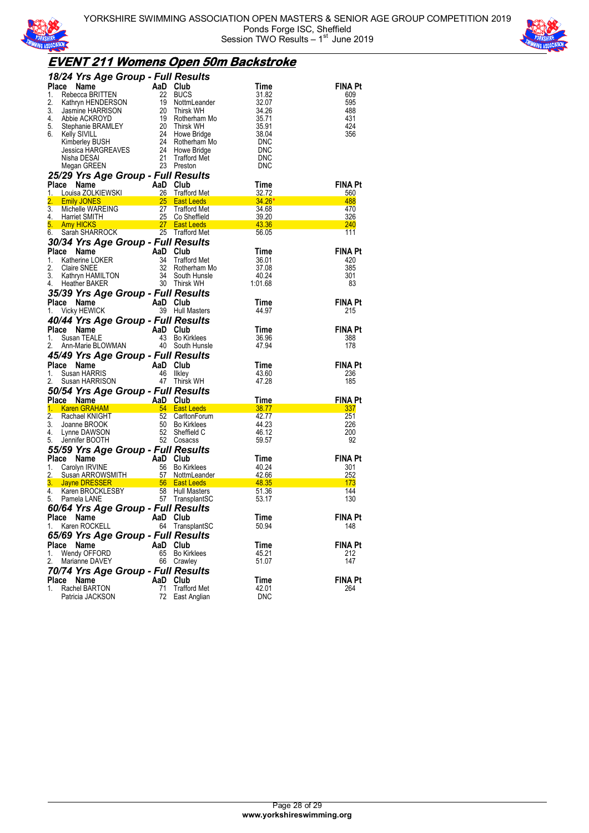



## **EVENT 211 Womens Open 50m Backstroke**

| 18/24 Yrs Age Group - Full Results                                              |          |                                                        |                                                |                |
|---------------------------------------------------------------------------------|----------|--------------------------------------------------------|------------------------------------------------|----------------|
| Place<br>Name                                                                   | AaD Club |                                                        | Time                                           | <b>FINA Pt</b> |
| 1.<br>Rebecca BRITTEN                                                           |          | 22 BUCS                                                | 31.82                                          | 609            |
| 2.                                                                              |          | 19 NottmLeander                                        | 32.07                                          | 595            |
| Rebecca BRITTEN<br>Kathryn HENDERSON<br>Jasmine HARRISON<br>Abbie ACKROYD<br>3. | 20       | Thirsk WH                                              | 34.26                                          | 488            |
| 4.<br>Abbie ACKROYD<br>5.                                                       |          | 19 Rotherham Mo                                        | 35.71<br>35.91                                 | 431<br>424     |
| 6.                                                                              |          | 20 Thirsk WH<br>24 Howe Bridge<br>24 Rotherham Mo      | 38.04                                          | 356            |
|                                                                                 |          |                                                        | DNC                                            |                |
|                                                                                 |          |                                                        | DNC                                            |                |
| Nisha DESAI                                                                     | 21       | <b>Trafford Met</b>                                    | DNC                                            |                |
| Megan GREEN                                                                     |          | 23 Preston                                             | DNC                                            |                |
| 25/29 Yrs Age Group - Full Results                                              |          |                                                        |                                                |                |
| Place<br>Name<br><b>Ce Name</b><br>Louisa ZOLKIEWSKI                            | AaD      | Club                                                   | Time                                           | <b>FINA Pt</b> |
| 1.                                                                              | 26       | Trafford Met                                           | 32.72                                          | 560            |
| 2.<br><b>Emily JONES</b><br>$\overline{3}$ .<br>Michelle WAREING                |          | <b>25</b> East Leeds                                   | $\frac{34.26*}{ }$                             | 488<br>470     |
| 4.<br>Harriet SMITH                                                             |          |                                                        | 27 Trafford Met 34.68<br>25 Co Sheffield 39.20 | 326            |
| 5. Amy HICKS                                                                    |          |                                                        | <b>27 East Leeds</b> 27 <b>27 East Leeds</b>   | 240            |
| Sarah SHARROCK 25 Trafford Met<br>6.                                            |          |                                                        | 56.05                                          | 111            |
| 30/34 Yrs Age Group - Full Results                                              |          |                                                        |                                                |                |
| Place<br>Name                                                                   | AaD Club |                                                        | Time                                           | <b>FINA Pt</b> |
| $\overline{a}$<br>1.<br>Katherine LOKER                                         | 34       | <b>Trafford Met</b>                                    | 36.01                                          | 420            |
| 2.<br>Claire SNEE                                                               |          | 32 Rotherham Mo                                        | 37.08                                          | 385            |
| Kathryn HAMILTON<br>Heather BAKER<br>3.<br><b>Heather BAKER</b>                 | 34       | South Hunsle<br>30 Thirsk WH                           | 40.24                                          | 301<br>83      |
| 4.                                                                              |          |                                                        | 1:01.68                                        |                |
| 35/39 Yrs Age Group - Full Results<br>Place Name                                | AaD Club |                                                        | Time                                           | <b>FINA Pt</b> |
| Vicky HEWICK<br>1.                                                              |          | 39 Hull Masters                                        | 44.97                                          | 215            |
|                                                                                 |          |                                                        |                                                |                |
| 40/44 Yrs Age Group - Full Results<br>Place                                     | AaD Club |                                                        | Time                                           | <b>FINA Pt</b> |
| 1.                                                                              | 43       | <b>Bo Kirklees</b>                                     | 36.96                                          | 388            |
| <b>Ce Name</b><br>Susan TEALE<br>Ann-Marie BLOWMAN<br>2.                        |          | 40 South Hunsle                                        | 47.94                                          | 178            |
| 45/49 Yrs Age Group - Full Results                                              |          |                                                        |                                                |                |
| Place<br>Name                                                                   | AaD Club |                                                        | Time                                           | <b>FINA Pt</b> |
| Susan HARRIS<br>1.                                                              | 46       | likley                                                 | 43.60                                          | 236            |
| 2.<br>Susan HARRISON                                                            | 47       | Thirsk WH                                              | 47.28                                          | 185            |
| 50/54 Yrs Age Group - Full Results                                              |          |                                                        |                                                |                |
| Place Name                                                                      | AaD Club |                                                        | <b>Time</b>                                    | <b>FINA Pt</b> |
| 1.<br><b>Karen GRAHAM</b>                                                       |          | 54 East Leeds                                          | 38.77                                          | 337            |
| 2.<br>Rachael KNIGHT<br>Joanne BROOK                                            |          | 52 CarltonForum                                        | 42.77                                          | 251            |
| 3.<br>4.<br>Lynne DAWSON                                                        | 50       | <b>Bo Kirklees</b><br>52 Sheffield C                   | 44.23<br>46.12                                 | 226<br>200     |
| 5.<br>Jennifer BOOTH                                                            |          | 52 Cosacss                                             | 59.57                                          | 92             |
| 55/59 Yrs Age Group - Full Results                                              |          |                                                        |                                                |                |
| Place<br>Name                                                                   |          |                                                        | Time                                           | <b>FINA Pt</b> |
| 1.<br>Carolyn IRVINE                                                            |          | AaD Club<br>E 56 Bo Kirklees<br>VSMITH 57 NottmLeander | 40.24                                          | 301            |
| 2.<br>Susan ARROWSMITH                                                          |          |                                                        | 42.66                                          | 252            |
| 3.<br>Jayne DRESSER                                                             |          | <b>Example 156 East Leeds</b>                          | $-48.35$                                       | -173           |
| 4.<br>Karen BROCKLESBY<br>Pamela I ANE                                          |          | 58 Hull Masters                                        | 51.36                                          | 144            |
| 5.<br>Pamela LANE                                                               |          | 57 TransplantSC                                        | 53.17                                          | 130            |
| 60/64 Yrs Age Group - Full Results                                              |          |                                                        |                                                | <b>FINA Pt</b> |
| Place<br>Name<br>1.<br>Karen ROCKELL                                            | AaD Club | 64 TransplantSC                                        | l ime<br>50.94                                 | 148            |
| 65/69 Yrs Age Group - Full Results                                              |          |                                                        |                                                |                |
| Place<br>Name                                                                   | AaD      | Club                                                   | Time                                           | <b>FINA Pt</b> |
| Wendy OFFORD<br>1.                                                              | 65       | <b>Bo Kirklees</b>                                     | 45.21                                          | 212            |
| Marianne DAVEY<br>2.                                                            | 66       | Crawley                                                | 51.07                                          | 147            |
| 70/74 Yrs Age Group - Full Results                                              |          |                                                        |                                                |                |
| Place<br>Name                                                                   | AaD      | Club                                                   | Time                                           | <b>FINA Pt</b> |
| 1.<br>Rachel BARTON                                                             | 71       | <b>Trafford Met</b>                                    | 42.01                                          | 264            |
| Patricia JACKSON                                                                | 72       | East Anglian                                           | DNC                                            |                |